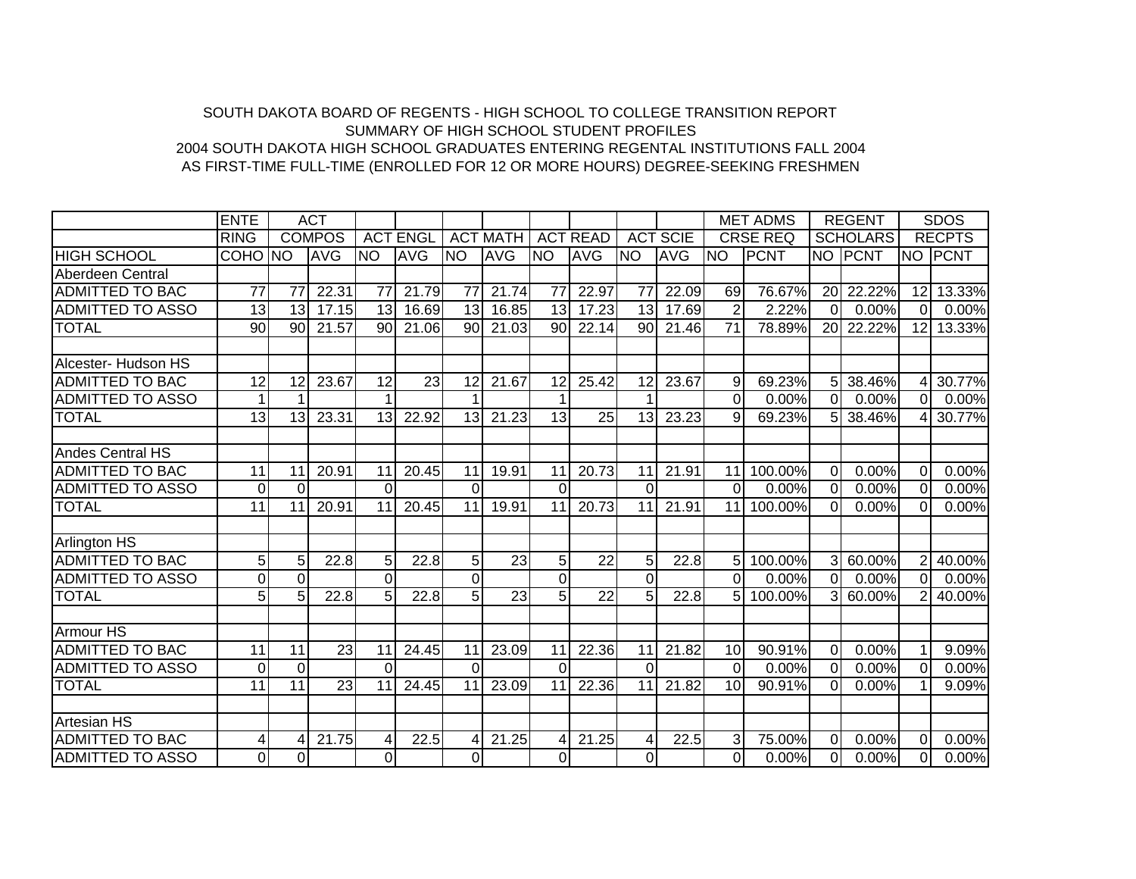## AS FIRST-TIME FULL-TIME (ENROLLED FOR 12 OR MORE HOURS) DEGREE-SEEKING FRESHMEN 2004 SOUTH DAKOTA HIGH SCHOOL GRADUATES ENTERING REGENTAL INSTITUTIONS FALL 2004SUMMARY OF HIGH SCHOOL STUDENT PROFILESSOUTH DAKOTA BOARD OF REGENTS - HIGH SCHOOL TO COLLEGE TRANSITION REPORT

|                         | <b>ENTE</b>     |                 | <b>ACT</b>      |                 |                 |                |                 |             |                 |                 |                 |                | <b>MET ADMS</b> |                 | <b>REGENT</b>   |                 | <b>SDOS</b>   |
|-------------------------|-----------------|-----------------|-----------------|-----------------|-----------------|----------------|-----------------|-------------|-----------------|-----------------|-----------------|----------------|-----------------|-----------------|-----------------|-----------------|---------------|
|                         | <b>RING</b>     |                 | <b>COMPOS</b>   |                 | <b>ACT ENGL</b> |                | <b>ACT MATH</b> |             | <b>ACT READ</b> |                 | <b>ACT SCIE</b> |                | <b>CRSE REQ</b> |                 | <b>SCHOLARS</b> |                 | <b>RECPTS</b> |
| <b>HIGH SCHOOL</b>      | COHO NO         |                 | <b>AVG</b>      | <b>INO</b>      | <b>AVG</b>      | <b>NO</b>      | <b>AVG</b>      | <b>NO</b>   | <b>AVG</b>      | <b>NO</b>       | <b>AVG</b>      | INO            | <b>PCNT</b>     | <b>NO</b>       | <b>PCNT</b>     |                 | NO PCNT       |
| Aberdeen Central        |                 |                 |                 |                 |                 |                |                 |             |                 |                 |                 |                |                 |                 |                 |                 |               |
| <b>ADMITTED TO BAC</b>  | $\overline{77}$ | $\overline{77}$ | 22.31           | $\overline{77}$ | 21.79           | 77             | 21.74           | 77          | 22.97           | $\overline{77}$ | 22.09           | 69             | 76.67%          | 20 <sup>1</sup> | 22.22%          | 12              | 13.33%        |
| <b>ADMITTED TO ASSO</b> | 13              | 13              | 17.15           | 13              | 16.69           | 13             | 16.85           | 13          | 17.23           | 13              | 17.69           | $\overline{2}$ | 2.22%           | 0               | $0.00\%$        | $\Omega$        | 0.00%         |
| <b>TOTAL</b>            | 90              | 90              | 21.57           | 90              | 21.06           | 90             | 21.03           | 90          | 22.14           | 90              | 21.46           | 71             | 78.89%          |                 | 20 22.22%       | 12 <sub>l</sub> | 13.33%        |
|                         |                 |                 |                 |                 |                 |                |                 |             |                 |                 |                 |                |                 |                 |                 |                 |               |
| Alcester- Hudson HS     |                 |                 |                 |                 |                 |                |                 |             |                 |                 |                 |                |                 |                 |                 |                 |               |
| <b>ADMITTED TO BAC</b>  | 12              | 12              | 23.67           | 12              | 23              | 12             | 21.67           | 12          | 25.42           | 12              | 23.67           | 9              | 69.23%          | 5 <sup>1</sup>  | 38.46%          | 41              | 30.77%        |
| <b>ADMITTED TO ASSO</b> |                 |                 |                 |                 |                 |                |                 |             |                 |                 |                 | $\Omega$       | 0.00%           | $\Omega$        | 0.00%           | ΩI              | 0.00%         |
| <b>TOTAL</b>            | 13              | 13              | 23.31           | 13              | 22.92           | 13             | 21.23           | 13          | 25              | 13              | 23.23           | 9              | 69.23%          | 5 <sup>1</sup>  | 38.46%          | 41              | 30.77%        |
|                         |                 |                 |                 |                 |                 |                |                 |             |                 |                 |                 |                |                 |                 |                 |                 |               |
| <b>Andes Central HS</b> |                 |                 |                 |                 |                 |                |                 |             |                 |                 |                 |                |                 |                 |                 |                 |               |
| <b>ADMITTED TO BAC</b>  | 11              | 11              | 20.91           | 11              | 20.45           | 11             | 19.91           | 11          | 20.73           | 11              | 21.91           | 11             | 100.00%         | $\Omega$        | 0.00%           | $\Omega$        | 0.00%         |
| <b>ADMITTED TO ASSO</b> | $\Omega$        | $\Omega$        |                 | $\Omega$        |                 | $\Omega$       |                 | $\Omega$    |                 | $\Omega$        |                 | $\Omega$       | 0.00%           | $\Omega$        | 0.00%           | $\Omega$        | 0.00%         |
| <b>TOTAL</b>            | 11              | 11              | 20.91           | 11              | 20.45           | 11             | 19.91           | 11          | 20.73           | 11              | 21.91           | 11             | 100.00%         | $\Omega$        | 0.00%           | $\Omega$        | 0.00%         |
|                         |                 |                 |                 |                 |                 |                |                 |             |                 |                 |                 |                |                 |                 |                 |                 |               |
| Arlington HS            |                 |                 |                 |                 |                 |                |                 |             |                 |                 |                 |                |                 |                 |                 |                 |               |
| <b>ADMITTED TO BAC</b>  | 5               | 5 <sup>1</sup>  | 22.8            | 5               | 22.8            | 5              | 23              | 5           | 22              | 5               | 22.8            | 5              | 100.00%         | 3 <sup>l</sup>  | 60.00%          | $\overline{2}$  | 40.00%        |
| <b>ADMITTED TO ASSO</b> | $\overline{0}$  | $\Omega$        |                 | $\Omega$        |                 | $\Omega$       |                 | 0           |                 | $\Omega$        |                 | $\Omega$       | 0.00%           | $\overline{0}$  | 0.00%           | $\Omega$        | 0.00%         |
| <b>TOTAL</b>            | 5 <sup>1</sup>  | 5               | 22.8            | 5               | 22.8            | 5              | 23              | 5           | $\overline{22}$ | 5               | 22.8            | 5              | 100.00%         | $\mathcal{R}$   | 60.00%          | $\overline{2}$  | 40.00%        |
|                         |                 |                 |                 |                 |                 |                |                 |             |                 |                 |                 |                |                 |                 |                 |                 |               |
| Armour HS               |                 |                 |                 |                 |                 |                |                 |             |                 |                 |                 |                |                 |                 |                 |                 |               |
| <b>ADMITTED TO BAC</b>  | 11              | 11              | 23              | 11              | 24.45           | 11             | 23.09           | 11          | 22.36           | 11              | 21.82           | 10             | 90.91%          | $\Omega$        | 0.00%           |                 | 9.09%         |
| <b>ADMITTED TO ASSO</b> | $\overline{0}$  | $\overline{0}$  |                 | $\Omega$        |                 | $\Omega$       |                 | $\Omega$    |                 | $\Omega$        |                 | $\Omega$       | 0.00%           | $\overline{0}$  | 0.00%           | $\Omega$        | 0.00%         |
| <b>TOTAL</b>            | 11              | 11              | $\overline{23}$ | 11              | 24.45           | 11             | 23.09           | 11          | 22.36           | 11              | 21.82           | 10             | 90.91%          | $\overline{0}$  | 0.00%           |                 | 9.09%         |
|                         |                 |                 |                 |                 |                 |                |                 |             |                 |                 |                 |                |                 |                 |                 |                 |               |
| <b>Artesian HS</b>      |                 |                 |                 |                 |                 |                |                 |             |                 |                 |                 |                |                 |                 |                 |                 |               |
| <b>ADMITTED TO BAC</b>  | 4               | 4               | 21.75           | $\overline{4}$  | 22.5            | 4              | 21.25           | 4           | 21.25           | 4               | 22.5            | 3              | 75.00%          | $\Omega$        | 0.00%           | $\Omega$        | 0.00%         |
| <b>ADMITTED TO ASSO</b> | οI              | 0               |                 | $\overline{0}$  |                 | $\overline{0}$ |                 | $\mathbf 0$ |                 | $\overline{0}$  |                 | 0              | 0.00%           | $\overline{0}$  | 0.00%           | $\overline{0}$  | 0.00%         |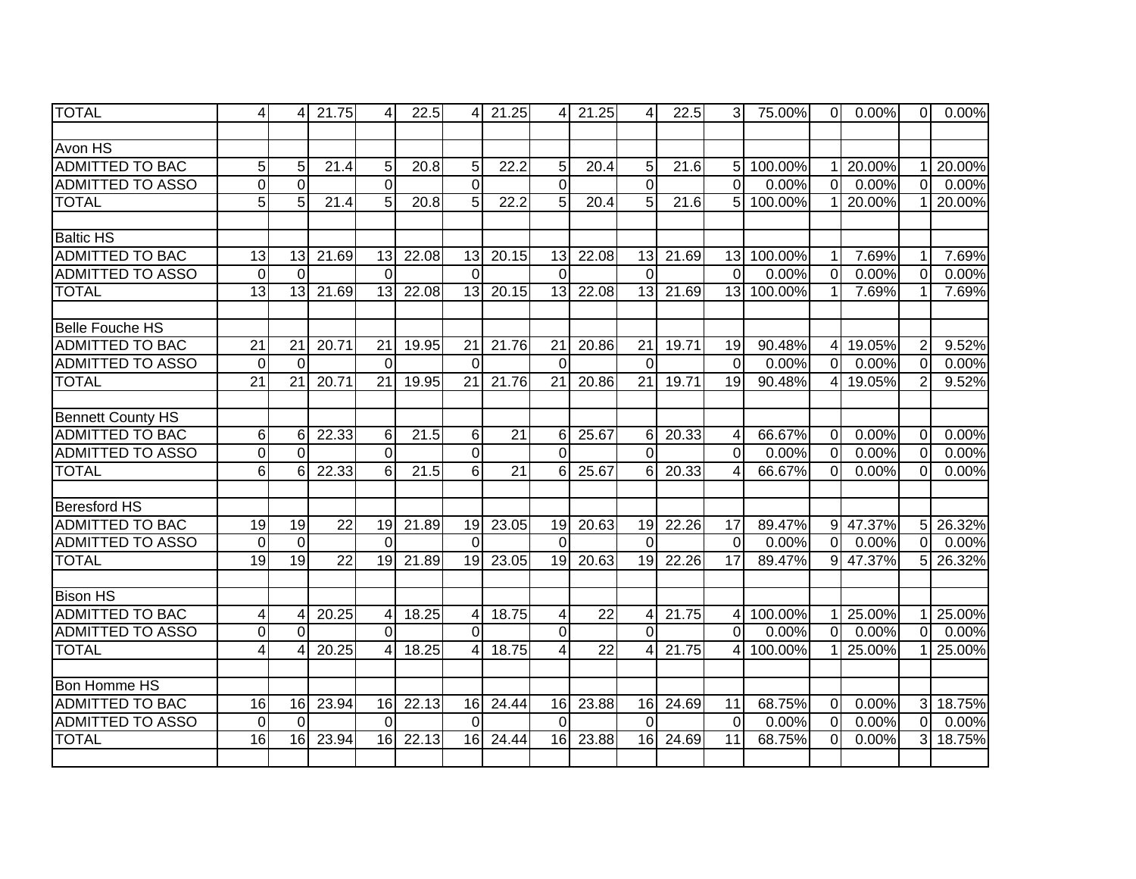| <b>TOTAL</b>             | $\overline{4}$      | 4               | 21.75           | $\overline{4}$   | 22.5  | 4               | 21.25           | 4               | 21.25           | 4               | 22.5  | $\overline{3}$  | 75.00%    | $\overline{0}$ | 0.00%    | $\overline{0}$ | 0.00%  |
|--------------------------|---------------------|-----------------|-----------------|------------------|-------|-----------------|-----------------|-----------------|-----------------|-----------------|-------|-----------------|-----------|----------------|----------|----------------|--------|
|                          |                     |                 |                 |                  |       |                 |                 |                 |                 |                 |       |                 |           |                |          |                |        |
| Avon HS                  |                     |                 |                 |                  |       |                 |                 |                 |                 |                 |       |                 |           |                |          |                |        |
| <b>ADMITTED TO BAC</b>   | $\sqrt{5}$          | 5               | 21.4            | 5 <sub>l</sub>   | 20.8  | 5               | 22.2            | 5               | 20.4            | 5               | 21.6  |                 | 5 100.00% |                | 1 20.00% | 11             | 20.00% |
| <b>ADMITTED TO ASSO</b>  | $\pmb{0}$           | $\mathbf 0$     |                 | $\Omega$         |       | $\overline{0}$  |                 | $\overline{0}$  |                 | $\overline{0}$  |       | $\overline{0}$  | 0.00%     | $\overline{0}$ | 0.00%    | $\overline{0}$ | 0.00%  |
| <b>TOTAL</b>             | 5                   | 5               | 21.4            | 5                | 20.8  | 5               | 22.2            | 5               | 20.4            | 5               | 21.6  | 5               | 100.00%   |                | 20.00%   |                | 20.00% |
|                          |                     |                 |                 |                  |       |                 |                 |                 |                 |                 |       |                 |           |                |          |                |        |
| <b>Baltic HS</b>         |                     |                 |                 |                  |       |                 |                 |                 |                 |                 |       |                 |           |                |          |                |        |
| <b>ADMITTED TO BAC</b>   | 13                  | 13              | 21.69           | 13               | 22.08 | 13              | 20.15           | 13              | 22.08           | 13              | 21.69 | 13              | 100.00%   | 1              | 7.69%    | 1              | 7.69%  |
| <b>ADMITTED TO ASSO</b>  | $\mathbf 0$         | $\Omega$        |                 | $\Omega$         |       | $\Omega$        |                 | $\Omega$        |                 | $\Omega$        |       | $\overline{0}$  | 0.00%     | $\overline{0}$ | 0.00%    | $\Omega$       | 0.00%  |
| <b>TOTAL</b>             | $\overline{13}$     | 13              | 21.69           | 13               | 22.08 | 13              | 20.15           | 13              | 22.08           | 13              | 21.69 | 13              | 100.00%   | 11             | 7.69%    | 1              | 7.69%  |
|                          |                     |                 |                 |                  |       |                 |                 |                 |                 |                 |       |                 |           |                |          |                |        |
| <b>Belle Fouche HS</b>   |                     |                 |                 |                  |       |                 |                 |                 |                 |                 |       |                 |           |                |          |                |        |
| <b>ADMITTED TO BAC</b>   | 21                  | 21              | 20.71           | 21               | 19.95 | 21              | 21.76           | 21              | 20.86           | 21              | 19.71 | 19              | 90.48%    | 41             | 19.05%   | 2              | 9.52%  |
| <b>ADMITTED TO ASSO</b>  | $\mathbf 0$         | $\Omega$        |                 | $\Omega$         |       | $\Omega$        |                 | $\Omega$        |                 | $\Omega$        |       | $\Omega$        | 0.00%     | $\overline{0}$ | 0.00%    | $\Omega$       | 0.00%  |
| <b>TOTAL</b>             | $\overline{21}$     | $\overline{21}$ | 20.71           | $\overline{21}$  | 19.95 | $\overline{21}$ | 21.76           | $\overline{21}$ | 20.86           | $\overline{21}$ | 19.71 | $\overline{19}$ | 90.48%    | 4 <sup>1</sup> | 19.05%   | $\overline{2}$ | 9.52%  |
|                          |                     |                 |                 |                  |       |                 |                 |                 |                 |                 |       |                 |           |                |          |                |        |
| <b>Bennett County HS</b> |                     |                 |                 |                  |       |                 |                 |                 |                 |                 |       |                 |           |                |          |                |        |
| <b>ADMITTED TO BAC</b>   | 6                   | 6               | 22.33           | $6 \overline{6}$ | 21.5  | 6               | $\overline{21}$ | 6               | 25.67           | 6               | 20.33 | $\overline{4}$  | 66.67%    | $\overline{0}$ | 0.00%    | $\Omega$       | 0.00%  |
| <b>ADMITTED TO ASSO</b>  | $\mathsf{O}\xspace$ | $\Omega$        |                 | $\overline{0}$   |       | $\mathbf 0$     |                 | $\overline{0}$  |                 | 0               |       | $\overline{0}$  | 0.00%     | $\overline{0}$ | 0.00%    | $\Omega$       | 0.00%  |
| <b>TOTAL</b>             | $6\phantom{1}$      | 6               | 22.33           | $6 \mid$         | 21.5  | 6               | $\overline{21}$ | 6               | 25.67           | 6               | 20.33 | 4               | 66.67%    | $\overline{0}$ | 0.00%    | $\Omega$       | 0.00%  |
|                          |                     |                 |                 |                  |       |                 |                 |                 |                 |                 |       |                 |           |                |          |                |        |
| <b>Beresford HS</b>      |                     |                 |                 |                  |       |                 |                 |                 |                 |                 |       |                 |           |                |          |                |        |
| <b>ADMITTED TO BAC</b>   | 19                  | 19              | $\overline{22}$ | 19               | 21.89 | 19              | 23.05           | 19              | 20.63           | 19              | 22.26 | 17              | 89.47%    |                | 9 47.37% | 5 <sub>l</sub> | 26.32% |
| <b>ADMITTED TO ASSO</b>  | $\mathbf 0$         | $\mathbf 0$     |                 | $\Omega$         |       | $\Omega$        |                 | $\Omega$        |                 | $\Omega$        |       | $\Omega$        | 0.00%     | $\overline{0}$ | 0.00%    | $\overline{0}$ | 0.00%  |
| <b>TOTAL</b>             | 19                  | 19              | $\overline{22}$ | 19               | 21.89 | 19              | 23.05           | 19              | 20.63           | 19              | 22.26 | 17              | 89.47%    |                | 9 47.37% | 5 <sup>1</sup> | 26.32% |
|                          |                     |                 |                 |                  |       |                 |                 |                 |                 |                 |       |                 |           |                |          |                |        |
| <b>Bison HS</b>          |                     |                 |                 |                  |       |                 |                 |                 |                 |                 |       |                 |           |                |          |                |        |
| <b>ADMITTED TO BAC</b>   | $\overline{4}$      |                 | 20.25           | 4                | 18.25 | $\overline{4}$  | 18.75           | $\overline{4}$  | $\overline{22}$ | $\overline{4}$  | 21.75 | $\overline{4}$  | 100.00%   | 11             | 25.00%   | $\mathbf{1}$   | 25.00% |
| <b>ADMITTED TO ASSO</b>  | $\mathbf 0$         | $\Omega$        |                 | $\overline{0}$   |       | $\overline{0}$  |                 | $\overline{0}$  |                 | $\Omega$        |       | $\overline{0}$  | 0.00%     | $\overline{0}$ | 0.00%    | $\overline{0}$ | 0.00%  |
| <b>TOTAL</b>             | $\overline{4}$      |                 | 20.25           | 4                | 18.25 | Δ               | 18.75           | $\overline{4}$  | $\overline{22}$ | $\overline{4}$  | 21.75 | 4               | 100.00%   | 11             | 25.00%   |                | 25.00% |
|                          |                     |                 |                 |                  |       |                 |                 |                 |                 |                 |       |                 |           |                |          |                |        |
| <b>Bon Homme HS</b>      |                     |                 |                 |                  |       |                 |                 |                 |                 |                 |       |                 |           |                |          |                |        |
| <b>ADMITTED TO BAC</b>   | 16                  | 16              | 23.94           | 16               | 22.13 | 16              | 24.44           | 16              | 23.88           | 16              | 24.69 | 11              | 68.75%    | $\overline{0}$ | 0.00%    | 3              | 18.75% |
| <b>ADMITTED TO ASSO</b>  | $\mathbf 0$         | $\Omega$        |                 | $\Omega$         |       | $\Omega$        |                 | $\overline{0}$  |                 | $\Omega$        |       | $\mathbf 0$     | 0.00%     | $\overline{0}$ | 0.00%    | $\overline{0}$ | 0.00%  |
| <b>TOTAL</b>             | 16                  | 16              | 23.94           | 16               | 22.13 | 16              | 24.44           | 16              | 23.88           | 16              | 24.69 | 11              | 68.75%    | $\Omega$       | 0.00%    | $\overline{3}$ | 18.75% |
|                          |                     |                 |                 |                  |       |                 |                 |                 |                 |                 |       |                 |           |                |          |                |        |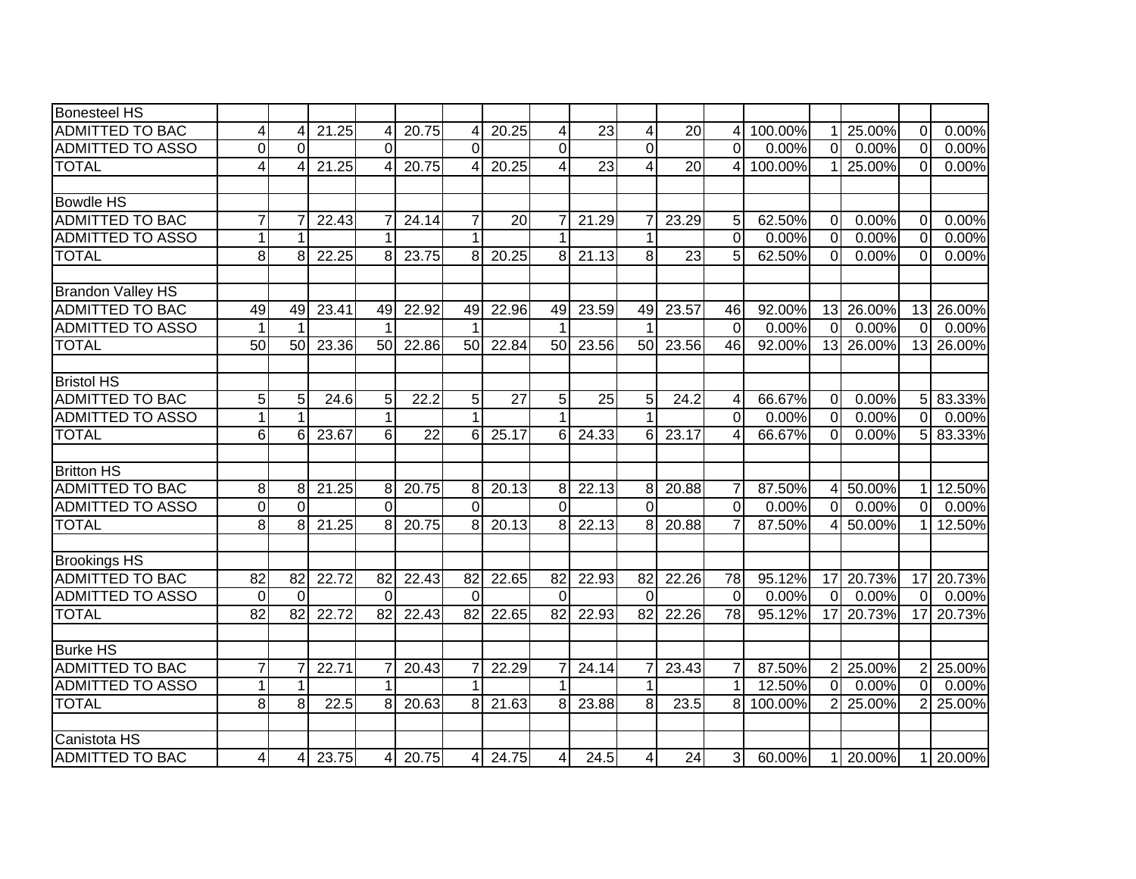| <b>Bonesteel HS</b>                               |                     |                 |       |                 |                 |                 |                 |                 |                 |                 |                 |                   |                 |                |                    |                 |           |
|---------------------------------------------------|---------------------|-----------------|-------|-----------------|-----------------|-----------------|-----------------|-----------------|-----------------|-----------------|-----------------|-------------------|-----------------|----------------|--------------------|-----------------|-----------|
| <b>ADMITTED TO BAC</b>                            | 4                   |                 | 21.25 | 4               | 20.75           |                 | 20.25           | 4               | 23              | 4               | 20              | 4                 | 100.00%         |                | 25.00%             | $\Omega$        | 0.00%     |
| <b>ADMITTED TO ASSO</b>                           | 0                   | $\Omega$        |       | $\Omega$        |                 | $\Omega$        |                 | $\overline{0}$  |                 | $\overline{0}$  |                 | $\Omega$          | 0.00%           | $\overline{0}$ | 0.00%              | $\Omega$        | 0.00%     |
| <b>TOTAL</b>                                      | 4                   |                 | 21.25 | 4               | 20.75           | 4               | 20.25           | 4               | $\overline{23}$ | 4               | $\overline{20}$ | 4                 | 100.00%         |                | 25.00%             | $\Omega$        | 0.00%     |
|                                                   |                     |                 |       |                 |                 |                 |                 |                 |                 |                 |                 |                   |                 |                |                    |                 |           |
| <b>Bowdle HS</b>                                  |                     |                 |       |                 |                 |                 |                 |                 |                 |                 |                 |                   |                 |                |                    |                 |           |
| <b>ADMITTED TO BAC</b>                            | $\overline{7}$      |                 | 22.43 | 7               | 24.14           | 7               | 20              | $\overline{7}$  | 21.29           | 7               | 23.29           | 5                 | 62.50%          | $\overline{0}$ | 0.00%              | 0               | 0.00%     |
| <b>ADMITTED TO ASSO</b>                           | $\mathbf{1}$        |                 |       | 1               |                 |                 |                 | 1               |                 | 1               |                 | $\mathbf 0$       | 0.00%           | $\overline{O}$ | 0.00%              | $\Omega$        | 0.00%     |
| <b>TOTAL</b>                                      | $\bf 8$             | 8               | 22.25 | 8 <sup>1</sup>  | 23.75           | 8               | 20.25           | 8 <sup>1</sup>  | 21.13           | 8               | 23              | 5                 | 62.50%          | $\overline{0}$ | 0.00%              | $\Omega$        | 0.00%     |
|                                                   |                     |                 |       |                 |                 |                 |                 |                 |                 |                 |                 |                   |                 |                |                    |                 |           |
| <b>Brandon Valley HS</b>                          |                     |                 |       |                 |                 |                 |                 |                 |                 |                 |                 |                   |                 |                |                    |                 |           |
| <b>ADMITTED TO BAC</b><br><b>ADMITTED TO ASSO</b> | 49<br>$\mathbf 1$   | 49<br>1         | 23.41 | 49              | 22.92           | 49              | 22.96           | 49              | 23.59           | 49              | 23.57           | 46<br>$\mathbf 0$ | 92.00%<br>0.00% | $\overline{0}$ | 13 26.00%<br>0.00% | $\Omega$        | 13 26.00% |
|                                                   | 50                  | 50              |       | 50              |                 | 50              |                 | 1               |                 | 50              |                 | 46                | 92.00%          |                |                    |                 | 0.00%     |
| <b>TOTAL</b>                                      |                     |                 | 23.36 |                 | 22.86           |                 | 22.84           | 50              | 23.56           |                 | 23.56           |                   |                 |                | 13 26.00%          |                 | 13 26.00% |
| <b>Bristol HS</b>                                 |                     |                 |       |                 |                 |                 |                 |                 |                 |                 |                 |                   |                 |                |                    |                 |           |
| <b>ADMITTED TO BAC</b>                            | $\overline{5}$      | 5 <sub>1</sub>  | 24.6  | 5               | 22.2            | 5               | $\overline{27}$ | 5               | 25              | 5               | 24.2            | 4                 | 66.67%          | $\overline{0}$ | 0.00%              | 5 <sub>l</sub>  | 83.33%    |
| <b>ADMITTED TO ASSO</b>                           | $\mathbf{1}$        |                 |       | $\mathbf{1}$    |                 | 1               |                 | $\mathbf{1}$    |                 | 1               |                 | $\overline{0}$    | 0.00%           | $\overline{0}$ | 0.00%              | $\overline{0}$  | 0.00%     |
| <b>TOTAL</b>                                      | $6\phantom{1}$      | 6               | 23.67 | $6 \mid$        | $\overline{22}$ | 6               | 25.17           | 6               | 24.33           | 6               | 23.17           | $\overline{4}$    | 66.67%          | $\overline{0}$ | 0.00%              | $\overline{5}$  | 83.33%    |
|                                                   |                     |                 |       |                 |                 |                 |                 |                 |                 |                 |                 |                   |                 |                |                    |                 |           |
| <b>Britton HS</b>                                 |                     |                 |       |                 |                 |                 |                 |                 |                 |                 |                 |                   |                 |                |                    |                 |           |
| <b>ADMITTED TO BAC</b>                            | 8                   | 8               | 21.25 | $\infty$        | 20.75           | 8               | 20.13           | 8               | 22.13           | 8               | 20.88           | $\overline{7}$    | 87.50%          |                | 4 50.00%           | 1 <sup>1</sup>  | 12.50%    |
| <b>ADMITTED TO ASSO</b>                           | $\mathsf{O}\xspace$ | $\Omega$        |       | $\Omega$        |                 | $\Omega$        |                 | $\Omega$        |                 | $\Omega$        |                 | $\overline{0}$    | 0.00%           | $\overline{0}$ | $0.00\%$           | $\overline{0}$  | 0.00%     |
| <b>TOTAL</b>                                      | œ.                  | 8               | 21.25 | $\overline{8}$  | 20.75           | 8               | 20.13           | 8               | 22.13           | 8               | 20.88           | $\overline{7}$    | 87.50%          | 4 <sup>1</sup> | 50.00%             | $\mathbf{1}$    | 12.50%    |
|                                                   |                     |                 |       |                 |                 |                 |                 |                 |                 |                 |                 |                   |                 |                |                    |                 |           |
| <b>Brookings HS</b>                               |                     |                 |       |                 |                 |                 |                 |                 |                 |                 |                 |                   |                 |                |                    |                 |           |
| <b>ADMITTED TO BAC</b>                            | $\overline{82}$     | $\overline{82}$ | 22.72 | $\overline{82}$ | 22.43           | $\overline{82}$ | 22.65           | $\overline{82}$ | 22.93           | $\overline{82}$ | 22.26           | $\overline{78}$   | 95.12%          | 17             | 20.73%             | $\overline{17}$ | 20.73%    |
| <b>ADMITTED TO ASSO</b>                           | $\overline{0}$      | $\Omega$        |       | $\Omega$        |                 | $\Omega$        |                 | $\overline{0}$  |                 | $\overline{0}$  |                 | $\mathbf 0$       | 0.00%           | $\overline{0}$ | $0.00\%$           | $\overline{0}$  | 0.00%     |
| <b>TOTAL</b>                                      | 82                  | $\overline{82}$ | 22.72 | $\overline{82}$ | 22.43           | $\overline{82}$ | 22.65           | 82              | 22.93           | $\overline{82}$ | 22.26           | $\overline{78}$   | 95.12%          | 17             | 20.73%             | 17              | 20.73%    |
| <b>Burke HS</b>                                   |                     |                 |       |                 |                 |                 |                 |                 |                 |                 |                 |                   |                 |                |                    |                 |           |
| <b>ADMITTED TO BAC</b>                            | $\overline{7}$      |                 | 22.71 | 7               | 20.43           |                 | 22.29           | 7               | 24.14           | 7               | 23.43           | $\overline{7}$    | 87.50%          |                | 2 25.00%           | 2               | 25.00%    |
| <b>ADMITTED TO ASSO</b>                           | $\mathbf{1}$        |                 |       | 1               |                 |                 |                 | $\mathbf{1}$    |                 | 1               |                 | 1                 | 12.50%          | $\overline{0}$ | 0.00%              | $\Omega$        | 0.00%     |
| <b>TOTAL</b>                                      | $\overline{8}$      | 8               | 22.5  | $\overline{8}$  | 20.63           | 8               | 21.63           | 8               | 23.88           | 8               | 23.5            | 8                 | 100.00%         |                | 2 25.00%           | $\overline{2}$  | 25.00%    |
|                                                   |                     |                 |       |                 |                 |                 |                 |                 |                 |                 |                 |                   |                 |                |                    |                 |           |
| Canistota HS                                      |                     |                 |       |                 |                 |                 |                 |                 |                 |                 |                 |                   |                 |                |                    |                 |           |
| <b>ADMITTED TO BAC</b>                            | 4                   | 4               | 23.75 | $\overline{4}$  | 20.75           | 4               | 24.75           | $\overline{4}$  | 24.5            | 4               | 24              | 3                 | 60.00%          |                | 1 20.00%           |                 | 1 20.00%  |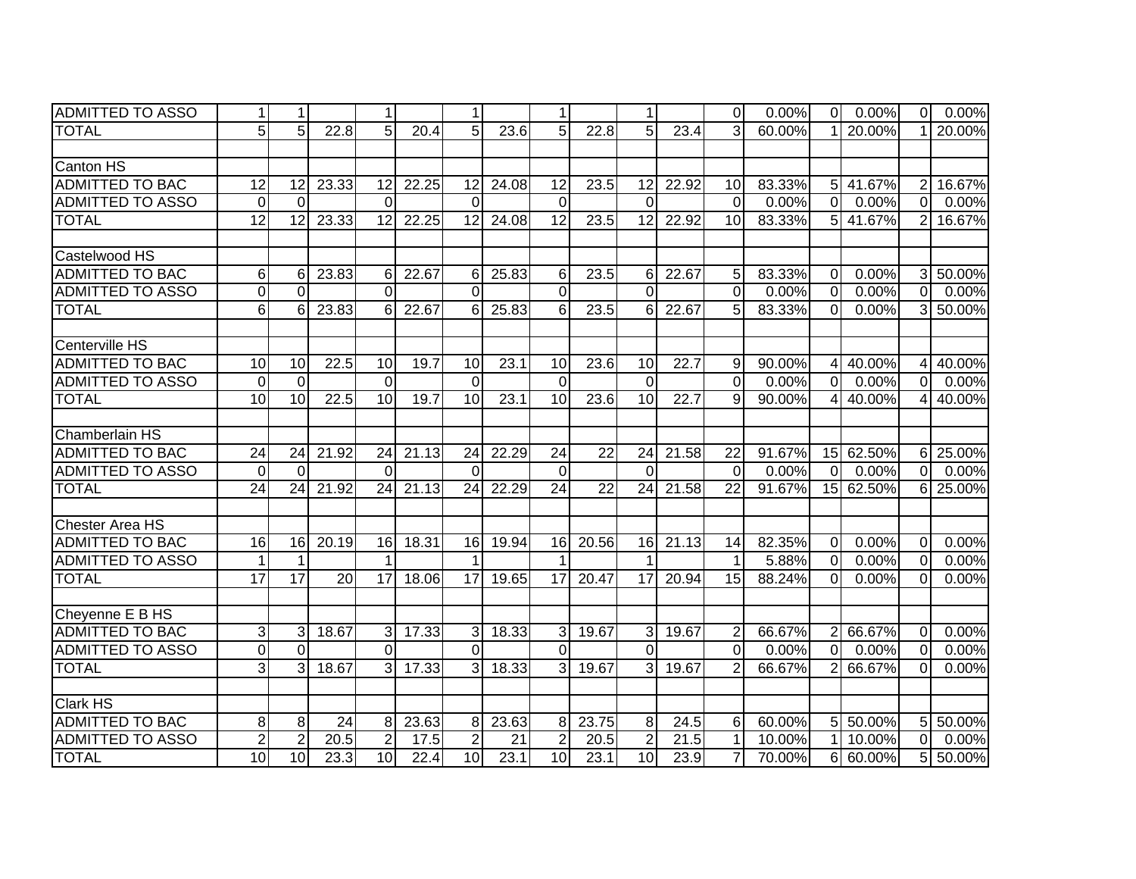| <b>ADMITTED TO ASSO</b> | $\mathbf{1}$     | $\mathbf{1}$    |                 | $\mathbf{1}$    |       | 1               |       | $\mathbf{1}$        |                 | 1               |       | $\Omega$        | 0.00%  | $\overline{0}$ | 0.00%     | 0              | $0.00\%$ |
|-------------------------|------------------|-----------------|-----------------|-----------------|-------|-----------------|-------|---------------------|-----------------|-----------------|-------|-----------------|--------|----------------|-----------|----------------|----------|
| <b>TOTAL</b>            | 5                | 5               | 22.8            | 5 <sub>l</sub>  | 20.4  | 5               | 23.6  | 5                   | 22.8            | 5               | 23.4  | 3               | 60.00% |                | 20.00%    |                | 20.00%   |
|                         |                  |                 |                 |                 |       |                 |       |                     |                 |                 |       |                 |        |                |           |                |          |
| <b>Canton HS</b>        |                  |                 |                 |                 |       |                 |       |                     |                 |                 |       |                 |        |                |           |                |          |
| <b>ADMITTED TO BAC</b>  | $\overline{12}$  | 12              | 23.33           | $\overline{12}$ | 22.25 | 12              | 24.08 | $\overline{12}$     | 23.5            | 12              | 22.92 | 10              | 83.33% |                | 5 41.67%  | $\overline{2}$ | 16.67%   |
| <b>ADMITTED TO ASSO</b> | $\mathbf 0$      | $\Omega$        |                 | $\Omega$        |       | $\Omega$        |       | $\mathbf 0$         |                 | $\Omega$        |       | $\mathbf 0$     | 0.00%  | $\overline{0}$ | 0.00%     | $\overline{0}$ | 0.00%    |
| <b>TOTAL</b>            | $\overline{12}$  | 12              | 23.33           | 12              | 22.25 | 12              | 24.08 | $\overline{12}$     | 23.5            | 12              | 22.92 | 10              | 83.33% | 5 <sup>1</sup> | 41.67%    | $\overline{2}$ | 16.67%   |
|                         |                  |                 |                 |                 |       |                 |       |                     |                 |                 |       |                 |        |                |           |                |          |
| Castelwood HS           |                  |                 |                 |                 |       |                 |       |                     |                 |                 |       |                 |        |                |           |                |          |
| ADMITTED TO BAC         | 6                | 6               | 23.83           | 6               | 22.67 | 6               | 25.83 | 6                   | 23.5            | 6               | 22.67 | 5               | 83.33% | $\overline{0}$ | 0.00%     | $\overline{3}$ | 50.00%   |
| <b>ADMITTED TO ASSO</b> | $\boldsymbol{0}$ | $\Omega$        |                 | $\Omega$        |       | $\Omega$        |       | $\overline{0}$      |                 | $\Omega$        |       | $\overline{0}$  | 0.00%  | $\overline{0}$ | 0.00%     | $\overline{0}$ | 0.00%    |
| <b>TOTAL</b>            | $\overline{6}$   | 6               | 23.83           | $6 \mid$        | 22.67 | 6               | 25.83 | $6\phantom{1}$      | 23.5            | 6               | 22.67 | 5               | 83.33% | $\overline{0}$ | 0.00%     | 3              | 50.00%   |
|                         |                  |                 |                 |                 |       |                 |       |                     |                 |                 |       |                 |        |                |           |                |          |
| Centerville HS          |                  |                 |                 |                 |       |                 |       |                     |                 |                 |       |                 |        |                |           |                |          |
| ADMITTED TO BAC         | 10               | 10              | 22.5            | 10              | 19.7  | 10              | 23.1  | 10                  | 23.6            | 10              | 22.7  | 9               | 90.00% | 41             | 40.00%    | 4              | 40.00%   |
| <b>ADMITTED TO ASSO</b> | $\overline{0}$   | $\Omega$        |                 | $\Omega$        |       | $\Omega$        |       | $\Omega$            |                 | $\Omega$        |       | $\Omega$        | 0.00%  | $\Omega$       | 0.00%     | $\Omega$       | 0.00%    |
| <b>TOTAL</b>            | 10               | 10              | 22.5            | 10              | 19.7  | 10              | 23.1  | 10                  | 23.6            | 10              | 22.7  | 9               | 90.00% | 4 <sup>1</sup> | 40.00%    | $\overline{4}$ | 40.00%   |
|                         |                  |                 |                 |                 |       |                 |       |                     |                 |                 |       |                 |        |                |           |                |          |
| <b>Chamberlain HS</b>   |                  |                 |                 |                 |       |                 |       |                     |                 |                 |       |                 |        |                |           |                |          |
| <b>ADMITTED TO BAC</b>  | 24               | 24              | 21.92           | 24              | 21.13 | 24              | 22.29 | 24                  | 22              | 24              | 21.58 | 22              | 91.67% |                | 15 62.50% | 6I             | 25.00%   |
| <b>ADMITTED TO ASSO</b> | $\Omega$         | $\Omega$        |                 | $\Omega$        |       | $\Omega$        |       | $\Omega$            |                 | $\Omega$        |       | $\Omega$        | 0.00%  | $\Omega$       | 0.00%     | $\Omega$       | 0.00%    |
| <b>TOTAL</b>            | $\overline{24}$  | $\overline{24}$ | 21.92           | 24              | 21.13 | $\overline{24}$ | 22.29 | 24                  | $\overline{22}$ | $\overline{24}$ | 21.58 | $\overline{22}$ | 91.67% |                | 15 62.50% |                | 6 25.00% |
|                         |                  |                 |                 |                 |       |                 |       |                     |                 |                 |       |                 |        |                |           |                |          |
| <b>Chester Area HS</b>  |                  |                 |                 |                 |       |                 |       |                     |                 |                 |       |                 |        |                |           |                |          |
| <b>ADMITTED TO BAC</b>  | 16               | 16              | 20.19           | 16              | 18.31 | 16              | 19.94 | 16                  | 20.56           | 16              | 21.13 | 14              | 82.35% | $\overline{0}$ | 0.00%     | $\overline{0}$ | 0.00%    |
| <b>ADMITTED TO ASSO</b> | $\mathbf{1}$     |                 |                 |                 |       | 1               |       |                     |                 |                 |       | $\mathbf{1}$    | 5.88%  | $\overline{0}$ | 0.00%     | $\overline{0}$ | 0.00%    |
| <b>TOTAL</b>            | $\overline{17}$  | $\overline{17}$ | $\overline{20}$ | $\overline{17}$ | 18.06 | 17              | 19.65 | $\overline{17}$     | 20.47           | $\overline{17}$ | 20.94 | 15              | 88.24% | $\Omega$       | 0.00%     | $\mathbf 0$    | 0.00%    |
|                         |                  |                 |                 |                 |       |                 |       |                     |                 |                 |       |                 |        |                |           |                |          |
| Cheyenne E B HS         |                  |                 |                 |                 |       |                 |       |                     |                 |                 |       |                 |        |                |           |                |          |
| <b>ADMITTED TO BAC</b>  | 3                | 3               | 18.67           | 3 <sup>l</sup>  | 17.33 | 3               | 18.33 | $\overline{\omega}$ | 19.67           | 3               | 19.67 | $\overline{2}$  | 66.67% | 2 <sup>1</sup> | 66.67%    | $\mathbf 0$    | 0.00%    |
| <b>ADMITTED TO ASSO</b> | $\mathbf 0$      | $\Omega$        |                 | $\overline{0}$  |       | $\Omega$        |       | $\overline{0}$      |                 | $\Omega$        |       | $\mathbf 0$     | 0.00%  | $\overline{0}$ | 0.00%     | 0              | 0.00%    |
| <b>TOTAL</b>            | 3                | 3               | 18.67           | $\overline{3}$  | 17.33 | 3               | 18.33 | $\overline{3}$      | 19.67           | 3               | 19.67 | $\overline{2}$  | 66.67% | 2 <sup>1</sup> | 66.67%    | $\Omega$       | 0.00%    |
|                         |                  |                 |                 |                 |       |                 |       |                     |                 |                 |       |                 |        |                |           |                |          |
| <b>Clark HS</b>         |                  |                 |                 |                 |       |                 |       |                     |                 |                 |       |                 |        |                |           |                |          |
| <b>ADMITTED TO BAC</b>  | 8                | 8               | 24              | 8 <sup>1</sup>  | 23.63 | 8               | 23.63 | 8                   | 23.75           | 8               | 24.5  | 6               | 60.00% |                | 5 50.00%  | 5 <sub>l</sub> | 50.00%   |
| <b>ADMITTED TO ASSO</b> | $\overline{2}$   | $\overline{2}$  | 20.5            | $\overline{2}$  | 17.5  | $\overline{2}$  | 21    | $\overline{2}$      | 20.5            | $\overline{2}$  | 21.5  | $\mathbf 1$     | 10.00% | 11             | 10.00%    | $\overline{0}$ | 0.00%    |
| <b>TOTAL</b>            | $\overline{10}$  | 10              | 23.3            | 10              | 22.4  | 10              | 23.1  | 10                  | 23.1            | 10              | 23.9  | $\overline{7}$  | 70.00% |                | 6 60.00%  | 5              | 50.00%   |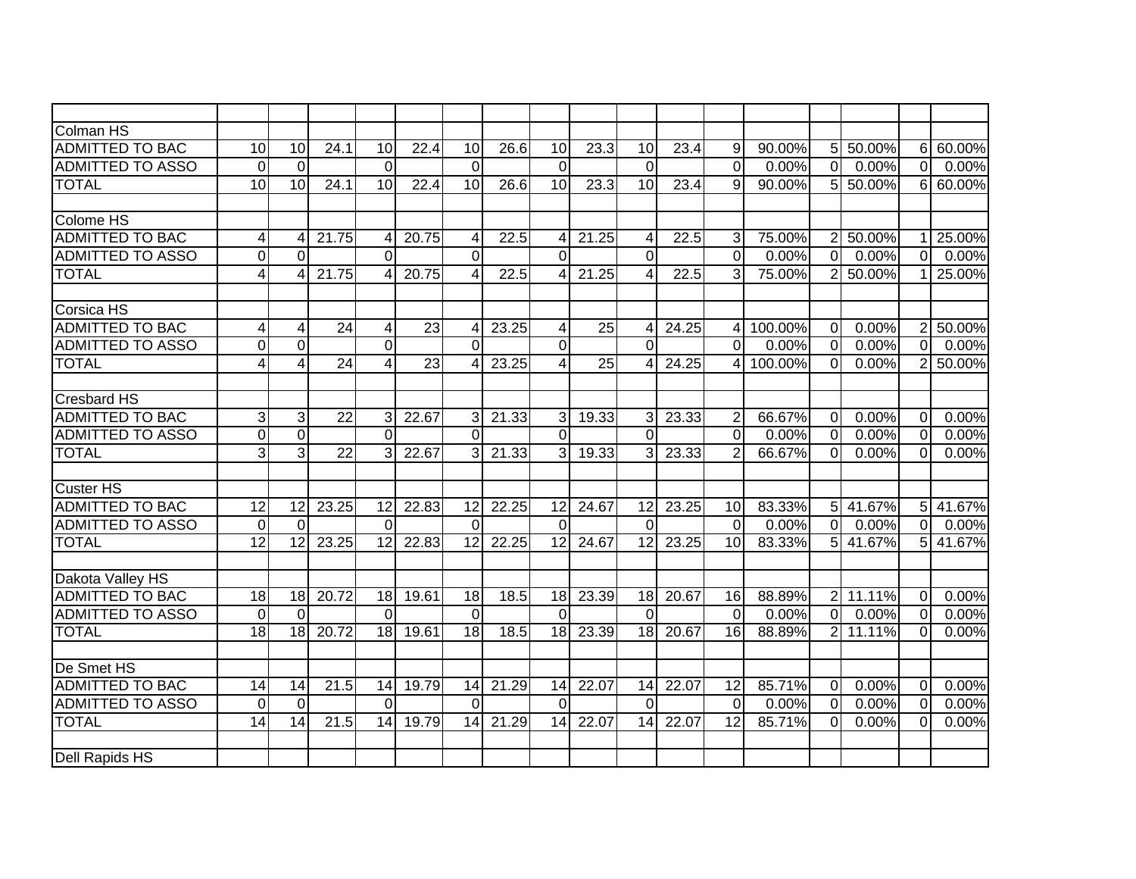| <b>Colman HS</b>        |                 |                 |                 |                 |                 |                       |       |                          |                 |                 |       |                 |         |                |          |                |          |
|-------------------------|-----------------|-----------------|-----------------|-----------------|-----------------|-----------------------|-------|--------------------------|-----------------|-----------------|-------|-----------------|---------|----------------|----------|----------------|----------|
| <b>ADMITTED TO BAC</b>  | $\overline{10}$ | 10              | 24.1            | 10              | 22.4            | 10                    | 26.6  | 10                       | 23.3            | 10              | 23.4  | 9               | 90.00%  | 5 <sup>1</sup> | 50.00%   | 6              | 60.00%   |
| <b>ADMITTED TO ASSO</b> | $\overline{0}$  | $\mathbf{0}$    |                 | $\mathbf 0$     |                 | $\Omega$              |       | $\mathbf 0$              |                 | $\Omega$        |       | $\overline{0}$  | 0.00%   | $\overline{0}$ | 0.00%    | $\Omega$       | 0.00%    |
| <b>TOTAL</b>            | $\overline{10}$ | 10              | 24.1            | 10              | 22.4            | 10                    | 26.6  | $\overline{10}$          | 23.3            | 10              | 23.4  | 9               | 90.00%  | 5 <sub>l</sub> | 50.00%   | 6              | 60.00%   |
|                         |                 |                 |                 |                 |                 |                       |       |                          |                 |                 |       |                 |         |                |          |                |          |
| Colome HS               |                 |                 |                 |                 |                 |                       |       |                          |                 |                 |       |                 |         |                |          |                |          |
| <b>ADMITTED TO BAC</b>  | 4               |                 | 21.75           | 4               | 20.75           | 4                     | 22.5  | 4                        | 21.25           | 4               | 22.5  | 3               | 75.00%  | $\mathbf{2}$   | 50.00%   |                | 25.00%   |
| <b>ADMITTED TO ASSO</b> | $\overline{0}$  | $\Omega$        |                 | $\Omega$        |                 | $\Omega$              |       | $\Omega$                 |                 | $\Omega$        |       | $\Omega$        | 0.00%   | $\Omega$       | 0.00%    | $\Omega$       | 0.00%    |
| <b>TOTAL</b>            | 4               |                 | 21.75           | 4               | 20.75           | 4                     | 22.5  | 4                        | 21.25           | 4               | 22.5  | 3               | 75.00%  | $\overline{2}$ | 50.00%   |                | 25.00%   |
|                         |                 |                 |                 |                 |                 |                       |       |                          |                 |                 |       |                 |         |                |          |                |          |
| <b>Corsica HS</b>       |                 |                 |                 |                 |                 |                       |       |                          |                 |                 |       |                 |         |                |          |                |          |
| <b>ADMITTED TO BAC</b>  | $\overline{4}$  | 4               | $\overline{24}$ | $\overline{4}$  | $\overline{23}$ | 4                     | 23.25 | $\overline{4}$           | 25              | 4               | 24.25 | 4               | 100.00% | $\overline{0}$ | 0.00%    | $\overline{2}$ | 50.00%   |
| <b>ADMITTED TO ASSO</b> | $\mathbf 0$     | $\Omega$        |                 | $\overline{0}$  |                 | $\Omega$              |       | 0                        |                 | $\Omega$        |       | $\Omega$        | 0.00%   | $\overline{0}$ | 0.00%    | $\Omega$       | 0.00%    |
| <b>TOTAL</b>            | $\overline{4}$  | 4               | $\overline{24}$ | 4               | $\overline{23}$ | $\boldsymbol{\Delta}$ | 23.25 | $\overline{\mathcal{A}}$ | $\overline{25}$ | $\overline{4}$  | 24.25 | 4               | 100.00% | $\overline{0}$ | 0.00%    | $\overline{2}$ | 50.00%   |
|                         |                 |                 |                 |                 |                 |                       |       |                          |                 |                 |       |                 |         |                |          |                |          |
| <b>Cresbard HS</b>      |                 |                 |                 |                 |                 |                       |       |                          |                 |                 |       |                 |         |                |          |                |          |
| <b>ADMITTED TO BAC</b>  | 3               | 3               | 22              | 3               | 22.67           | 3                     | 21.33 | 3                        | 19.33           | 3               | 23.33 | $\overline{2}$  | 66.67%  | $\overline{0}$ | 0.00%    | $\mathbf{0}$   | 0.00%    |
| <b>ADMITTED TO ASSO</b> | $\overline{0}$  | $\overline{0}$  |                 | $\Omega$        |                 | $\Omega$              |       | $\Omega$                 |                 | $\Omega$        |       | $\Omega$        | 0.00%   | $\Omega$       | 0.00%    | $\overline{0}$ | 0.00%    |
| <b>TOTAL</b>            | $\overline{3}$  | $\overline{3}$  | $\overline{22}$ | $\mathcal{E}$   | 22.67           | 3                     | 21.33 | 3                        | 19.33           | 3               | 23.33 | $\overline{2}$  | 66.67%  | $\Omega$       | 0.00%    | $\Omega$       | 0.00%    |
|                         |                 |                 |                 |                 |                 |                       |       |                          |                 |                 |       |                 |         |                |          |                |          |
| <b>Custer HS</b>        |                 |                 |                 |                 |                 |                       |       |                          |                 |                 |       |                 |         |                |          |                |          |
| <b>ADMITTED TO BAC</b>  | $\overline{12}$ | $\overline{12}$ | 23.25           | $\overline{12}$ | 22.83           | 12                    | 22.25 | $\overline{12}$          | 24.67           | $\overline{12}$ | 23.25 | $\overline{10}$ | 83.33%  |                | 5 41.67% | 5 <sub>l</sub> | 41.67%   |
| <b>ADMITTED TO ASSO</b> | $\overline{0}$  | $\Omega$        |                 | $\Omega$        |                 | $\Omega$              |       | $\overline{0}$           |                 | $\Omega$        |       | $\overline{0}$  | 0.00%   | $\overline{0}$ | 0.00%    | $\overline{0}$ | $0.00\%$ |
| <b>TOTAL</b>            | 12              | 12              | 23.25           | 12              | 22.83           | 12                    | 22.25 | 12                       | 24.67           | 12              | 23.25 | 10              | 83.33%  |                | 5 41.67% | 5 <sup>5</sup> | 41.67%   |
|                         |                 |                 |                 |                 |                 |                       |       |                          |                 |                 |       |                 |         |                |          |                |          |
| Dakota Valley HS        |                 |                 |                 |                 |                 |                       |       |                          |                 |                 |       |                 |         |                |          |                |          |
| <b>ADMITTED TO BAC</b>  | 18              | 18              | 20.72           | 18              | 19.61           | 18                    | 18.5  | 18                       | 23.39           | 18              | 20.67 | 16              | 88.89%  |                | 2 11.11% | $\Omega$       | 0.00%    |
| <b>ADMITTED TO ASSO</b> | $\overline{0}$  | $\Omega$        |                 | $\Omega$        |                 | $\Omega$              |       | $\Omega$                 |                 | $\Omega$        |       | $\mathbf 0$     | 0.00%   | $\Omega$       | 0.00%    | 0              | 0.00%    |
| <b>TOTAL</b>            | 18              | 18              | 20.72           | 18              | 19.61           | 18                    | 18.5  | 18                       | 23.39           | 18              | 20.67 | 16              | 88.89%  |                | 2 11.11% | $\Omega$       | 0.00%    |
|                         |                 |                 |                 |                 |                 |                       |       |                          |                 |                 |       |                 |         |                |          |                |          |
| De Smet HS              |                 |                 |                 |                 |                 |                       |       |                          |                 |                 |       |                 |         |                |          |                |          |
| <b>ADMITTED TO BAC</b>  | 14              | 14              | 21.5            | 14              | 19.79           | 14                    | 21.29 | 14                       | 22.07           | 14              | 22.07 | 12              | 85.71%  | $\mathbf 0$    | 0.00%    | $\mathbf 0$    | 0.00%    |
| <b>ADMITTED TO ASSO</b> | $\mathbf 0$     | 0               |                 | $\Omega$        |                 | $\Omega$              |       | $\Omega$                 |                 | $\Omega$        |       | $\mathbf 0$     | 0.00%   | $\mathbf 0$    | 0.00%    | 0              | 0.00%    |
| <b>TOTAL</b>            | 14              | 14              | 21.5            | 14              | 19.79           | 14                    | 21.29 | 14                       | 22.07           | 14              | 22.07 | 12              | 85.71%  | $\overline{0}$ | 0.00%    | $\Omega$       | 0.00%    |
|                         |                 |                 |                 |                 |                 |                       |       |                          |                 |                 |       |                 |         |                |          |                |          |
| Dell Rapids HS          |                 |                 |                 |                 |                 |                       |       |                          |                 |                 |       |                 |         |                |          |                |          |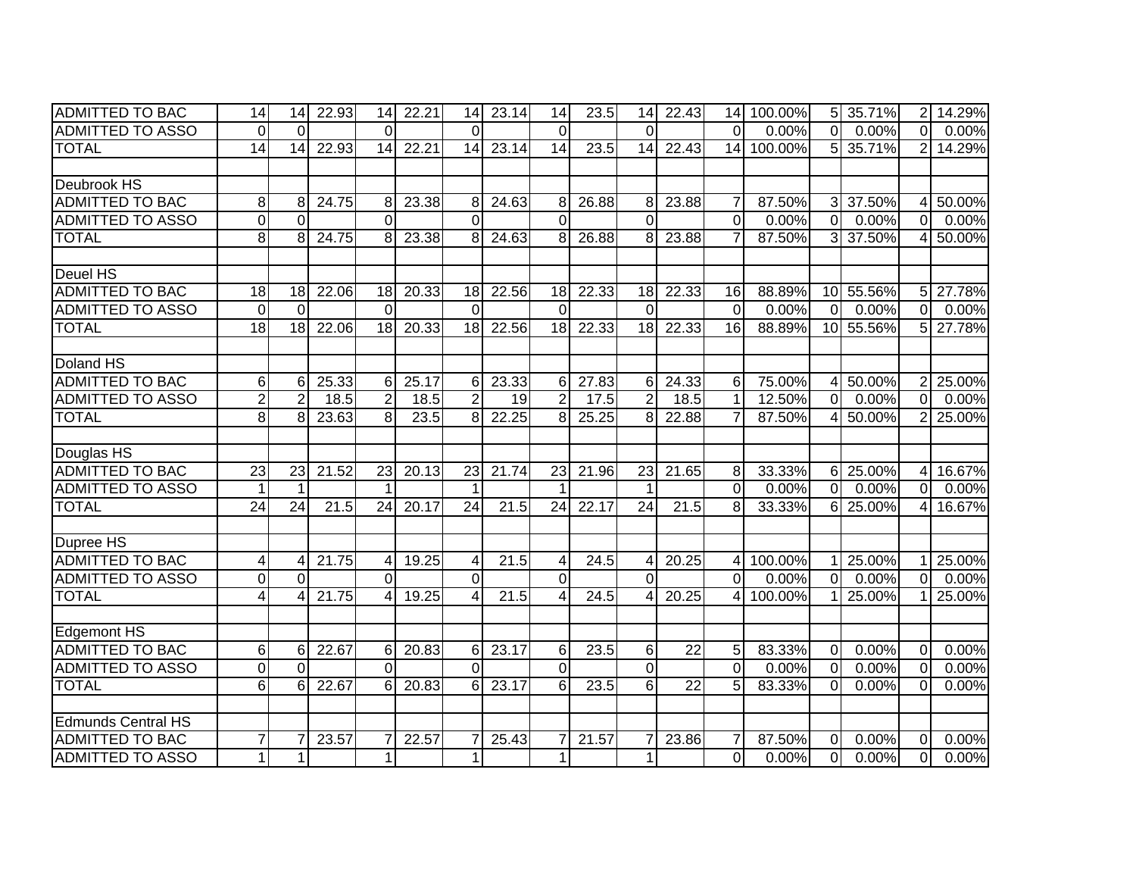| <b>ADMITTED TO BAC</b>    | 14               | 14              | 22.93 | 14              | 22.21 | 14              | 23.14 | 14              | 23.5  | 14              | 22.43           |                | 14 100.00% |                | 5 35.71%  | $\overline{2}$ | 14.29% |
|---------------------------|------------------|-----------------|-------|-----------------|-------|-----------------|-------|-----------------|-------|-----------------|-----------------|----------------|------------|----------------|-----------|----------------|--------|
| <b>ADMITTED TO ASSO</b>   | $\overline{0}$   | $\Omega$        |       | $\Omega$        |       | $\Omega$        |       | $\Omega$        |       | $\Omega$        |                 | $\Omega$       | 0.00%      | $\overline{0}$ | 0.00%     | $\overline{0}$ | 0.00%  |
| <b>TOTAL</b>              | $\overline{14}$  | 14              | 22.93 | 14              | 22.21 | 14              | 23.14 | 14              | 23.5  | 14              | 22.43           | 14             | 100.00%    | 5 <sup>1</sup> | 35.71%    | $\overline{2}$ | 14.29% |
|                           |                  |                 |       |                 |       |                 |       |                 |       |                 |                 |                |            |                |           |                |        |
| Deubrook HS               |                  |                 |       |                 |       |                 |       |                 |       |                 |                 |                |            |                |           |                |        |
| <b>ADMITTED TO BAC</b>    | 8                | 8               | 24.75 | 8               | 23.38 | 8               | 24.63 | 8               | 26.88 | 8               | 23.88           | $\overline{7}$ | 87.50%     |                | 3 37.50%  | $\overline{4}$ | 50.00% |
| <b>ADMITTED TO ASSO</b>   | $\mathbf 0$      | $\Omega$        |       | $\Omega$        |       | $\Omega$        |       | $\overline{0}$  |       | $\Omega$        |                 | $\overline{0}$ | 0.00%      | $\overline{0}$ | 0.00%     | $\overline{0}$ | 0.00%  |
| <b>TOTAL</b>              | 8                | 8               | 24.75 | 8               | 23.38 | 8               | 24.63 | 8               | 26.88 | 8               | 23.88           | $\overline{7}$ | 87.50%     | 3 <sup>1</sup> | 37.50%    | 4              | 50.00% |
|                           |                  |                 |       |                 |       |                 |       |                 |       |                 |                 |                |            |                |           |                |        |
| Deuel HS                  |                  |                 |       |                 |       |                 |       |                 |       |                 |                 |                |            |                |           |                |        |
| <b>ADMITTED TO BAC</b>    | 18               | 18              | 22.06 | 18              | 20.33 | 18              | 22.56 | 18              | 22.33 | 18              | 22.33           | 16             | 88.89%     |                | 10 55.56% | 5 <sub>l</sub> | 27.78% |
| <b>ADMITTED TO ASSO</b>   | $\mathbf 0$      | $\Omega$        |       | $\Omega$        |       | $\Omega$        |       | $\mathbf 0$     |       | $\Omega$        |                 | $\mathbf 0$    | 0.00%      | $\overline{0}$ | 0.00%     | $\overline{0}$ | 0.00%  |
| <b>TOTAL</b>              | $\overline{18}$  | 18              | 22.06 | 18              | 20.33 | 18              | 22.56 | 18              | 22.33 | $\overline{18}$ | 22.33           | 16             | 88.89%     |                | 10 55.56% | 5              | 27.78% |
|                           |                  |                 |       |                 |       |                 |       |                 |       |                 |                 |                |            |                |           |                |        |
| Doland HS                 |                  |                 |       |                 |       |                 |       |                 |       |                 |                 |                |            |                |           |                |        |
| <b>ADMITTED TO BAC</b>    | 6                | 6               | 25.33 | $6 \mid$        | 25.17 | 6               | 23.33 | $6 \mid$        | 27.83 | 6               | 24.33           | 6              | 75.00%     | 41             | 50.00%    | $\overline{2}$ | 25.00% |
| <b>ADMITTED TO ASSO</b>   | $\overline{2}$   | 2               | 18.5  | $\overline{2}$  | 18.5  | $\overline{2}$  | 19    | $\overline{2}$  | 17.5  | $\overline{2}$  | 18.5            | $\mathbf{1}$   | 12.50%     | $\Omega$       | 0.00%     | $\Omega$       | 0.00%  |
| <b>TOTAL</b>              | 8                | 8               | 23.63 | 8 <sup>1</sup>  | 23.5  | 8               | 22.25 | 8 <sup>1</sup>  | 25.25 | 8               | 22.88           | $\overline{7}$ | 87.50%     | 41             | 50.00%    | $\overline{2}$ | 25.00% |
|                           |                  |                 |       |                 |       |                 |       |                 |       |                 |                 |                |            |                |           |                |        |
| Douglas HS                |                  |                 |       |                 |       |                 |       |                 |       |                 |                 |                |            |                |           |                |        |
| <b>ADMITTED TO BAC</b>    | 23               | 23              | 21.52 | 23              | 20.13 | 23              | 21.74 | 23              | 21.96 | 23              | 21.65           | 8              | 33.33%     |                | 6 25.00%  | $\overline{4}$ | 16.67% |
| <b>ADMITTED TO ASSO</b>   | $\mathbf{1}$     |                 |       |                 |       | 1               |       | 1               |       | $\mathbf 1$     |                 | $\overline{0}$ | 0.00%      | $\overline{0}$ | 0.00%     | $\overline{0}$ | 0.00%  |
| <b>TOTAL</b>              | $\overline{24}$  | $\overline{24}$ | 21.5  | $\overline{24}$ | 20.17 | $\overline{24}$ | 21.5  | $\overline{24}$ | 22.17 | $\overline{24}$ | 21.5            | 8              | 33.33%     |                | 6 25.00%  | $\overline{4}$ | 16.67% |
|                           |                  |                 |       |                 |       |                 |       |                 |       |                 |                 |                |            |                |           |                |        |
| Dupree HS                 |                  |                 |       |                 |       |                 |       |                 |       |                 |                 |                |            |                |           |                |        |
| <b>ADMITTED TO BAC</b>    | $\overline{4}$   | 4               | 21.75 | $\overline{4}$  | 19.25 | 4               | 21.5  | 4               | 24.5  | 4               | 20.25           | $\overline{4}$ | 100.00%    |                | 1 25.00%  | $\mathbf{1}$   | 25.00% |
| <b>ADMITTED TO ASSO</b>   | $\boldsymbol{0}$ | $\Omega$        |       | $\Omega$        |       | $\mathbf 0$     |       | $\overline{0}$  |       | $\Omega$        |                 | $\overline{0}$ | 0.00%      | $\overline{0}$ | 0.00%     | $\overline{0}$ | 0.00%  |
| <b>TOTAL</b>              | $\overline{4}$   |                 | 21.75 | $\overline{4}$  | 19.25 | $\Delta$        | 21.5  | $\overline{4}$  | 24.5  | $\overline{4}$  | 20.25           | $\overline{4}$ | 100.00%    | 11             | 25.00%    |                | 25.00% |
|                           |                  |                 |       |                 |       |                 |       |                 |       |                 |                 |                |            |                |           |                |        |
| <b>Edgemont HS</b>        |                  |                 |       |                 |       |                 |       |                 |       |                 |                 |                |            |                |           |                |        |
| <b>ADMITTED TO BAC</b>    | 6                | 6               | 22.67 | $6 \mid$        | 20.83 | 6               | 23.17 | 6               | 23.5  | 6               | $\overline{22}$ | 5              | 83.33%     | $\overline{0}$ | 0.00%     | $\mathbf 0$    | 0.00%  |
| <b>ADMITTED TO ASSO</b>   | $\mathbf 0$      | $\Omega$        |       | $\Omega$        |       | $\Omega$        |       | $\overline{0}$  |       | $\overline{0}$  |                 | $\mathbf 0$    | 0.00%      | $\overline{0}$ | 0.00%     | $\mathbf 0$    | 0.00%  |
| <b>TOTAL</b>              | 6                | 6               | 22.67 | $6 \mid$        | 20.83 | 6               | 23.17 | $6 \mid$        | 23.5  | 6               | $\overline{22}$ | 5              | 83.33%     | $\Omega$       | 0.00%     | $\Omega$       | 0.00%  |
|                           |                  |                 |       |                 |       |                 |       |                 |       |                 |                 |                |            |                |           |                |        |
| <b>Edmunds Central HS</b> |                  |                 |       |                 |       |                 |       |                 |       |                 |                 |                |            |                |           |                |        |
| <b>ADMITTED TO BAC</b>    | $\overline{7}$   |                 | 23.57 |                 | 22.57 |                 | 25.43 | $\overline{7}$  | 21.57 | $\overline{7}$  | 23.86           | $\overline{7}$ | 87.50%     | $\overline{0}$ | 0.00%     | $\Omega$       | 0.00%  |
| <b>ADMITTED TO ASSO</b>   | $\mathbf{1}$     |                 |       | $\mathbf{1}$    |       | $\mathbf{1}$    |       | $\mathbf{1}$    |       | $\mathbf{1}$    |                 | $\overline{0}$ | 0.00%      | $\overline{0}$ | 0.00%     | $\overline{0}$ | 0.00%  |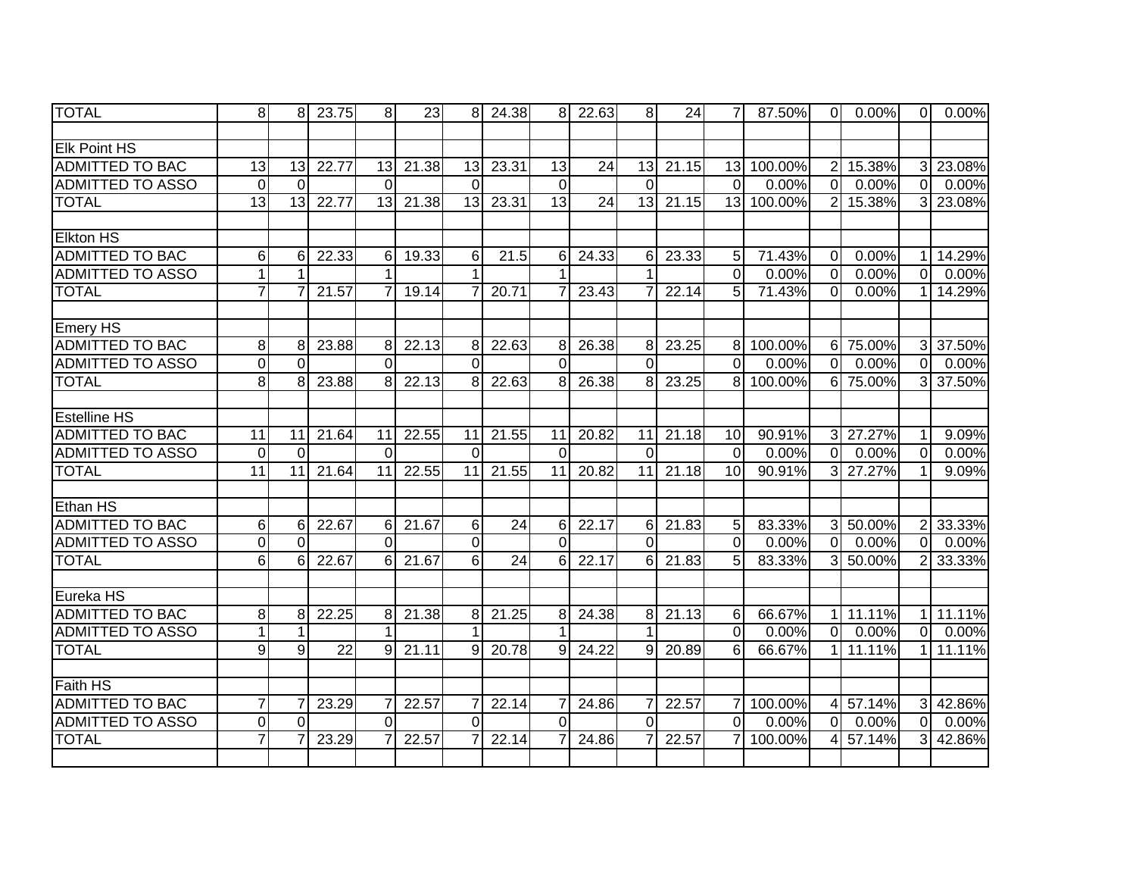| <b>TOTAL</b>            | 8               | 8               | 23.75           | 8 <sup>1</sup> | 23    | 8 <sup>1</sup>  | 24.38           | 81             | 22.63           | 8               | 24    | 7              | 87.50%     | $\overline{O}$ | 0.00%    | $\overline{0}$ | 0.00%    |
|-------------------------|-----------------|-----------------|-----------------|----------------|-------|-----------------|-----------------|----------------|-----------------|-----------------|-------|----------------|------------|----------------|----------|----------------|----------|
|                         |                 |                 |                 |                |       |                 |                 |                |                 |                 |       |                |            |                |          |                |          |
| <b>Elk Point HS</b>     |                 |                 |                 |                |       |                 |                 |                |                 |                 |       |                |            |                |          |                |          |
| <b>ADMITTED TO BAC</b>  | $\overline{13}$ | 13              | 22.77           | 13             | 21.38 | 13              | 23.31           | 13             | 24              | 13              | 21.15 |                | 13 100.00% |                | 2 15.38% | 3              | 23.08%   |
| <b>ADMITTED TO ASSO</b> | $\mathbf 0$     | $\Omega$        |                 | $\Omega$       |       | $\Omega$        |                 | $\mathbf 0$    |                 | $\Omega$        |       | $\overline{0}$ | 0.00%      | $\overline{0}$ | 0.00%    | $\overline{0}$ | $0.00\%$ |
| <b>TOTAL</b>            | 13              | $\overline{13}$ | 22.77           | 13             | 21.38 | $\overline{13}$ | 23.31           | 13             | $\overline{24}$ | $\overline{13}$ | 21.15 | 13             | 100.00%    | $\overline{2}$ | 15.38%   | $\overline{3}$ | 23.08%   |
|                         |                 |                 |                 |                |       |                 |                 |                |                 |                 |       |                |            |                |          |                |          |
| <b>Elkton HS</b>        |                 |                 |                 |                |       |                 |                 |                |                 |                 |       |                |            |                |          |                |          |
| <b>ADMITTED TO BAC</b>  | 6               | 6               | 22.33           | $6 \mid$       | 19.33 | 6               | 21.5            | 6              | 24.33           | 6               | 23.33 | 5              | 71.43%     | $\overline{0}$ | 0.00%    | 1              | 14.29%   |
| <b>ADMITTED TO ASSO</b> |                 |                 |                 |                |       |                 |                 |                |                 |                 |       | $\overline{0}$ | 0.00%      | $\overline{0}$ | 0.00%    | $\overline{0}$ | 0.00%    |
| <b>TOTAL</b>            | $\overline{7}$  |                 | 21.57           | $\overline{7}$ | 19.14 |                 | 20.71           | 7              | 23.43           | $\overline{7}$  | 22.14 | 5              | 71.43%     | $\Omega$       | 0.00%    | 1              | 14.29%   |
|                         |                 |                 |                 |                |       |                 |                 |                |                 |                 |       |                |            |                |          |                |          |
| Emery HS                |                 |                 |                 |                |       |                 |                 |                |                 |                 |       |                |            |                |          |                |          |
| <b>ADMITTED TO BAC</b>  | 8               | 8               | 23.88           | 8 <sup>1</sup> | 22.13 | 8               | 22.63           | 8              | 26.38           | 8               | 23.25 |                | 8 100.00%  |                | 6 75.00% | $\mathbf{3}$   | 37.50%   |
| <b>ADMITTED TO ASSO</b> | $\overline{0}$  | $\Omega$        |                 | $\Omega$       |       | $\Omega$        |                 | $\mathbf 0$    |                 | $\Omega$        |       | $\Omega$       | 0.00%      | $\Omega$       | 0.00%    | $\Omega$       | 0.00%    |
| <b>TOTAL</b>            | $\overline{8}$  | 8               | 23.88           | 8 <sup>1</sup> | 22.13 | 8               | 22.63           | 8              | 26.38           | 8               | 23.25 | $\overline{8}$ | 100.00%    |                | 6 75.00% | $\overline{3}$ | 37.50%   |
|                         |                 |                 |                 |                |       |                 |                 |                |                 |                 |       |                |            |                |          |                |          |
| <b>Estelline HS</b>     |                 |                 |                 |                |       |                 |                 |                |                 |                 |       |                |            |                |          |                |          |
| <b>ADMITTED TO BAC</b>  | 11              | 11              | 21.64           | 11             | 22.55 | 11              | 21.55           | 11             | 20.82           | 11              | 21.18 | 10             | 90.91%     |                | 3 27.27% | 1              | 9.09%    |
| <b>ADMITTED TO ASSO</b> | $\mathbf 0$     | $\Omega$        |                 | $\Omega$       |       | $\Omega$        |                 | $\Omega$       |                 | $\Omega$        |       | $\mathbf 0$    | 0.00%      | $\overline{0}$ | 0.00%    | $\Omega$       | 0.00%    |
| <b>TOTAL</b>            | $\overline{11}$ | 11              | 21.64           | 11             | 22.55 | 11              | 21.55           | 11             | 20.82           | 11              | 21.18 | 10             | 90.91%     |                | 3 27.27% | 1              | 9.09%    |
|                         |                 |                 |                 |                |       |                 |                 |                |                 |                 |       |                |            |                |          |                |          |
| Ethan HS                |                 |                 |                 |                |       |                 |                 |                |                 |                 |       |                |            |                |          |                |          |
| <b>ADMITTED TO BAC</b>  | 6               | 6               | 22.67           | $6 \mid$       | 21.67 | 6               | 24              | 6              | 22.17           | 6               | 21.83 | 5              | 83.33%     |                | 3 50.00% |                | 2 33.33% |
| <b>ADMITTED TO ASSO</b> | $\mathbf 0$     | $\Omega$        |                 | $\Omega$       |       | $\mathbf 0$     |                 | 0              |                 | $\Omega$        |       | $\Omega$       | 0.00%      | $\overline{0}$ | $0.00\%$ | $\overline{0}$ | 0.00%    |
| <b>TOTAL</b>            | 6               | 6               | 22.67           | 6 <sup>1</sup> | 21.67 | 6               | $\overline{24}$ | 6              | 22.17           | 6               | 21.83 | 5              | 83.33%     |                | 3 50.00% | $\overline{2}$ | 33.33%   |
|                         |                 |                 |                 |                |       |                 |                 |                |                 |                 |       |                |            |                |          |                |          |
| Eureka HS               |                 |                 |                 |                |       |                 |                 |                |                 |                 |       |                |            |                |          |                |          |
| <b>ADMITTED TO BAC</b>  | 8               | 8               | 22.25           | 8 <sup>1</sup> | 21.38 | 8               | 21.25           | 8              | 24.38           | 8               | 21.13 | $\,6$          | 66.67%     | 1 <sup>1</sup> | 11.11%   | 11             | 11.11%   |
| <b>ADMITTED TO ASSO</b> | $\mathbf{1}$    |                 |                 | 1              |       | 1               |                 | $\mathbf 1$    |                 | 1               |       | $\overline{0}$ | 0.00%      | $\overline{0}$ | 0.00%    | $\overline{0}$ | 0.00%    |
| <b>TOTAL</b>            | 9               | 9               | $\overline{22}$ | 9 <sub>l</sub> | 21.11 | 9               | 20.78           | $\overline{9}$ | 24.22           | 9               | 20.89 | 6              | 66.67%     | 1 <sup>1</sup> | 11.11%   | $\mathbf{1}$   | 11.11%   |
|                         |                 |                 |                 |                |       |                 |                 |                |                 |                 |       |                |            |                |          |                |          |
| <b>Faith HS</b>         |                 |                 |                 |                |       |                 |                 |                |                 |                 |       |                |            |                |          |                |          |
| <b>ADMITTED TO BAC</b>  | $\overline{7}$  |                 | 23.29           | 7              | 22.57 | 7               | 22.14           | $\overline{7}$ | 24.86           | $\overline{7}$  | 22.57 | $\overline{7}$ | 100.00%    |                | 4 57.14% | $\overline{3}$ | 42.86%   |
| <b>ADMITTED TO ASSO</b> | $\overline{0}$  | $\Omega$        |                 | $\Omega$       |       | $\overline{0}$  |                 | $\overline{0}$ |                 | $\overline{0}$  |       | $\overline{0}$ | 0.00%      | $\overline{0}$ | 0.00%    | $\overline{0}$ | 0.00%    |
| <b>TOTAL</b>            | $\overline{7}$  |                 | 23.29           |                | 22.57 |                 | 22.14           | $\overline{7}$ | 24.86           | 7               | 22.57 | $\overline{7}$ | 100.00%    | 4 <sup>1</sup> | 57.14%   | 3              | 42.86%   |
|                         |                 |                 |                 |                |       |                 |                 |                |                 |                 |       |                |            |                |          |                |          |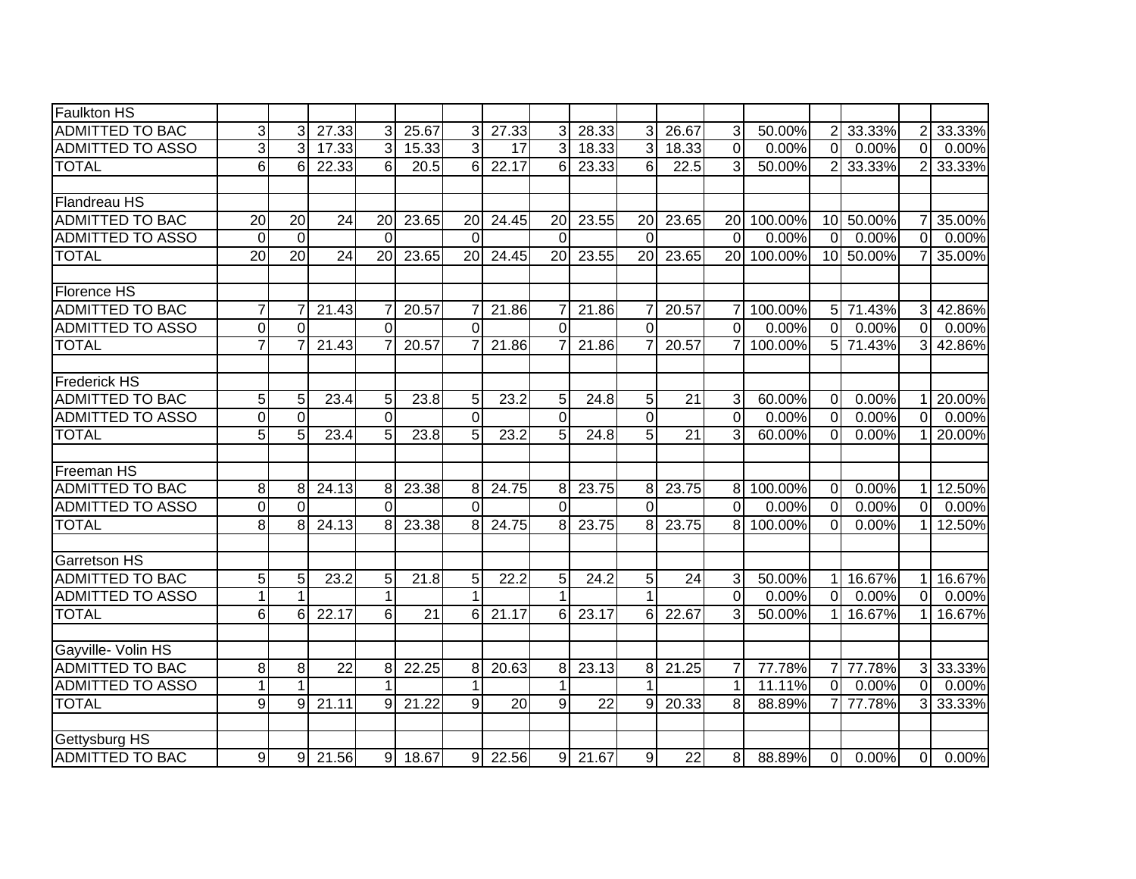| <b>Faulkton HS</b>      |                |                 |       |                |       |          |       |                |       |                |                 |                |         |                 |           |                |        |
|-------------------------|----------------|-----------------|-------|----------------|-------|----------|-------|----------------|-------|----------------|-----------------|----------------|---------|-----------------|-----------|----------------|--------|
| <b>ADMITTED TO BAC</b>  | 3              | 3               | 27.33 | 3              | 25.67 | 3        | 27.33 | 3              | 28.33 | 3              | 26.67           | 3              | 50.00%  | $\overline{2}$  | 33.33%    | 2              | 33.33% |
| <b>ADMITTED TO ASSO</b> | دی             | 3               | 17.33 | 3              | 15.33 | 3        | 17    | 3              | 18.33 | 3              | 18.33           | $\overline{0}$ | 0.00%   | $\overline{0}$  | 0.00%     | $\mathbf 0$    | 0.00%  |
| <b>TOTAL</b>            | 6              | 6               | 22.33 | $6 \mid$       | 20.5  | 6        | 22.17 | 6              | 23.33 | 6              | 22.5            | 3              | 50.00%  | 2 <sup>1</sup>  | 33.33%    | 2              | 33.33% |
|                         |                |                 |       |                |       |          |       |                |       |                |                 |                |         |                 |           |                |        |
| Flandreau HS            |                |                 |       |                |       |          |       |                |       |                |                 |                |         |                 |           |                |        |
| <b>ADMITTED TO BAC</b>  | 20             | 20              | 24    | 20             | 23.65 | 20       | 24.45 | 20             | 23.55 | 20             | 23.65           | 20             | 100.00% |                 | 10 50.00% | 7              | 35.00% |
| <b>ADMITTED TO ASSO</b> | $\Omega$       | $\Omega$        |       | $\Omega$       |       | $\Omega$ |       | $\Omega$       |       | $\Omega$       |                 | $\Omega$       | 0.00%   | $\Omega$        | 0.00%     | $\Omega$       | 0.00%  |
| <b>TOTAL</b>            | 20             | $\overline{20}$ | 24    | 20             | 23.65 | 20       | 24.45 | 20             | 23.55 | 20             | 23.65           | <b>20</b>      | 100.00% |                 | 10 50.00% |                | 35.00% |
|                         |                |                 |       |                |       |          |       |                |       |                |                 |                |         |                 |           |                |        |
| Florence HS             |                |                 |       |                |       |          |       |                |       |                |                 |                |         |                 |           |                |        |
| <b>ADMITTED TO BAC</b>  | $\overline{7}$ |                 | 21.43 | $\overline{7}$ | 20.57 |          | 21.86 | 7              | 21.86 | 7              | 20.57           | 7              | 100.00% |                 | 5 71.43%  | 31             | 42.86% |
| <b>ADMITTED TO ASSO</b> | $\overline{0}$ | $\Omega$        |       | $\Omega$       |       | $\Omega$ |       | $\overline{0}$ |       | $\overline{0}$ |                 | $\Omega$       | 0.00%   | $\Omega$        | 0.00%     | $\Omega$       | 0.00%  |
| <b>TOTAL</b>            | $\overline{7}$ |                 | 21.43 | $\overline{7}$ | 20.57 |          | 21.86 | $\overline{7}$ | 21.86 | 7              | 20.57           | $\overline{7}$ | 100.00% |                 | 5 71.43%  | 31             | 42.86% |
|                         |                |                 |       |                |       |          |       |                |       |                |                 |                |         |                 |           |                |        |
| <b>Frederick HS</b>     |                |                 |       |                |       |          |       |                |       |                |                 |                |         |                 |           |                |        |
| <b>ADMITTED TO BAC</b>  | 5              | 5               | 23.4  | 5              | 23.8  | 5        | 23.2  | 5              | 24.8  | 5              | 21              | $\mathbf{3}$   | 60.00%  | $\overline{0}$  | 0.00%     | 1              | 20.00% |
| <b>ADMITTED TO ASSO</b> | $\overline{0}$ | $\overline{0}$  |       | $\Omega$       |       | $\Omega$ |       | $\overline{0}$ |       | $\overline{0}$ |                 | $\Omega$       | 0.00%   | $\overline{0}$  | 0.00%     | $\overline{0}$ | 0.00%  |
| <b>TOTAL</b>            | 5              | 5               | 23.4  | 5 <sub>l</sub> | 23.8  | 5        | 23.2  | $\overline{5}$ | 24.8  | $\overline{5}$ | $\overline{21}$ | 3              | 60.00%  | $\overline{0}$  | 0.00%     | $\mathbf{1}$   | 20.00% |
|                         |                |                 |       |                |       |          |       |                |       |                |                 |                |         |                 |           |                |        |
| Freeman HS              |                |                 |       |                |       |          |       |                |       |                |                 |                |         |                 |           |                |        |
| <b>ADMITTED TO BAC</b>  | 8              | 8               | 24.13 | 8              | 23.38 | 8        | 24.75 | 8              | 23.75 | 8              | 23.75           | 8 <sup>°</sup> | 100.00% | $\overline{0}$  | 0.00%     | 11             | 12.50% |
| <b>ADMITTED TO ASSO</b> | $\mathbf 0$    | $\Omega$        |       | $\Omega$       |       | $\Omega$ |       | $\Omega$       |       | $\Omega$       |                 | $\Omega$       | 0.00%   | $\Omega$        | 0.00%     | $\Omega$       | 0.00%  |
| <b>TOTAL</b>            | 8              | 8               | 24.13 | 8 <sup>1</sup> | 23.38 | 8        | 24.75 | 8              | 23.75 | 8              | 23.75           | 8 <sup>1</sup> | 100.00% | $\Omega$        | 0.00%     | $\mathbf{1}$   | 12.50% |
|                         |                |                 |       |                |       |          |       |                |       |                |                 |                |         |                 |           |                |        |
| Garretson HS            |                |                 |       |                |       |          |       |                |       |                |                 |                |         |                 |           |                |        |
| <b>ADMITTED TO BAC</b>  | 5              | 5               | 23.2  | 5              | 21.8  | 5        | 22.2  | 5              | 24.2  | 5              | 24              | $\mathbf{3}$   | 50.00%  | 1 <sup>1</sup>  | 16.67%    | $\mathbf{1}$   | 16.67% |
| <b>ADMITTED TO ASSO</b> | $\mathbf{1}$   |                 |       | $\mathbf 1$    |       | 1        |       | 1              |       | 1              |                 | $\overline{0}$ | 0.00%   | $\overline{0}$  | 0.00%     | $\Omega$       | 0.00%  |
| <b>TOTAL</b>            | 6              | 6               | 22.17 | $6 \mid$       | 21    | 6        | 21.17 | 6              | 23.17 | 6              | 22.67           | 3              | 50.00%  | 11              | 16.67%    | 1              | 16.67% |
|                         |                |                 |       |                |       |          |       |                |       |                |                 |                |         |                 |           |                |        |
| Gayville- Volin HS      |                |                 |       |                |       |          |       |                |       |                |                 |                |         |                 |           |                |        |
| <b>ADMITTED TO BAC</b>  | 8              | 8               | 22    | 8              | 22.25 | 8        | 20.63 | 8 <sup>1</sup> | 23.13 | 8              | 21.25           | $\overline{7}$ | 77.78%  | 7 <sup>1</sup>  | 77.78%    | 3              | 33.33% |
| <b>ADMITTED TO ASSO</b> | 1              |                 |       |                |       |          |       | 1              |       | 1              |                 | $\mathbf{1}$   | 11.11%  | $\overline{0}$  | 0.00%     | $\overline{0}$ | 0.00%  |
| <b>TOTAL</b>            | $\overline{9}$ | 9               | 21.11 | $9 \mid$       | 21.22 | 9        | 20    | $\overline{9}$ | 22    | 9              | 20.33           | 8              | 88.89%  | $7\overline{ }$ | 77.78%    | 3              | 33.33% |
|                         |                |                 |       |                |       |          |       |                |       |                |                 |                |         |                 |           |                |        |
| Gettysburg HS           |                |                 |       |                |       |          |       |                |       |                |                 |                |         |                 |           |                |        |
| ADMITTED TO BAC         | 9              | 9               | 21.56 | 9              | 18.67 | 9        | 22.56 | 9              | 21.67 | 9              | 22              | 8 <sup>1</sup> | 88.89%  | $\overline{0}$  | 0.00%     | $\Omega$       | 0.00%  |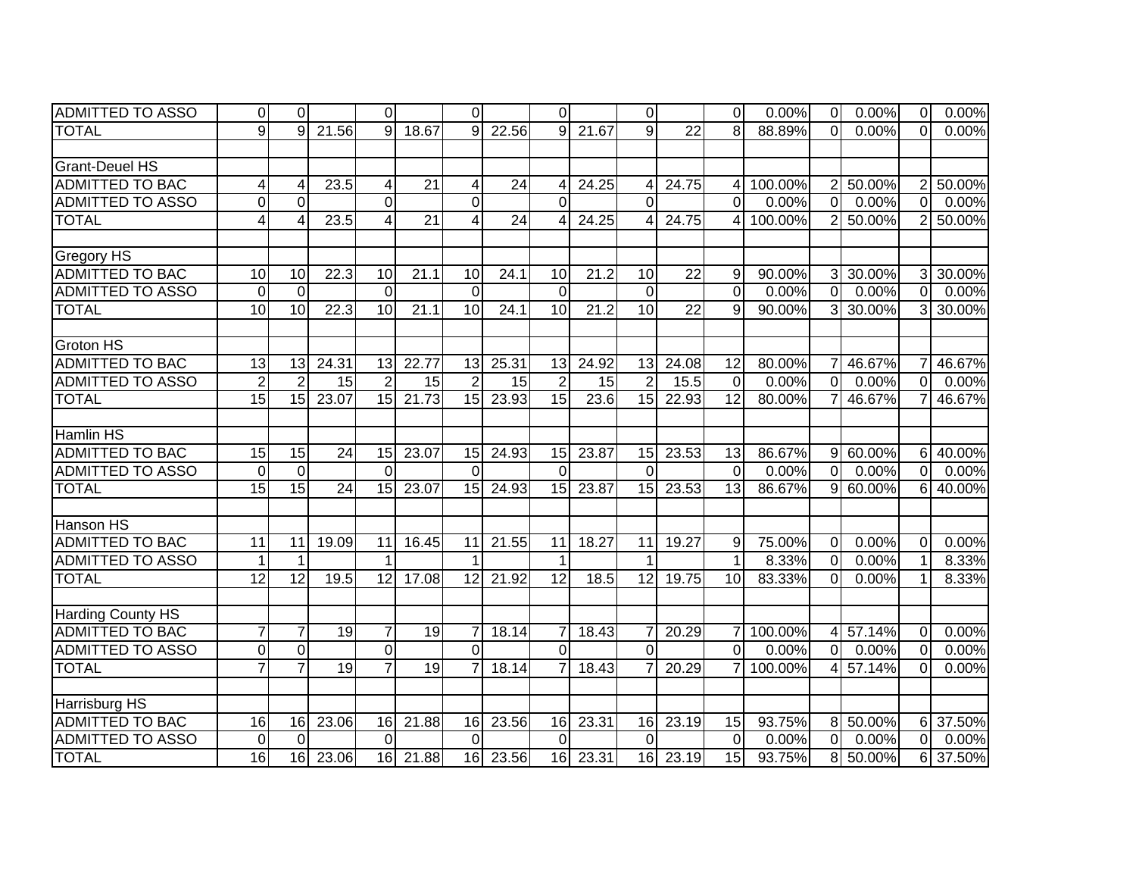| <b>ADMITTED TO ASSO</b>  | 0                       | $\Omega$        |                 | $\overline{0}$  |                 | $\Omega$        |                 | $\overline{0}$  |       | 0l              |                 | $\Omega$        | 0.00%   | $\overline{0}$ | 0.00%       | $\overline{0}$ | 0.00%  |
|--------------------------|-------------------------|-----------------|-----------------|-----------------|-----------------|-----------------|-----------------|-----------------|-------|-----------------|-----------------|-----------------|---------|----------------|-------------|----------------|--------|
| <b>TOTAL</b>             | 9                       | 9               | 21.56           | $\mathbf{Q}$    | 18.67           | 9               | 22.56           | 9               | 21.67 | 9               | 22              | 8               | 88.89%  | $\Omega$       | $0.00\%$    | $\Omega$       | 0.00%  |
|                          |                         |                 |                 |                 |                 |                 |                 |                 |       |                 |                 |                 |         |                |             |                |        |
| <b>Grant-Deuel HS</b>    |                         |                 |                 |                 |                 |                 |                 |                 |       |                 |                 |                 |         |                |             |                |        |
| <b>ADMITTED TO BAC</b>   | $\overline{\mathbf{4}}$ | 4               | 23.5            | 4               | $\overline{21}$ | 4               | $\overline{24}$ | 4               | 24.25 | 4               | 24.75           | 4               | 100.00% |                | 2 50.00%    | 2              | 50.00% |
| <b>ADMITTED TO ASSO</b>  | $\mathbf 0$             | $\Omega$        |                 | $\Omega$        |                 | $\Omega$        |                 | $\overline{0}$  |       | $\Omega$        |                 | $\overline{0}$  | 0.00%   | $\overline{0}$ | 0.00%       | $\overline{0}$ | 0.00%  |
| <b>TOTAL</b>             | $\overline{4}$          |                 | 23.5            | 4               | $\overline{21}$ | 4               | 24              | $\overline{4}$  | 24.25 | 4               | 24.75           | 4               | 100.00% | $\overline{2}$ | 50.00%      | $\overline{2}$ | 50.00% |
|                          |                         |                 |                 |                 |                 |                 |                 |                 |       |                 |                 |                 |         |                |             |                |        |
| <b>Gregory HS</b>        |                         |                 |                 |                 |                 |                 |                 |                 |       |                 |                 |                 |         |                |             |                |        |
| <b>ADMITTED TO BAC</b>   | 10                      | 10              | 22.3            | 10              | 21.1            | 10              | 24.1            | 10              | 21.2  | 10              | 22              | 9               | 90.00%  | 3 <sup>1</sup> | 30.00%      | $\overline{3}$ | 30.00% |
| <b>ADMITTED TO ASSO</b>  | $\mathbf 0$             | $\Omega$        |                 | $\overline{0}$  |                 | $\overline{0}$  |                 | $\mathbf 0$     |       | $\overline{0}$  |                 | $\overline{0}$  | 0.00%   | $\overline{0}$ | 0.00%       | $\overline{0}$ | 0.00%  |
| <b>TOTAL</b>             | $\overline{10}$         | $\overline{10}$ | 22.3            | 10              | 21.1            | $\overline{10}$ | 24.1            | $\overline{10}$ | 21.2  | 10              | $\overline{22}$ | 9               | 90.00%  | 3 <sup>1</sup> | 30.00%      | 3              | 30.00% |
|                          |                         |                 |                 |                 |                 |                 |                 |                 |       |                 |                 |                 |         |                |             |                |        |
| <b>Groton HS</b>         |                         |                 |                 |                 |                 |                 |                 |                 |       |                 |                 |                 |         |                |             |                |        |
| <b>ADMITTED TO BAC</b>   | 13                      | 13              | 24.31           | 13              | 22.77           | 13              | 25.31           | 13              | 24.92 | 13              | 24.08           | 12              | 80.00%  | 71             | 46.67%      | 7              | 46.67% |
| <b>ADMITTED TO ASSO</b>  | $\overline{2}$          | 2               | 15              | $\overline{2}$  | 15              | $\overline{2}$  | 15              | $\overline{2}$  | 15    | $\overline{2}$  | 15.5            | $\mathbf{0}$    | 0.00%   | $\overline{0}$ | 0.00%       | $\Omega$       | 0.00%  |
| <b>TOTAL</b>             | 15                      | 15              | 23.07           | 15              | 21.73           | 15              | 23.93           | 15              | 23.6  | 15              | 22.93           | 12              | 80.00%  | 71             | 46.67%      | 7              | 46.67% |
|                          |                         |                 |                 |                 |                 |                 |                 |                 |       |                 |                 |                 |         |                |             |                |        |
| <b>Hamlin HS</b>         |                         |                 |                 |                 |                 |                 |                 |                 |       |                 |                 |                 |         |                |             |                |        |
| <b>ADMITTED TO BAC</b>   | 15                      | 15              | 24              | 15              | 23.07           | 15              | 24.93           | 15              | 23.87 | 15              | 23.53           | 13              | 86.67%  | 9              | 60.00%      | 61             | 40.00% |
| <b>ADMITTED TO ASSO</b>  | $\overline{0}$          | $\Omega$        |                 | $\Omega$        |                 | $\Omega$        |                 | $\Omega$        |       | $\Omega$        |                 | $\mathbf{0}$    | 0.00%   | $\Omega$       | 0.00%       | 0              | 0.00%  |
| <b>TOTAL</b>             | 15                      | 15              | $\overline{24}$ | 15              | 23.07           | $\overline{15}$ | 24.93           | 15              | 23.87 | 15              | 23.53           | $\overline{13}$ | 86.67%  |                | $9 60.00\%$ | 6 <sup>1</sup> | 40.00% |
|                          |                         |                 |                 |                 |                 |                 |                 |                 |       |                 |                 |                 |         |                |             |                |        |
| <b>Hanson HS</b>         |                         |                 |                 |                 |                 |                 |                 |                 |       |                 |                 |                 |         |                |             |                |        |
| ADMITTED TO BAC          | 11                      | 11              | 19.09           | 11              | 16.45           | 11              | 21.55           | 11              | 18.27 | 11              | 19.27           | 9               | 75.00%  | $\overline{0}$ | 0.00%       | $\mathbf 0$    | 0.00%  |
| <b>ADMITTED TO ASSO</b>  | $\mathbf{1}$            |                 |                 | $\mathbf 1$     |                 |                 |                 | $\mathbf 1$     |       |                 |                 | $\mathbf{1}$    | 8.33%   | $\overline{0}$ | 0.00%       | $\mathbf{1}$   | 8.33%  |
| <b>TOTAL</b>             | 12                      | $\overline{12}$ | 19.5            | $\overline{12}$ | 17.08           | $\overline{12}$ | 21.92           | $\overline{12}$ | 18.5  | $\overline{12}$ | 19.75           | 10              | 83.33%  | $\Omega$       | 0.00%       | 1              | 8.33%  |
|                          |                         |                 |                 |                 |                 |                 |                 |                 |       |                 |                 |                 |         |                |             |                |        |
| <b>Harding County HS</b> |                         |                 |                 |                 |                 |                 |                 |                 |       |                 |                 |                 |         |                |             |                |        |
| <b>ADMITTED TO BAC</b>   | $\overline{7}$          | $\overline{7}$  | $\overline{19}$ | $\overline{7}$  | $\overline{19}$ | 7               | 18.14           | $\overline{7}$  | 18.43 | 7               | 20.29           | $\overline{7}$  | 100.00% |                | 4 57.14%    | 0              | 0.00%  |
| <b>ADMITTED TO ASSO</b>  | $\boldsymbol{0}$        | $\mathbf 0$     |                 | $\overline{0}$  |                 | $\overline{0}$  |                 | $\overline{0}$  |       | $\overline{0}$  |                 | $\overline{0}$  | 0.00%   | $\overline{0}$ | 0.00%       | 0              | 0.00%  |
| <b>TOTAL</b>             | $\overline{7}$          |                 | 19              | $\overline{7}$  | 19              | $\overline{7}$  | 18.14           | $\overline{7}$  | 18.43 | 7               | 20.29           | $\overline{7}$  | 100.00% |                | 4 57.14%    | $\Omega$       | 0.00%  |
|                          |                         |                 |                 |                 |                 |                 |                 |                 |       |                 |                 |                 |         |                |             |                |        |
| <b>Harrisburg HS</b>     |                         |                 |                 |                 |                 |                 |                 |                 |       |                 |                 |                 |         |                |             |                |        |
| <b>ADMITTED TO BAC</b>   | 16                      | 16              | 23.06           | 16              | 21.88           | 16              | 23.56           | 16              | 23.31 | 16              | 23.19           | 15              | 93.75%  |                | 8 50.00%    | 6              | 37.50% |
| <b>ADMITTED TO ASSO</b>  | $\mathbf 0$             | $\Omega$        |                 | $\Omega$        |                 | $\Omega$        |                 | $\overline{0}$  |       | $\Omega$        |                 | $\mathbf 0$     | 0.00%   | $\overline{0}$ | 0.00%       | $\overline{0}$ | 0.00%  |
| <b>TOTAL</b>             | 16                      | 16              | 23.06           | 16              | 21.88           | 16              | 23.56           | 16              | 23.31 | 16              | 23.19           | 15              | 93.75%  |                | 8 50.00%    | 6              | 37.50% |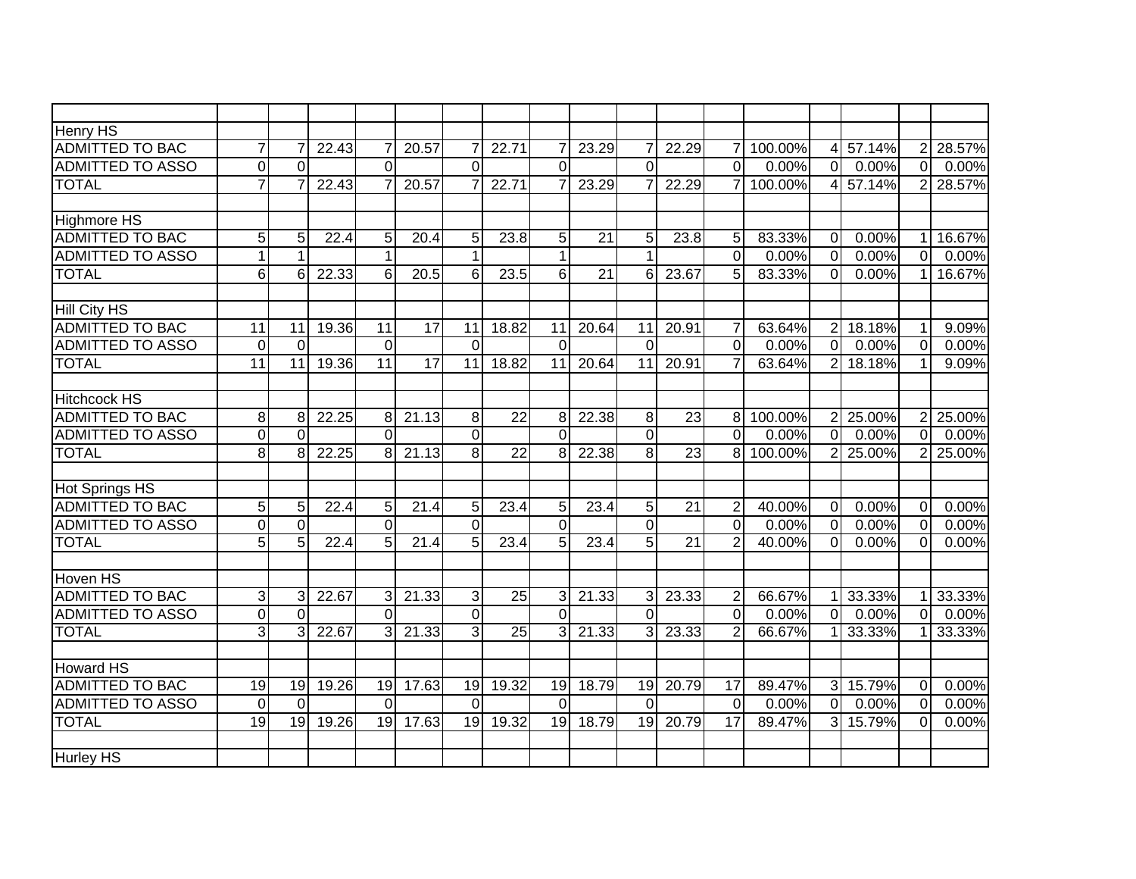| <b>Henry HS</b>         |                 |                 |       |                |                 |                 |                 |                 |       |                 |                 |                |           |                         |          |                |        |
|-------------------------|-----------------|-----------------|-------|----------------|-----------------|-----------------|-----------------|-----------------|-------|-----------------|-----------------|----------------|-----------|-------------------------|----------|----------------|--------|
| <b>ADMITTED TO BAC</b>  | $\overline{7}$  |                 | 22.43 |                | 20.57           |                 | 22.71           | 7               | 23.29 | 7               | 22.29           | $\overline{7}$ | 100.00%   | 4 <sup>1</sup>          | 57.14%   | 2              | 28.57% |
| <b>ADMITTED TO ASSO</b> | $\overline{0}$  | $\Omega$        |       | $\Omega$       |                 | $\Omega$        |                 | $\overline{0}$  |       | $\overline{0}$  |                 | $\overline{0}$ | 0.00%     | $\overline{0}$          | 0.00%    | $\overline{0}$ | 0.00%  |
| <b>TOTAL</b>            | $\overline{7}$  |                 | 22.43 |                | 20.57           |                 | 22.71           | 7               | 23.29 | $\overline{7}$  | 22.29           | $\overline{7}$ | 100.00%   | 41                      | 57.14%   | 2              | 28.57% |
|                         |                 |                 |       |                |                 |                 |                 |                 |       |                 |                 |                |           |                         |          |                |        |
| <b>Highmore HS</b>      |                 |                 |       |                |                 |                 |                 |                 |       |                 |                 |                |           |                         |          |                |        |
| <b>ADMITTED TO BAC</b>  | 5               | 5               | 22.4  | 5 <sub>l</sub> | 20.4            | 5               | 23.8            | 5               | 21    | 5               | 23.8            | 5              | 83.33%    | $\overline{0}$          | 0.00%    | 1              | 16.67% |
| <b>ADMITTED TO ASSO</b> | $\mathbf{1}$    | 1               |       | 1              |                 | $\mathbf 1$     |                 | $\mathbf 1$     |       | 1               |                 | $\Omega$       | 0.00%     | $\Omega$                | 0.00%    | $\Omega$       | 0.00%  |
| <b>TOTAL</b>            | $6\phantom{1}6$ | 6               | 22.33 | $6 \mid$       | 20.5            | 6               | 23.5            | 6               | 21    | 6               | 23.67           | 5              | 83.33%    | $\Omega$                | 0.00%    | 1              | 16.67% |
|                         |                 |                 |       |                |                 |                 |                 |                 |       |                 |                 |                |           |                         |          |                |        |
| <b>Hill City HS</b>     |                 |                 |       |                |                 |                 |                 |                 |       |                 |                 |                |           |                         |          |                |        |
| <b>ADMITTED TO BAC</b>  | $\overline{11}$ | 11              | 19.36 | 11             | $\overline{17}$ | 11              | 18.82           | 11              | 20.64 | 11              | 20.91           | $\overline{7}$ | 63.64%    | 2 <sup>1</sup>          | 18.18%   | 1              | 9.09%  |
| ADMITTED TO ASSO        | $\mathbf 0$     | $\Omega$        |       | $\overline{0}$ |                 | $\Omega$        |                 | $\Omega$        |       | $\Omega$        |                 | $\overline{0}$ | 0.00%     | $\overline{0}$          | 0.00%    | $\Omega$       | 0.00%  |
| <b>TOTAL</b>            | $\overline{11}$ | $\overline{11}$ | 19.36 | 11             | $\overline{17}$ | $\overline{11}$ | 18.82           | $\overline{11}$ | 20.64 | $\overline{11}$ | 20.91           | $\overline{7}$ | 63.64%    | $\overline{2}$          | 18.18%   | 1              | 9.09%  |
|                         |                 |                 |       |                |                 |                 |                 |                 |       |                 |                 |                |           |                         |          |                |        |
| <b>Hitchcock HS</b>     |                 |                 |       |                |                 |                 |                 |                 |       |                 |                 |                |           |                         |          |                |        |
| <b>ADMITTED TO BAC</b>  | 8               | 8               | 22.25 | 8              | 21.13           | 8               | 22              | 8               | 22.38 | 8               | 23              |                | 8 100.00% |                         | 2 25.00% | 2 <sub>l</sub> | 25.00% |
| <b>ADMITTED TO ASSO</b> | $\overline{0}$  | $\Omega$        |       | $\Omega$       |                 | $\overline{0}$  |                 | $\Omega$        |       | 0               |                 | $\Omega$       | 0.00%     | $\Omega$                | 0.00%    | $\mathbf{0}$   | 0.00%  |
| <b>TOTAL</b>            | 8               | 8               | 22.25 | 8 <sup>1</sup> | 21.13           | 8 <sup>1</sup>  | $\overline{22}$ | 8               | 22.38 | 8               | 23              |                | 8 100.00% |                         | 2 25.00% | 2              | 25.00% |
|                         |                 |                 |       |                |                 |                 |                 |                 |       |                 |                 |                |           |                         |          |                |        |
| <b>Hot Springs HS</b>   |                 |                 |       |                |                 |                 |                 |                 |       |                 |                 |                |           |                         |          |                |        |
| <b>ADMITTED TO BAC</b>  | 5               | 5               | 22.4  | 5 <sup>1</sup> | 21.4            | 5               | 23.4            | 5               | 23.4  | 5               | $\overline{21}$ | $\overline{2}$ | 40.00%    | $\mathbf 0$             | 0.00%    | $\overline{0}$ | 0.00%  |
| <b>ADMITTED TO ASSO</b> | $\mathbf 0$     | $\overline{0}$  |       | $\overline{0}$ |                 | $\Omega$        |                 | $\overline{0}$  |       | 0               |                 | $\overline{0}$ | 0.00%     | $\overline{\mathsf{O}}$ | 0.00%    | $\overline{0}$ | 0.00%  |
| <b>TOTAL</b>            | 5               | 5               | 22.4  | 5 <sub>l</sub> | 21.4            | 5               | 23.4            | 5               | 23.4  | 5               | 21              | $\overline{2}$ | 40.00%    | $\overline{0}$          | 0.00%    | $\Omega$       | 0.00%  |
|                         |                 |                 |       |                |                 |                 |                 |                 |       |                 |                 |                |           |                         |          |                |        |
| <b>Hoven HS</b>         |                 |                 |       |                |                 |                 |                 |                 |       |                 |                 |                |           |                         |          |                |        |
| <b>ADMITTED TO BAC</b>  | 3               | 3               | 22.67 | $\overline{3}$ | 21.33           | $\overline{3}$  | 25              | 3               | 21.33 | 3               | 23.33           | $\overline{2}$ | 66.67%    |                         | 33.33%   |                | 33.33% |
| <b>ADMITTED TO ASSO</b> | $\overline{0}$  | $\Omega$        |       | $\Omega$       |                 | $\overline{0}$  |                 | $\overline{0}$  |       | $\overline{0}$  |                 | $\Omega$       | 0.00%     | $\overline{0}$          | 0.00%    | $\Omega$       | 0.00%  |
| <b>TOTAL</b>            | $\overline{3}$  | 3               | 22.67 | $\mathcal{E}$  | 21.33           | 3               | 25              | 3               | 21.33 | 3               | 23.33           | $\overline{2}$ | 66.67%    |                         | 33.33%   |                | 33.33% |
|                         |                 |                 |       |                |                 |                 |                 |                 |       |                 |                 |                |           |                         |          |                |        |
| <b>Howard HS</b>        |                 |                 |       |                |                 |                 |                 |                 |       |                 |                 |                |           |                         |          |                |        |
| <b>ADMITTED TO BAC</b>  | 19              | 19              | 19.26 | 19             | 17.63           | 19              | 19.32           | 19              | 18.79 | 19              | 20.79           | 17             | 89.47%    | 3 <sup>l</sup>          | 15.79%   | $\mathbf 0$    | 0.00%  |
| <b>ADMITTED TO ASSO</b> | $\mathbf 0$     | $\Omega$        |       | $\Omega$       |                 | $\Omega$        |                 | $\Omega$        |       | $\Omega$        |                 | $\mathbf 0$    | 0.00%     | $\overline{0}$          | 0.00%    | 0              | 0.00%  |
| <b>TOTAL</b>            | 19              | 19              | 19.26 | 19             | 17.63           | 19              | 19.32           | $\overline{19}$ | 18.79 | 19              | 20.79           | 17             | 89.47%    | $\overline{\mathsf{d}}$ | 15.79%   | $\Omega$       | 0.00%  |
|                         |                 |                 |       |                |                 |                 |                 |                 |       |                 |                 |                |           |                         |          |                |        |
| <b>Hurley HS</b>        |                 |                 |       |                |                 |                 |                 |                 |       |                 |                 |                |           |                         |          |                |        |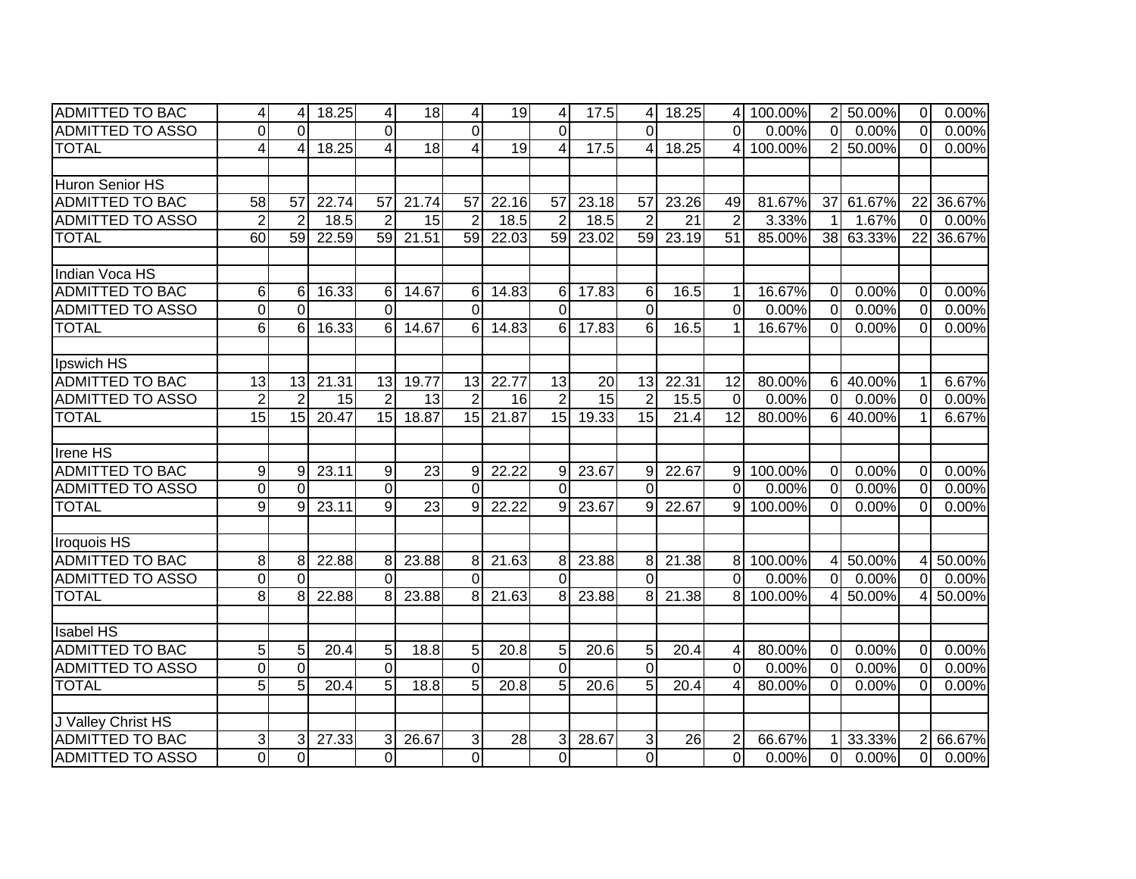| <b>ADMITTED TO BAC</b>  | 4               | $\overline{4}$ | 18.25 | $\vert 4 \vert$ | 18              | 4               | 19    | $\vert 4 \vert$ | 17.5            | 4               | 18.25 |                 | 4 100.00% |                | 2 50.00%  | $\overline{0}$          | 0.00%  |
|-------------------------|-----------------|----------------|-------|-----------------|-----------------|-----------------|-------|-----------------|-----------------|-----------------|-------|-----------------|-----------|----------------|-----------|-------------------------|--------|
| <b>ADMITTED TO ASSO</b> | $\overline{0}$  | $\Omega$       |       | $\Omega$        |                 | $\Omega$        |       | $\Omega$        |                 | $\Omega$        |       | $\Omega$        | 0.00%     | $\overline{0}$ | 0.00%     | $\overline{0}$          | 0.00%  |
| <b>TOTAL</b>            | 4               | 4              | 18.25 | $\overline{4}$  | 18              | 4               | 19    | 4               | 17.5            | 4               | 18.25 | 4               | 100.00%   |                | 2 50.00%  | $\overline{0}$          | 0.00%  |
|                         |                 |                |       |                 |                 |                 |       |                 |                 |                 |       |                 |           |                |           |                         |        |
| Huron Senior HS         |                 |                |       |                 |                 |                 |       |                 |                 |                 |       |                 |           |                |           |                         |        |
| <b>ADMITTED TO BAC</b>  | $\overline{58}$ | 57             | 22.74 | 57              | 21.74           | 57              | 22.16 | 57              | 23.18           | 57              | 23.26 | 49              | 81.67%    |                | 37 61.67% | 22                      | 36.67% |
| <b>ADMITTED TO ASSO</b> | $\overline{2}$  | $\overline{2}$ | 18.5  | $\overline{2}$  | 15              | $\overline{2}$  | 18.5  | $\overline{2}$  | 18.5            | $\overline{2}$  | 21    | $\overline{2}$  | 3.33%     | 1 <sup>1</sup> | 1.67%     | $\overline{0}$          | 0.00%  |
| <b>TOTAL</b>            | 60              | 59             | 22.59 | 59              | 21.51           | $\overline{59}$ | 22.03 | 59              | 23.02           | 59              | 23.19 | $\overline{51}$ | 85.00%    |                | 38 63.33% | 22                      | 36.67% |
|                         |                 |                |       |                 |                 |                 |       |                 |                 |                 |       |                 |           |                |           |                         |        |
| Indian Voca HS          |                 |                |       |                 |                 |                 |       |                 |                 |                 |       |                 |           |                |           |                         |        |
| <b>ADMITTED TO BAC</b>  | 6               | 6              | 16.33 | 6               | 14.67           | 6               | 14.83 | 6               | 17.83           | 6               | 16.5  | $\mathbf{1}$    | 16.67%    | $\overline{0}$ | 0.00%     | $\Omega$                | 0.00%  |
| <b>ADMITTED TO ASSO</b> | $\mathbf 0$     | $\Omega$       |       | $\Omega$        |                 | $\Omega$        |       | $\overline{0}$  |                 | 0               |       | $\mathbf 0$     | 0.00%     | $\overline{0}$ | 0.00%     | $\Omega$                | 0.00%  |
| <b>TOTAL</b>            | 6               | 6              | 16.33 | $6 \mid$        | 14.67           | 6               | 14.83 | 6               | 17.83           | 6               | 16.5  | $\mathbf 1$     | 16.67%    | $\Omega$       | 0.00%     | $\Omega$                | 0.00%  |
|                         |                 |                |       |                 |                 |                 |       |                 |                 |                 |       |                 |           |                |           |                         |        |
| Ipswich HS              |                 |                |       |                 |                 |                 |       |                 |                 |                 |       |                 |           |                |           |                         |        |
| <b>ADMITTED TO BAC</b>  | 13              | 13             | 21.31 | 13              | 19.77           | 13              | 22.77 | 13              | 20              | 13              | 22.31 | 12              | 80.00%    | 6 <sup>1</sup> | 40.00%    | 1                       | 6.67%  |
| <b>ADMITTED TO ASSO</b> | $\overline{2}$  | $\overline{2}$ | 15    | $\overline{2}$  | 13              | $\overline{2}$  | 16    | $\overline{2}$  | $\overline{15}$ | $\overline{2}$  | 15.5  | $\overline{0}$  | 0.00%     | $\overline{0}$ | 0.00%     | $\mathbf 0$             | 0.00%  |
| <b>TOTAL</b>            | $\overline{15}$ | 15             | 20.47 | 15              | 18.87           | 15              | 21.87 | 15              | 19.33           | $\overline{15}$ | 21.4  | $\overline{12}$ | 80.00%    |                | 6 40.00%  | 1                       | 6.67%  |
|                         |                 |                |       |                 |                 |                 |       |                 |                 |                 |       |                 |           |                |           |                         |        |
| Irene HS                |                 |                |       |                 |                 |                 |       |                 |                 |                 |       |                 |           |                |           |                         |        |
| <b>ADMITTED TO BAC</b>  | 9               | 9              | 23.11 | 9               | 23              | 9               | 22.22 | 9               | 23.67           | 9               | 22.67 | $\overline{9}$  | 100.00%   | $\overline{0}$ | 0.00%     | $\Omega$                | 0.00%  |
| <b>ADMITTED TO ASSO</b> | $\mathbf 0$     | $\Omega$       |       | $\Omega$        |                 | $\Omega$        |       | $\Omega$        |                 | $\Omega$        |       | $\Omega$        | 0.00%     | $\Omega$       | 0.00%     | $\Omega$                | 0.00%  |
| <b>TOTAL</b>            | 9               | 9              | 23.11 | 9 <sub>l</sub>  | $\overline{23}$ | 9               | 22.22 | $\overline{9}$  | 23.67           | 9               | 22.67 |                 | 9 100.00% | $\Omega$       | 0.00%     | $\Omega$                | 0.00%  |
|                         |                 |                |       |                 |                 |                 |       |                 |                 |                 |       |                 |           |                |           |                         |        |
| Iroquois HS             |                 |                |       |                 |                 |                 |       |                 |                 |                 |       |                 |           |                |           |                         |        |
| <b>ADMITTED TO BAC</b>  | 8               | 8              | 22.88 | 8 <sup>1</sup>  | 23.88           | 8               | 21.63 | 8               | 23.88           | 8               | 21.38 | 8 <sup>1</sup>  | 100.00%   |                | 4 50.00%  | 4                       | 50.00% |
| <b>ADMITTED TO ASSO</b> | $\mathbf 0$     | $\Omega$       |       | $\Omega$        |                 | $\Omega$        |       | 0               |                 | $\Omega$        |       | $\Omega$        | 0.00%     | $\overline{0}$ | 0.00%     | $\overline{0}$          | 0.00%  |
| <b>TOTAL</b>            | $\infty$        | 8              | 22.88 | $\overline{8}$  | 23.88           | 8               | 21.63 | 8               | 23.88           | 8               | 21.38 | $\overline{8}$  | 100.00%   |                | 4 50.00%  | $\overline{\mathbf{A}}$ | 50.00% |
|                         |                 |                |       |                 |                 |                 |       |                 |                 |                 |       |                 |           |                |           |                         |        |
| <b>Isabel HS</b>        |                 |                |       |                 |                 |                 |       |                 |                 |                 |       |                 |           |                |           |                         |        |
| <b>ADMITTED TO BAC</b>  | 5               | 5              | 20.4  | 5 <sub>5</sub>  | 18.8            | 5               | 20.8  | 5 <sup>1</sup>  | 20.6            | 5               | 20.4  | 4               | 80.00%    | $\overline{0}$ | 0.00%     | $\Omega$                | 0.00%  |
| ADMITTED TO ASSO        | $\mathbf 0$     | $\Omega$       |       | $\overline{0}$  |                 | $\overline{0}$  |       | 0               |                 | $\Omega$        |       | $\overline{0}$  | 0.00%     | $\overline{0}$ | 0.00%     | $\mathbf 0$             | 0.00%  |
| <b>TOTAL</b>            | 5               | 5              | 20.4  | $\overline{5}$  | 18.8            | 5               | 20.8  | $\overline{5}$  | 20.6            | 5               | 20.4  | 4               | 80.00%    | $\overline{0}$ | 0.00%     | $\mathbf 0$             | 0.00%  |
|                         |                 |                |       |                 |                 |                 |       |                 |                 |                 |       |                 |           |                |           |                         |        |
| J Valley Christ HS      |                 |                |       |                 |                 |                 |       |                 |                 |                 |       |                 |           |                |           |                         |        |
| <b>ADMITTED TO BAC</b>  | 3               | 3              | 27.33 | $\overline{3}$  | 26.67           | 3               | 28    | 3               | 28.67           | 3               | 26    | $\overline{2}$  | 66.67%    | 11             | 33.33%    | $\overline{2}$          | 66.67% |
| <b>ADMITTED TO ASSO</b> | $\overline{0}$  | $\Omega$       |       | $\overline{0}$  |                 | $\overline{0}$  |       | $\overline{0}$  |                 | $\overline{0}$  |       | $\overline{0}$  | 0.00%     | $\overline{0}$ | $0.00\%$  | $\overline{0}$          | 0.00%  |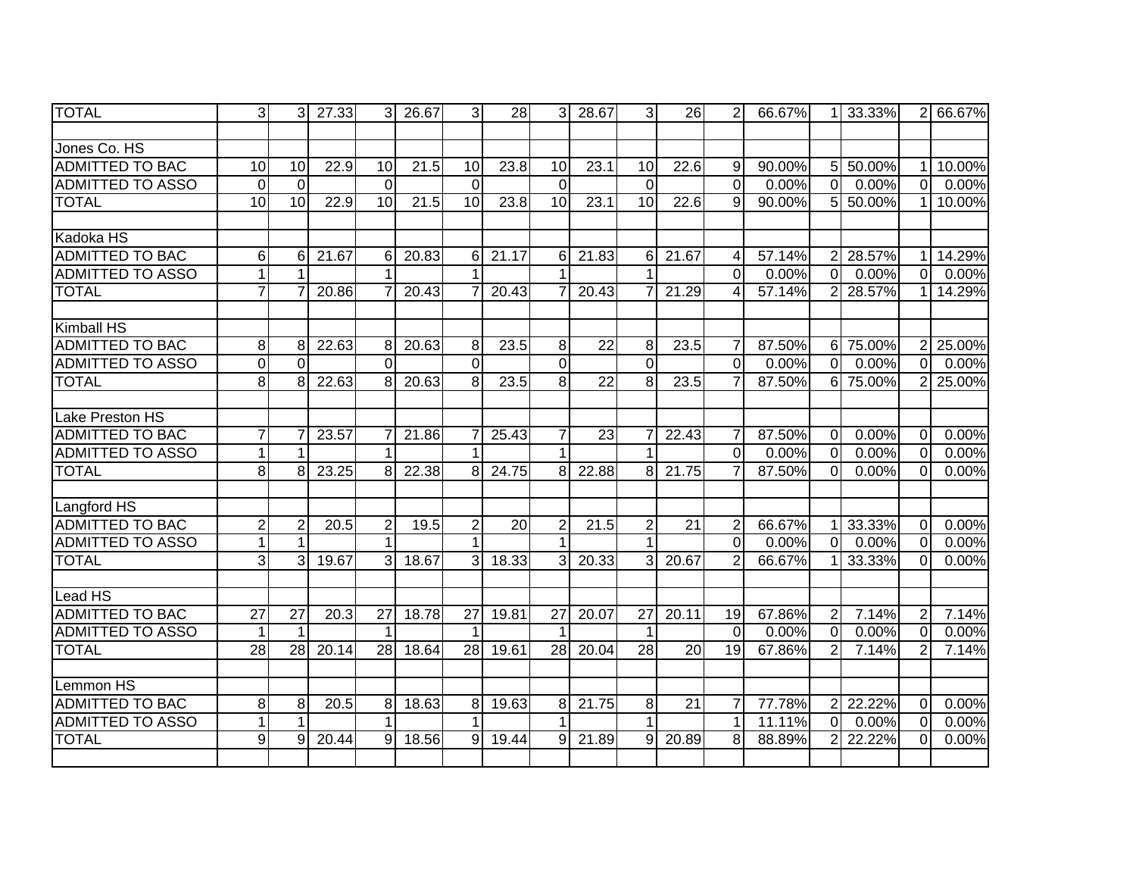| <b>TOTAL</b>            | $\overline{3}$  | $\overline{3}$  | 27.33              | $\overline{3}$  | 26.67             | $\overline{3}$  | 28    | $\overline{3}$  | 28.67           | 3               | 26    | 2              | 66.67% |                | 1 33.33% | $\overline{2}$ | 66.67% |
|-------------------------|-----------------|-----------------|--------------------|-----------------|-------------------|-----------------|-------|-----------------|-----------------|-----------------|-------|----------------|--------|----------------|----------|----------------|--------|
|                         |                 |                 |                    |                 |                   |                 |       |                 |                 |                 |       |                |        |                |          |                |        |
| Jones Co. HS            |                 |                 |                    |                 |                   |                 |       |                 |                 |                 |       |                |        |                |          |                |        |
| <b>ADMITTED TO BAC</b>  | $\overline{10}$ | 10              | 22.9               | 10              | 21.5              | 10              | 23.8  | $\overline{10}$ | 23.1            | 10              | 22.6  | 9              | 90.00% |                | 5 50.00% | 1              | 10.00% |
| <b>ADMITTED TO ASSO</b> | $\mathbf 0$     | $\Omega$        |                    | $\Omega$        |                   | $\Omega$        |       | $\overline{0}$  |                 | $\mathbf{0}$    |       | $\overline{0}$ | 0.00%  | $\overline{0}$ | 0.00%    | $\mathbf 0$    | 0.00%  |
| <b>TOTAL</b>            | $\overline{10}$ | 10              | 22.9               | 10              | $\overline{21.5}$ | $\overline{10}$ | 23.8  | $\overline{10}$ | 23.1            | 10              | 22.6  | 9              | 90.00% |                | 5 50.00% |                | 10.00% |
|                         |                 |                 |                    |                 |                   |                 |       |                 |                 |                 |       |                |        |                |          |                |        |
| Kadoka HS               |                 |                 |                    |                 |                   |                 |       |                 |                 |                 |       |                |        |                |          |                |        |
| ADMITTED TO BAC         | 6               | 6               | 21.67              | 6               | 20.83             | 6               | 21.17 | 6               | 21.83           | 6               | 21.67 | 4              | 57.14% | $\overline{2}$ | 28.57%   | 1              | 14.29% |
| <b>ADMITTED TO ASSO</b> |                 |                 |                    |                 |                   |                 |       |                 |                 |                 |       | $\Omega$       | 0.00%  | $\overline{0}$ | 0.00%    | $\Omega$       | 0.00%  |
| <b>TOTAL</b>            | $\overline{7}$  |                 | 20.86              |                 | 20.43             |                 | 20.43 | 7               | 20.43           | 7               | 21.29 | $\overline{4}$ | 57.14% |                | 2 28.57% |                | 14.29% |
|                         |                 |                 |                    |                 |                   |                 |       |                 |                 |                 |       |                |        |                |          |                |        |
| <b>Kimball HS</b>       |                 |                 |                    |                 |                   |                 |       |                 |                 |                 |       |                |        |                |          |                |        |
| <b>ADMITTED TO BAC</b>  | 8               | 8               | 22.63              | 8               | 20.63             | 8               | 23.5  | 8               | 22              | 8               | 23.5  | 7              | 87.50% |                | 6 75.00% | $\overline{2}$ | 25.00% |
| <b>ADMITTED TO ASSO</b> | $\mathbf 0$     | $\Omega$        |                    | $\Omega$        |                   | $\Omega$        |       | 0               |                 | $\Omega$        |       | 0              | 0.00%  | 0.             | 0.00%    | 0              | 0.00%  |
| <b>TOTAL</b>            | $\overline{8}$  | 8               | $22.\overline{63}$ | 8 <sup>1</sup>  | 20.63             | 8               | 23.5  | œ.              | $\overline{22}$ | 8               | 23.5  | $\overline{7}$ | 87.50% | 6 <sup>1</sup> | 75.00%   | $\overline{2}$ | 25.00% |
|                         |                 |                 |                    |                 |                   |                 |       |                 |                 |                 |       |                |        |                |          |                |        |
| Lake Preston HS         |                 |                 |                    |                 |                   |                 |       |                 |                 |                 |       |                |        |                |          |                |        |
| <b>ADMITTED TO BAC</b>  | $\overline{7}$  |                 | 23.57              |                 | 21.86             |                 | 25.43 | $\overline{7}$  | 23              | 7               | 22.43 | $\overline{7}$ | 87.50% | $\overline{0}$ | 0.00%    | $\mathbf{0}$   | 0.00%  |
| <b>ADMITTED TO ASSO</b> | 1               |                 |                    | 1               |                   |                 |       | 1               |                 | 1               |       | $\overline{0}$ | 0.00%  | $\mathbf 0$    | 0.00%    | $\Omega$       | 0.00%  |
| <b>TOTAL</b>            | 8               | 8               | 23.25              | 8               | 22.38             | 8               | 24.75 | 8               | 22.88           | 8               | 21.75 | $\overline{7}$ | 87.50% | $\Omega$       | 0.00%    | $\Omega$       | 0.00%  |
|                         |                 |                 |                    |                 |                   |                 |       |                 |                 |                 |       |                |        |                |          |                |        |
| Langford HS             |                 |                 |                    |                 |                   |                 |       |                 |                 |                 |       |                |        |                |          |                |        |
| <b>ADMITTED TO BAC</b>  | $\overline{2}$  | $\overline{2}$  | 20.5               | $\overline{2}$  | 19.5              | $\overline{2}$  | 20    | $\overline{2}$  | 21.5            | $\overline{2}$  | 21    | $\overline{2}$ | 66.67% |                | 1 33.33% | $\Omega$       | 0.00%  |
| <b>ADMITTED TO ASSO</b> | $\mathbf{1}$    |                 |                    | 1               |                   | 1               |       |                 |                 | $\mathbf 1$     |       | $\Omega$       | 0.00%  | $\Omega$       | 0.00%    | $\overline{0}$ | 0.00%  |
| <b>TOTAL</b>            | 3               | 3               | 19.67              | $\mathbf{3}$    | 18.67             | 3               | 18.33 | 3               | 20.33           | 3               | 20.67 | $\overline{2}$ | 66.67% |                | 1 33.33% | $\Omega$       | 0.00%  |
|                         |                 |                 |                    |                 |                   |                 |       |                 |                 |                 |       |                |        |                |          |                |        |
| Lead HS                 |                 |                 |                    |                 |                   |                 |       |                 |                 |                 |       |                |        |                |          |                |        |
| <b>ADMITTED TO BAC</b>  | $\overline{27}$ | $\overline{27}$ | 20.3               | $\overline{27}$ | 18.78             | $\overline{27}$ | 19.81 | $\overline{27}$ | 20.07           | $\overline{27}$ | 20.11 | 19             | 67.86% | $\overline{2}$ | 7.14%    | $\overline{2}$ | 7.14%  |
| <b>ADMITTED TO ASSO</b> | $\mathbf{1}$    |                 |                    |                 |                   |                 |       |                 |                 | 1               |       | $\overline{0}$ | 0.00%  | $\mathbf 0$    | 0.00%    | $\Omega$       | 0.00%  |
| <b>TOTAL</b>            | $\overline{28}$ | 28              | 20.14              | 28              | 18.64             | 28              | 19.61 | 28              | 20.04           | 28              | 20    | 19             | 67.86% | $\overline{2}$ | 7.14%    | $\overline{2}$ | 7.14%  |
|                         |                 |                 |                    |                 |                   |                 |       |                 |                 |                 |       |                |        |                |          |                |        |
| Lemmon HS               |                 |                 |                    |                 |                   |                 |       |                 |                 |                 |       |                |        |                |          |                |        |
| <b>ADMITTED TO BAC</b>  | 8               | 8               | 20.5               | 8 <sup>1</sup>  | 18.63             | 8 <sup>1</sup>  | 19.63 | 8               | 21.75           | 8               | 21    | $\overline{7}$ | 77.78% |                | 2 22.22% | $\Omega$       | 0.00%  |
| <b>ADMITTED TO ASSO</b> | 1               |                 |                    |                 |                   |                 |       | 1               |                 | 1               |       | $\mathbf{1}$   | 11.11% | $\overline{0}$ | 0.00%    | $\Omega$       | 0.00%  |
| <b>TOTAL</b>            | 9               | 9               | 20.44              | $\mathbf{Q}$    | 18.56             | $\mathsf{Q}$    | 19.44 | 9               | 21.89           | 9               | 20.89 | 8              | 88.89% | 21             | 22.22%   | $\Omega$       | 0.00%  |
|                         |                 |                 |                    |                 |                   |                 |       |                 |                 |                 |       |                |        |                |          |                |        |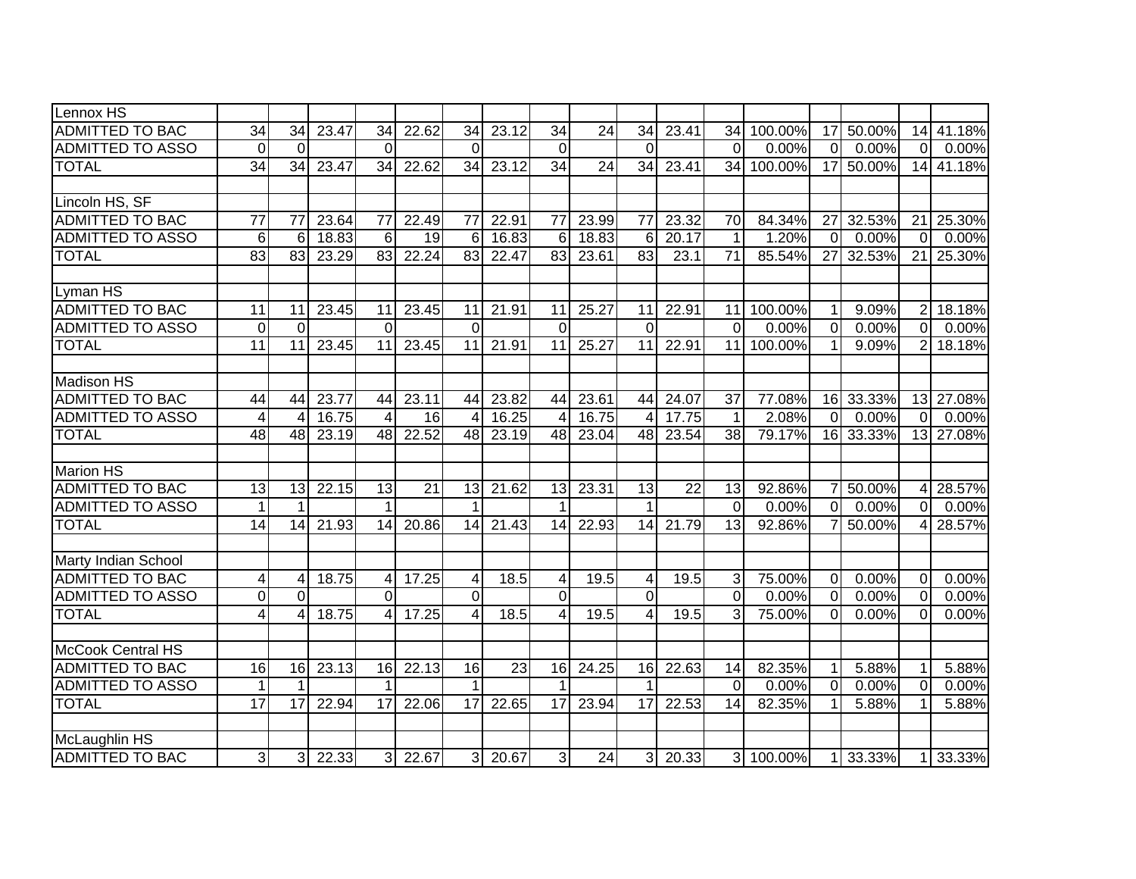| Lennox HS               |                         |                          |       |                 |                 |                 |       |                         |                 |                 |                 |                 |           |                 |           |                 |           |
|-------------------------|-------------------------|--------------------------|-------|-----------------|-----------------|-----------------|-------|-------------------------|-----------------|-----------------|-----------------|-----------------|-----------|-----------------|-----------|-----------------|-----------|
| <b>ADMITTED TO BAC</b>  | 34                      | 34                       | 23.47 | 34              | 22.62           | 34              | 23.12 | 34                      | 24              | 34              | 23.41           | 34              | 100.00%   | 17              | 50.00%    | 14              | 41.18%    |
| <b>ADMITTED TO ASSO</b> | $\Omega$                | $\Omega$                 |       | $\Omega$        |                 | $\Omega$        |       | $\overline{0}$          |                 | $\Omega$        |                 | $\Omega$        | 0.00%     | $\overline{0}$  | 0.00%     | $\Omega$        | 0.00%     |
| <b>TOTAL</b>            | $\overline{34}$         | $\overline{34}$          | 23.47 | 34              | 22.62           | 34              | 23.12 | $\overline{34}$         | $\overline{24}$ | $\overline{34}$ | 23.41           | 34              | 100.00%   |                 | 17 50.00% | 14              | 41.18%    |
|                         |                         |                          |       |                 |                 |                 |       |                         |                 |                 |                 |                 |           |                 |           |                 |           |
| Lincoln HS, SF          |                         |                          |       |                 |                 |                 |       |                         |                 |                 |                 |                 |           |                 |           |                 |           |
| <b>ADMITTED TO BAC</b>  | 77                      | 77                       | 23.64 | 77              | 22.49           | 77              | 22.91 | 77                      | 23.99           | 77              | 23.32           | 70              | 84.34%    | 27 <sup>1</sup> | 32.53%    | 21              | 25.30%    |
| <b>ADMITTED TO ASSO</b> | 6                       | 6                        | 18.83 | 6               | 19              | 6               | 16.83 | $6\phantom{1}6$         | 18.83           | 6               | 20.17           | $\mathbf{1}$    | 1.20%     | $\Omega$        | 0.00%     | $\Omega$        | 0.00%     |
| <b>TOTAL</b>            | $\overline{83}$         | 83                       | 23.29 | 83              | 22.24           | $\overline{83}$ | 22.47 | 83                      | 23.61           | $\overline{83}$ | 23.1            | $\overline{71}$ | 85.54%    | 27              | 32.53%    | 211             | 25.30%    |
|                         |                         |                          |       |                 |                 |                 |       |                         |                 |                 |                 |                 |           |                 |           |                 |           |
| Lyman HS                |                         |                          |       |                 |                 |                 |       |                         |                 |                 |                 |                 |           |                 |           |                 |           |
| <b>ADMITTED TO BAC</b>  | 11                      | 11                       | 23.45 | 11              | 23.45           | 11              | 21.91 | 11                      | 25.27           | 11              | 22.91           | 11              | 100.00%   | 1 <sup>1</sup>  | 9.09%     | $\overline{c}$  | 18.18%    |
| <b>ADMITTED TO ASSO</b> | $\mathbf 0$             | $\Omega$                 |       | $\Omega$        |                 | $\Omega$        |       | 0                       |                 | $\mathbf 0$     |                 | $\mathbf 0$     | 0.00%     | $\overline{0}$  | 0.00%     | $\Omega$        | 0.00%     |
| <b>TOTAL</b>            | 11                      | 11                       | 23.45 | 11              | 23.45           | 11              | 21.91 | 11                      | 25.27           | 11              | 22.91           | 11              | 100.00%   | 1 <sup>1</sup>  | 9.09%     | $\overline{2}$  | 18.18%    |
|                         |                         |                          |       |                 |                 |                 |       |                         |                 |                 |                 |                 |           |                 |           |                 |           |
| <b>Madison HS</b>       |                         |                          |       |                 |                 |                 |       |                         |                 |                 |                 |                 |           |                 |           |                 |           |
| <b>ADMITTED TO BAC</b>  | 44                      | 44                       | 23.77 | 44              | 23.11           | 44              | 23.82 | 44                      | 23.61           | 44              | 24.07           | 37              | 77.08%    |                 | 16 33.33% |                 | 13 27.08% |
| <b>ADMITTED TO ASSO</b> | $\overline{\mathbf{4}}$ | $\overline{\mathcal{A}}$ | 16.75 | $\overline{4}$  | $\overline{16}$ | $\overline{4}$  | 16.25 | $\overline{4}$          | 16.75           | $\overline{4}$  | 17.75           | $\mathbf{1}$    | 2.08%     | $\overline{0}$  | 0.00%     | $\overline{0}$  | 0.00%     |
| <b>TOTAL</b>            | $\overline{48}$         | 48                       | 23.19 | 48              | 22.52           | 48              | 23.19 | 48                      | 23.04           | 48              | 23.54           | $\overline{38}$ | 79.17%    |                 | 16 33.33% |                 | 13 27.08% |
|                         |                         |                          |       |                 |                 |                 |       |                         |                 |                 |                 |                 |           |                 |           |                 |           |
| <b>Marion HS</b>        |                         |                          |       |                 |                 |                 |       |                         |                 |                 |                 |                 |           |                 |           |                 |           |
| <b>ADMITTED TO BAC</b>  | 13                      | 13                       | 22.15 | $\overline{13}$ | $\overline{21}$ | 13              | 21.62 | 13                      | 23.31           | $\overline{13}$ | $\overline{22}$ | 13              | 92.86%    | 7 <sup>1</sup>  | 50.00%    | $\vert 4 \vert$ | 28.57%    |
| <b>ADMITTED TO ASSO</b> | $\mathbf{1}$            |                          |       | $\mathbf 1$     |                 |                 |       | 1                       |                 | $\mathbf 1$     |                 | $\mathbf 0$     | 0.00%     | $\overline{0}$  | 0.00%     | $\overline{0}$  | 0.00%     |
| <b>TOTAL</b>            | 14                      | 14                       | 21.93 | 14              | 20.86           | 14              | 21.43 | 14                      | 22.93           | $\overline{14}$ | 21.79           | $\overline{13}$ | 92.86%    |                 | 50.00%    | $\overline{4}$  | $28.57\%$ |
|                         |                         |                          |       |                 |                 |                 |       |                         |                 |                 |                 |                 |           |                 |           |                 |           |
| Marty Indian School     |                         |                          |       |                 |                 |                 |       |                         |                 |                 |                 |                 |           |                 |           |                 |           |
| <b>ADMITTED TO BAC</b>  | 4                       | 4                        | 18.75 | 4               | 17.25           | 4               | 18.5  | 4                       | 19.5            | 4               | 19.5            | $\mathbf{3}$    | 75.00%    | $\overline{0}$  | 0.00%     | 0               | 0.00%     |
| <b>ADMITTED TO ASSO</b> | $\mathbf 0$             | $\overline{0}$           |       | $\overline{0}$  |                 | $\overline{0}$  |       | $\overline{0}$          |                 | $\overline{0}$  |                 | $\mathbf 0$     | 0.00%     | $\overline{0}$  | 0.00%     | $\mathbf 0$     | 0.00%     |
| <b>TOTAL</b>            | $\overline{\mathbf{4}}$ | 4                        | 18.75 | 4               | 17.25           | $\overline{4}$  | 18.5  | $\overline{\mathbf{4}}$ | 19.5            | 4               | 19.5            | 3               | 75.00%    | $\Omega$        | 0.00%     | $\Omega$        | 0.00%     |
|                         |                         |                          |       |                 |                 |                 |       |                         |                 |                 |                 |                 |           |                 |           |                 |           |
| McCook Central HS       |                         |                          |       |                 |                 |                 |       |                         |                 |                 |                 |                 |           |                 |           |                 |           |
| <b>ADMITTED TO BAC</b>  | 16                      | 16                       | 23.13 | 16              | 22.13           | 16              | 23    | 16                      | 24.25           | 16              | 22.63           | 14              | 82.35%    | 1               | 5.88%     | 1               | 5.88%     |
| <b>ADMITTED TO ASSO</b> | $\mathbf{1}$            |                          |       | $\mathbf 1$     |                 | 1               |       | $\mathbf{1}$            |                 | $\mathbf 1$     |                 | $\overline{0}$  | 0.00%     | $\overline{0}$  | 0.00%     | $\mathbf 0$     | 0.00%     |
| <b>TOTAL</b>            | 17                      | 17                       | 22.94 | 17              | 22.06           | 17              | 22.65 | 17                      | 23.94           | $\overline{17}$ | 22.53           | 14              | 82.35%    | $\mathbf{1}$    | 5.88%     | 1               | 5.88%     |
|                         |                         |                          |       |                 |                 |                 |       |                         |                 |                 |                 |                 |           |                 |           |                 |           |
| McLaughlin HS           |                         |                          |       |                 |                 |                 |       |                         |                 |                 |                 |                 |           |                 |           |                 |           |
| <b>ADMITTED TO BAC</b>  | 3 <sup>l</sup>          | $\overline{3}$           | 22.33 | 3 <sup>l</sup>  | 22.67           | $\overline{3}$  | 20.67 | $\overline{3}$          | 24              | $\overline{3}$  | 20.33           |                 | 3 100.00% |                 | 1 33.33%  | 11              | 33.33%    |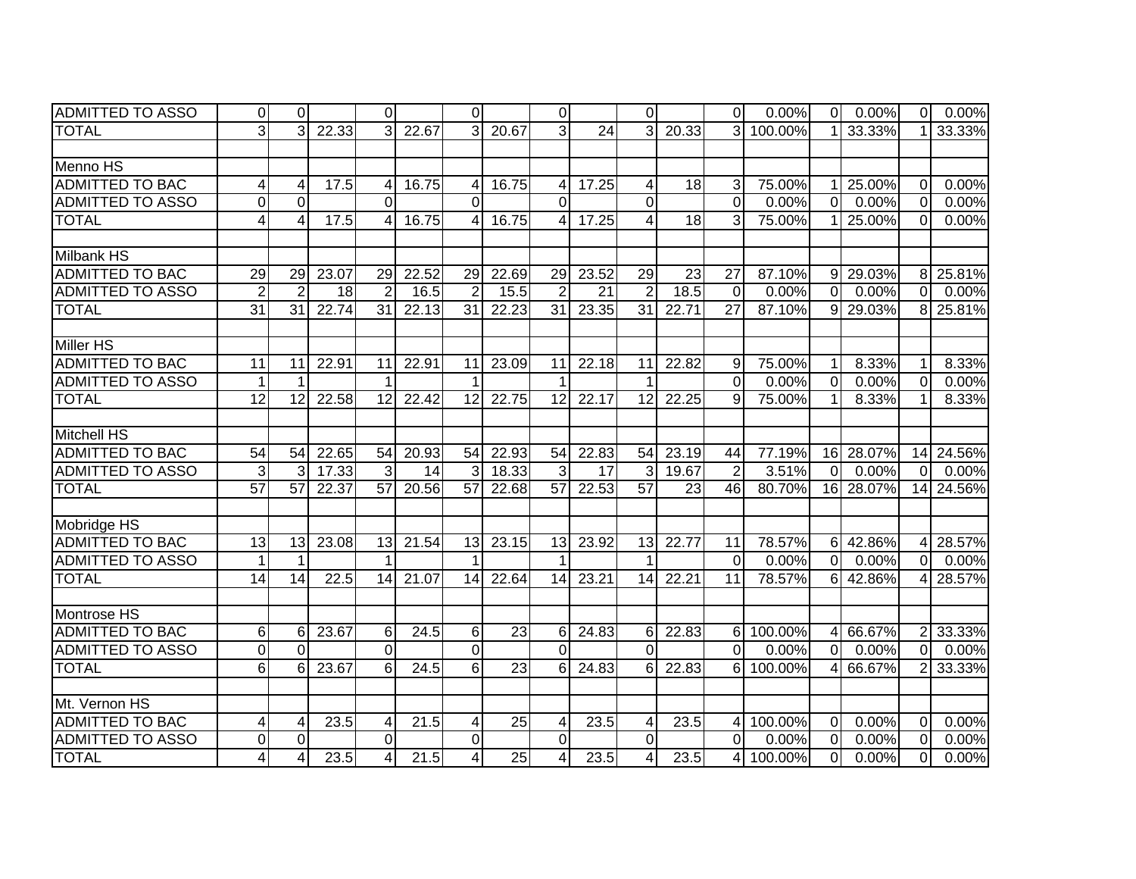| <b>ADMITTED TO ASSO</b> | 0                | $\Omega$        |       | $\Omega$        |                   | $\Omega$        |                 | $\overline{0}$  |       | $\Omega$        |       | $\overline{0}$  | 0.00%     | $\overline{0}$ | 0.00%     | 0               | 0.00%     |
|-------------------------|------------------|-----------------|-------|-----------------|-------------------|-----------------|-----------------|-----------------|-------|-----------------|-------|-----------------|-----------|----------------|-----------|-----------------|-----------|
| <b>TOTAL</b>            | $\overline{3}$   | 3               | 22.33 | $\mathcal{E}$   | 22.67             | 3               | 20.67           | $\overline{3}$  | 24    | $\overline{3}$  | 20.33 | $\overline{3}$  | 100.00%   |                | 33.33%    |                 | 33.33%    |
|                         |                  |                 |       |                 |                   |                 |                 |                 |       |                 |       |                 |           |                |           |                 |           |
| Menno HS                |                  |                 |       |                 |                   |                 |                 |                 |       |                 |       |                 |           |                |           |                 |           |
| <b>ADMITTED TO BAC</b>  | 4                | 4               | 17.5  | 4               | 16.75             | 4               | 16.75           | 4               | 17.25 | 4               | 18    | 3               | 75.00%    | 11             | 25.00%    | $\mathbf 0$     | 0.00%     |
| <b>ADMITTED TO ASSO</b> | $\boldsymbol{0}$ | $\Omega$        |       | $\Omega$        |                   | $\Omega$        |                 | $\mathbf 0$     |       | 0               |       | $\overline{0}$  | 0.00%     | $\overline{0}$ | 0.00%     | $\mathbf 0$     | 0.00%     |
| <b>TOTAL</b>            | 4                | $\overline{4}$  | 17.5  | 4               | 16.75             | 4               | 16.75           | 4               | 17.25 | 4               | 18    | 3               | 75.00%    |                | 25.00%    | $\Omega$        | 0.00%     |
|                         |                  |                 |       |                 |                   |                 |                 |                 |       |                 |       |                 |           |                |           |                 |           |
| <b>Milbank HS</b>       |                  |                 |       |                 |                   |                 |                 |                 |       |                 |       |                 |           |                |           |                 |           |
| ADMITTED TO BAC         | 29               | 29              | 23.07 | 29              | 22.52             | 29              | 22.69           | 29              | 23.52 | 29              | 23    | 27              | 87.10%    |                | 9 29.03%  | 8               | 25.81%    |
| <b>ADMITTED TO ASSO</b> | $\overline{2}$   | $\overline{2}$  | 18    | $\overline{2}$  | 16.5              | $\overline{2}$  | 15.5            | $\overline{2}$  | 21    | $\overline{2}$  | 18.5  | $\mathbf 0$     | 0.00%     | $\overline{0}$ | 0.00%     | $\Omega$        | 0.00%     |
| <b>TOTAL</b>            | 31               | $\overline{31}$ | 22.74 | $\overline{31}$ | 22.13             | $\overline{31}$ | 22.23           | $\overline{31}$ | 23.35 | $\overline{31}$ | 22.71 | $\overline{27}$ | 87.10%    |                | 9 29.03%  | 8               | 25.81%    |
|                         |                  |                 |       |                 |                   |                 |                 |                 |       |                 |       |                 |           |                |           |                 |           |
| Miller HS               |                  |                 |       |                 |                   |                 |                 |                 |       |                 |       |                 |           |                |           |                 |           |
| <b>ADMITTED TO BAC</b>  | 11               | 11              | 22.91 | 11              | 22.91             | 11              | 23.09           | 11              | 22.18 | 11              | 22.82 | 9               | 75.00%    | 11             | 8.33%     | 1               | 8.33%     |
| <b>ADMITTED TO ASSO</b> | $\mathbf{1}$     |                 |       | 1               |                   |                 |                 |                 |       |                 |       | $\Omega$        | 0.00%     | $\Omega$       | 0.00%     | $\Omega$        | 0.00%     |
| <b>TOTAL</b>            | $\overline{12}$  | 12              | 22.58 | 12              | 22.42             | 12              | 22.75           | 12              | 22.17 | 12              | 22.25 | 9               | 75.00%    | 11             | 8.33%     | 1               | 8.33%     |
|                         |                  |                 |       |                 |                   |                 |                 |                 |       |                 |       |                 |           |                |           |                 |           |
| <b>Mitchell HS</b>      |                  |                 |       |                 |                   |                 |                 |                 |       |                 |       |                 |           |                |           |                 |           |
| <b>ADMITTED TO BAC</b>  | 54               | 54              | 22.65 | 54              | 20.93             | 54              | 22.93           | 54              | 22.83 | 54              | 23.19 | 44              | 77.19%    |                | 16 28.07% | 14              | 24.56%    |
| <b>ADMITTED TO ASSO</b> | $\overline{3}$   | 3               | 17.33 | $\overline{3}$  | 14                |                 | 18.33           | 3               | 17    | 3               | 19.67 | $\overline{2}$  | 3.51%     | $\overline{0}$ | 0.00%     | $\Omega$        | 0.00%     |
| <b>TOTAL</b>            | $\overline{57}$  | 57              | 22.37 | 57              | 20.56             | $\overline{57}$ | 22.68           | $\overline{57}$ | 22.53 | $\overline{57}$ | 23    | $\overline{46}$ | 80.70%    |                | 16 28.07% |                 | 14 24.56% |
|                         |                  |                 |       |                 |                   |                 |                 |                 |       |                 |       |                 |           |                |           |                 |           |
| Mobridge HS             |                  |                 |       |                 |                   |                 |                 |                 |       |                 |       |                 |           |                |           |                 |           |
| <b>ADMITTED TO BAC</b>  | 13               | 13              | 23.08 | 13              | 21.54             | 13              | 23.15           | 13              | 23.92 | 13              | 22.77 | 11              | 78.57%    |                | 6 42.86%  | $\vert 4 \vert$ | 28.57%    |
| <b>ADMITTED TO ASSO</b> | $\mathbf 1$      |                 |       |                 |                   |                 |                 |                 |       | 1               |       | $\mathbf 0$     | 0.00%     | $\Omega$       | 0.00%     | $\overline{0}$  | 0.00%     |
| <b>TOTAL</b>            | 14               | 14              | 22.5  | 14              | 21.07             | 14              | 22.64           | 14              | 23.21 | 14              | 22.21 | 11              | 78.57%    |                | 6 42.86%  | $\overline{4}$  | 28.57%    |
|                         |                  |                 |       |                 |                   |                 |                 |                 |       |                 |       |                 |           |                |           |                 |           |
| Montrose HS             |                  |                 |       |                 |                   |                 |                 |                 |       |                 |       |                 |           |                |           |                 |           |
| <b>ADMITTED TO BAC</b>  | 6                | 6               | 23.67 | $6 \mid$        | 24.5              | 6               | $\overline{23}$ | 6               | 24.83 | 6               | 22.83 | 6               | 100.00%   | 4 <sup>1</sup> | 66.67%    | $\overline{2}$  | 33.33%    |
| <b>ADMITTED TO ASSO</b> | $\overline{0}$   | $\Omega$        |       | $\overline{0}$  |                   | $\overline{0}$  |                 | $\overline{0}$  |       | $\overline{0}$  |       | 0               | 0.00%     | $\overline{0}$ | 0.00%     | $\Omega$        | 0.00%     |
| <b>TOTAL</b>            | $6\phantom{1}$   | 6               | 23.67 | $6 \mid$        | 24.5              | $6\phantom{1}6$ | 23              | $6\phantom{1}$  | 24.83 | 6               | 22.83 | 6               | 100.00%   | 41             | 66.67%    | $\overline{2}$  | 33.33%    |
|                         |                  |                 |       |                 |                   |                 |                 |                 |       |                 |       |                 |           |                |           |                 |           |
| Mt. Vernon HS           |                  |                 |       |                 |                   |                 |                 |                 |       |                 |       |                 |           |                |           |                 |           |
| <b>ADMITTED TO BAC</b>  | $\overline{4}$   | 4               | 23.5  | 4               | 21.5              | 4               | 25              | 4               | 23.5  | 4               | 23.5  | 4               | 100.00%   | $\overline{0}$ | 0.00%     | $\Omega$        | 0.00%     |
| <b>ADMITTED TO ASSO</b> | $\mathbf 0$      | $\Omega$        |       | $\overline{0}$  |                   | $\mathbf 0$     |                 | $\mathbf 0$     |       | $\overline{0}$  |       | $\overline{0}$  | 0.00%     | $\overline{0}$ | 0.00%     | $\Omega$        | 0.00%     |
| <b>TOTAL</b>            | $\overline{4}$   | $\overline{4}$  | 23.5  | $\overline{4}$  | $\overline{21.5}$ | 4               | 25              | $\vert 4 \vert$ | 23.5  | 4               | 23.5  |                 | 4 100.00% | $\overline{0}$ | 0.00%     | $\mathbf 0$     | 0.00%     |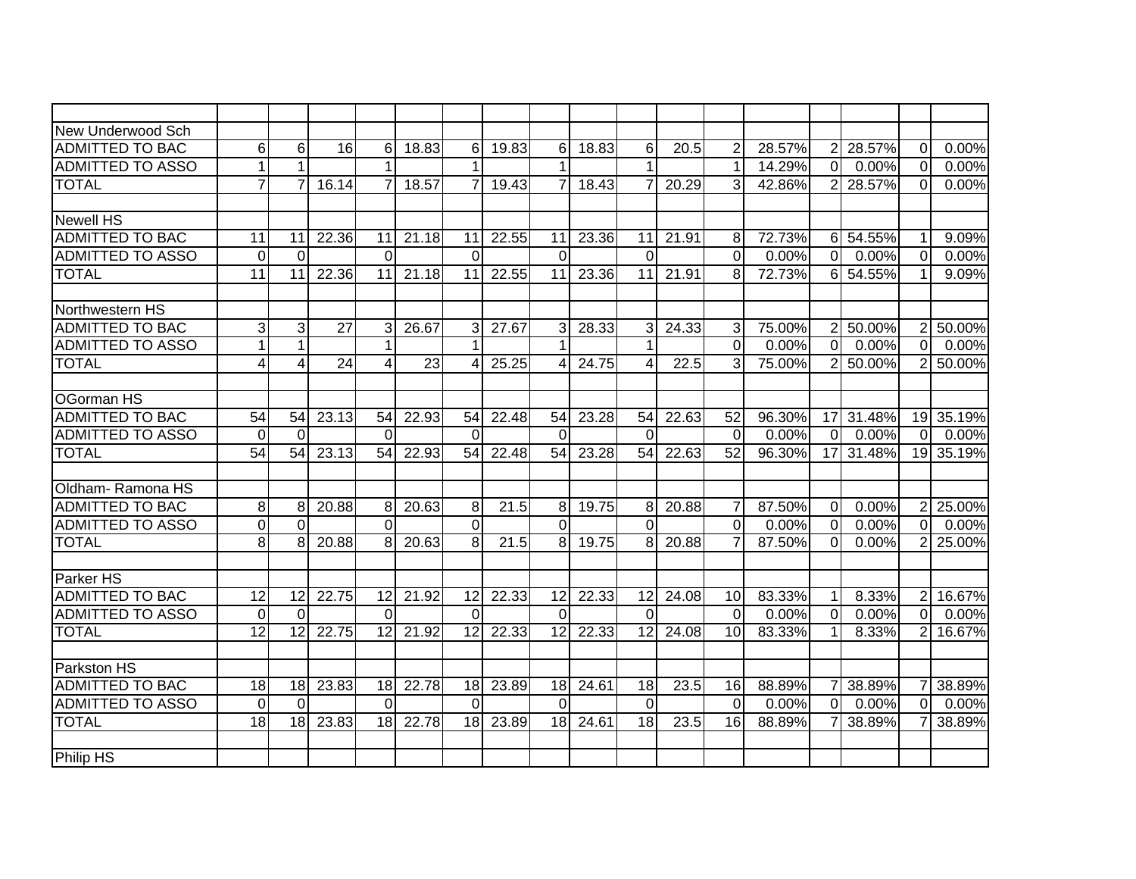| New Underwood Sch                                 |                |                |                 |                      |       |                |       |                      |       |                 |       |                      |                 |                     |                 |                |           |
|---------------------------------------------------|----------------|----------------|-----------------|----------------------|-------|----------------|-------|----------------------|-------|-----------------|-------|----------------------|-----------------|---------------------|-----------------|----------------|-----------|
| <b>ADMITTED TO BAC</b>                            | 6              | 6              | 16              | 6                    | 18.83 | 6              | 19.83 | 6                    | 18.83 | 6               | 20.5  | $\overline{2}$       | 28.57%          |                     | 2 28.57%        | $\Omega$       | 0.00%     |
| <b>ADMITTED TO ASSO</b>                           | 1              |                |                 |                      |       |                |       |                      |       |                 |       | $\mathbf{1}$         | 14.29%          | $\overline{0}$      | 0.00%           | $\Omega$       | 0.00%     |
| <b>TOTAL</b>                                      | $\overline{7}$ |                | 16.14           | $\overline{7}$       | 18.57 | 7              | 19.43 | $\overline{7}$       | 18.43 | $\overline{7}$  | 20.29 | 3                    | 42.86%          | 2 <sup>1</sup>      | 28.57%          | $\Omega$       | 0.00%     |
|                                                   |                |                |                 |                      |       |                |       |                      |       |                 |       |                      |                 |                     |                 |                |           |
| <b>Newell HS</b>                                  |                |                |                 |                      |       |                |       |                      |       |                 |       |                      |                 |                     |                 |                |           |
| <b>ADMITTED TO BAC</b>                            | 11             | 11             | 22.36           | 11                   | 21.18 | 11             | 22.55 | 11                   | 23.36 | 11              | 21.91 | 8                    | 72.73%          |                     | 6 54.55%        | 1              | 9.09%     |
| <b>ADMITTED TO ASSO</b>                           | $\Omega$       | $\Omega$       |                 | $\Omega$             |       | $\Omega$       |       | $\Omega$             |       | $\Omega$        |       | $\Omega$             | 0.00%           | $\Omega$            | 0.00%           | $\Omega$       | $0.00\%$  |
| <b>TOTAL</b>                                      | 11             | 11             | 22.36           | 11                   | 21.18 | 11             | 22.55 | 11                   | 23.36 | 11              | 21.91 | 8                    | 72.73%          |                     | 6 54.55%        | 1              | 9.09%     |
|                                                   |                |                |                 |                      |       |                |       |                      |       |                 |       |                      |                 |                     |                 |                |           |
| Northwestern HS                                   |                |                |                 |                      |       |                |       |                      |       |                 |       |                      |                 |                     |                 |                |           |
| <b>ADMITTED TO BAC</b>                            | $\overline{3}$ | 3              | $\overline{27}$ | 3                    | 26.67 | 3              | 27.67 | 3 <sup>1</sup>       | 28.33 | 3               | 24.33 | 3                    | 75.00%          | 2 <sup>1</sup>      | 50.00%          | $\overline{2}$ | 50.00%    |
| <b>ADMITTED TO ASSO</b>                           | 1              | 1              |                 | 1                    |       |                |       | 1                    |       | 1               |       | $\overline{0}$       | 0.00%           | $\overline{0}$      | 0.00%           | $\overline{0}$ | 0.00%     |
| <b>TOTAL</b>                                      | $\overline{4}$ | 4              | $\overline{24}$ | 4                    | 23    | 4              | 25.25 | 4                    | 24.75 | 4               | 22.5  | 3                    | 75.00%          | 2 <sup>1</sup>      | 50.00%          | $\overline{2}$ | 50.00%    |
|                                                   |                |                |                 |                      |       |                |       |                      |       |                 |       |                      |                 |                     |                 |                |           |
| <b>OGorman HS</b>                                 |                |                |                 |                      |       |                |       |                      |       |                 |       |                      |                 |                     |                 |                |           |
| <b>ADMITTED TO BAC</b>                            | 54             | 54             | 23.13           | 54                   | 22.93 | 54             | 22.48 | 54                   | 23.28 | 54              | 22.63 | 52                   | 96.30%          |                     | 17 31.48%       |                | 19 35.19% |
| <b>ADMITTED TO ASSO</b>                           | $\mathbf 0$    | $\Omega$       |                 | $\Omega$             |       | $\Omega$       |       | $\Omega$             |       | $\Omega$        |       | $\Omega$             | 0.00%           | $\Omega$            | $0.00\%$        | $\overline{0}$ | $0.00\%$  |
| <b>TOTAL</b>                                      | 54             | 54             | 23.13           | 54                   | 22.93 | 54             | 22.48 | 54                   | 23.28 | 54              | 22.63 | 52                   | 96.30%          |                     | 17 31.48%       |                | 19 35.19% |
|                                                   |                |                |                 |                      |       |                |       |                      |       |                 |       |                      |                 |                     |                 |                |           |
| Oldham-Ramona HS                                  |                |                |                 |                      |       |                |       |                      |       |                 |       |                      |                 |                     |                 |                |           |
| <b>ADMITTED TO BAC</b>                            | 8              | 8              | 20.88           | 8                    | 20.63 | 8              | 21.5  | 8                    | 19.75 | 8               | 20.88 | $\overline{7}$       | 87.50%          | $\overline{0}$      | 0.00%           | $\overline{2}$ | 25.00%    |
| <b>ADMITTED TO ASSO</b>                           | 0              | $\Omega$       |                 | $\Omega$             |       | $\overline{0}$ |       | $\overline{0}$       |       | $\Omega$        |       | $\overline{0}$       | 0.00%           | $\overline{0}$      | 0.00%           | $\overline{0}$ | $0.00\%$  |
| <b>TOTAL</b>                                      | 8              | 8              | 20.88           | 8                    | 20.63 | 8              | 21.5  | 8 <sup>1</sup>       | 19.75 | 8               | 20.88 | $\overline{7}$       | 87.50%          | $\overline{0}$      | 0.00%           | $\overline{2}$ | 25.00%    |
|                                                   |                |                |                 |                      |       |                |       |                      |       |                 |       |                      |                 |                     |                 |                |           |
| Parker HS                                         |                |                |                 |                      |       |                |       |                      |       |                 |       |                      |                 |                     |                 |                |           |
| <b>ADMITTED TO BAC</b>                            | 12             | 12             | 22.75           | 12                   | 21.92 | 12             | 22.33 | 12                   | 22.33 | 12              | 24.08 | 10                   | 83.33%          | 11                  | 8.33%           | $\overline{2}$ | 16.67%    |
| <b>ADMITTED TO ASSO</b>                           | $\mathbf 0$    | $\Omega$       |                 | $\Omega$             |       | $\Omega$       |       | $\Omega$             |       | $\Omega$        |       | $\overline{0}$       | 0.00%           | $\overline{0}$      | 0.00%           | $\Omega$       | 0.00%     |
| <b>TOTAL</b>                                      | 12             | 12             | 22.75           | 12                   | 21.92 | 12             | 22.33 | 12                   | 22.33 | $\overline{12}$ | 24.08 | 10                   | 83.33%          | 11                  | 8.33%           | $\overline{2}$ | $16.67\%$ |
|                                                   |                |                |                 |                      |       |                |       |                      |       |                 |       |                      |                 |                     |                 |                |           |
| Parkston HS                                       |                |                |                 |                      | 22.78 |                |       |                      |       |                 |       |                      |                 |                     |                 |                |           |
| <b>ADMITTED TO BAC</b><br><b>ADMITTED TO ASSO</b> | 18             | 18             | 23.83           | 18                   |       | 18<br>$\Omega$ | 23.89 | 18                   | 24.61 | 18              | 23.5  | 16<br>$\overline{0}$ | 88.89%          | 7<br>$\overline{0}$ | 38.89%          | 7              | 38.89%    |
| <b>TOTAL</b>                                      | 0              | $\Omega$<br>18 | 23.83           | $\overline{0}$<br>18 | 22.78 | 18             |       | $\overline{0}$<br>18 | 24.61 | $\Omega$<br>18  | 23.5  | 16                   | 0.00%<br>88.89% |                     | 0.00%<br>38.89% | $\overline{0}$ | 0.00%     |
|                                                   | 18             |                |                 |                      |       |                | 23.89 |                      |       |                 |       |                      |                 |                     |                 |                | 38.89%    |
| Philip HS                                         |                |                |                 |                      |       |                |       |                      |       |                 |       |                      |                 |                     |                 |                |           |
|                                                   |                |                |                 |                      |       |                |       |                      |       |                 |       |                      |                 |                     |                 |                |           |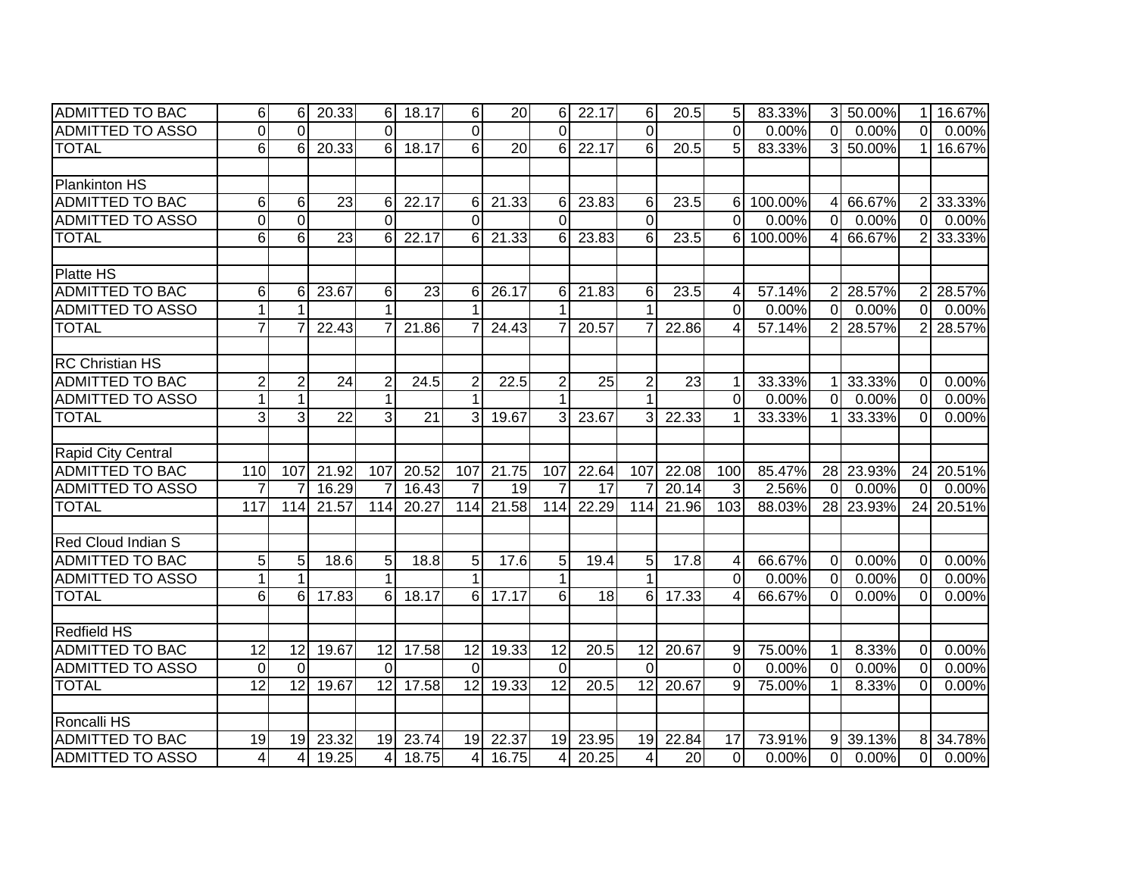| <b>ADMITTED TO BAC</b>  | 6               | 6              | 20.33           | $6 \mid$        | 18.17           | $6 \mid$        | 20    | 6               | 22.17         | 6               | 20.5  | 5 <sub>l</sub> | 83.33%  |                | 3 50.00%  | $\mathbf{1}$   | 16.67%    |
|-------------------------|-----------------|----------------|-----------------|-----------------|-----------------|-----------------|-------|-----------------|---------------|-----------------|-------|----------------|---------|----------------|-----------|----------------|-----------|
| <b>ADMITTED TO ASSO</b> | $\mathbf 0$     | $\Omega$       |                 | $\Omega$        |                 | $\Omega$        |       | $\Omega$        |               | $\Omega$        |       | $\Omega$       | 0.00%   | $\Omega$       | 0.00%     | 0              | 0.00%     |
| <b>TOTAL</b>            | $\overline{6}$  | 6              | 20.33           | $6 \mid$        | 18.17           | $\overline{6}$  | 20    | 6               | 22.17         | 6               | 20.5  | 5              | 83.33%  |                | 3 50.00%  |                | 16.67%    |
|                         |                 |                |                 |                 |                 |                 |       |                 |               |                 |       |                |         |                |           |                |           |
| <b>Plankinton HS</b>    |                 |                |                 |                 |                 |                 |       |                 |               |                 |       |                |         |                |           |                |           |
| <b>ADMITTED TO BAC</b>  | 6               | 6              | $\overline{23}$ | 6               | 22.17           | 6               | 21.33 | 6               | 23.83         | 6               | 23.5  | 6              | 100.00% | 41             | 66.67%    | $\overline{2}$ | 33.33%    |
| <b>ADMITTED TO ASSO</b> | $\mathbf 0$     | $\Omega$       |                 | $\Omega$        |                 | $\Omega$        |       | $\Omega$        |               | $\Omega$        |       | $\Omega$       | 0.00%   | $\overline{0}$ | 0.00%     | $\Omega$       | 0.00%     |
| <b>TOTAL</b>            | 6               | 6              | $\overline{23}$ | 6               | 22.17           | 6               | 21.33 | 6               | 23.83         | 6               | 23.5  | 6              | 100.00% | 4              | 66.67%    | 2              | 33.33%    |
|                         |                 |                |                 |                 |                 |                 |       |                 |               |                 |       |                |         |                |           |                |           |
| <b>Platte HS</b>        |                 |                |                 |                 |                 |                 |       |                 |               |                 |       |                |         |                |           |                |           |
| <b>ADMITTED TO BAC</b>  | 6               | 6              | 23.67           | 6               | 23              | 6               | 26.17 | 6               | 21.83         | 6               | 23.5  | $\overline{4}$ | 57.14%  | $\overline{2}$ | 28.57%    | 2              | 28.57%    |
| <b>ADMITTED TO ASSO</b> | $\mathbf{1}$    |                |                 |                 |                 |                 |       |                 |               | 1               |       | $\Omega$       | 0.00%   | $\Omega$       | 0.00%     | $\Omega$       | 0.00%     |
| <b>TOTAL</b>            | $\overline{7}$  |                | 22.43           |                 | 21.86           |                 | 24.43 | 7               | 20.57         | 7               | 22.86 | 4              | 57.14%  | 2 <sup>1</sup> | 28.57%    | 2              | 28.57%    |
|                         |                 |                |                 |                 |                 |                 |       |                 |               |                 |       |                |         |                |           |                |           |
| <b>RC Christian HS</b>  |                 |                |                 |                 |                 |                 |       |                 |               |                 |       |                |         |                |           |                |           |
| <b>ADMITTED TO BAC</b>  | $\overline{2}$  | 2              | $\overline{24}$ | $\overline{2}$  | 24.5            | $\overline{2}$  | 22.5  | $\overline{2}$  | 25            | $\overline{2}$  | 23    | 1              | 33.33%  |                | 33.33%    | $\Omega$       | 0.00%     |
| <b>ADMITTED TO ASSO</b> | $\mathbf{1}$    | 1              |                 | 1               |                 |                 |       |                 |               | 1               |       | $\overline{0}$ | 0.00%   | $\overline{0}$ | 0.00%     | $\Omega$       | 0.00%     |
| <b>TOTAL</b>            | 3               | 3              | $\overline{22}$ | 3               | $\overline{21}$ | 3               | 19.67 | 3               | 23.67         | 3               | 22.33 | 1              | 33.33%  |                | 33.33%    | $\Omega$       | 0.00%     |
|                         |                 |                |                 |                 |                 |                 |       |                 |               |                 |       |                |         |                |           |                |           |
| Rapid City Central      |                 |                |                 |                 |                 |                 |       |                 |               |                 |       |                |         |                |           |                |           |
| <b>ADMITTED TO BAC</b>  | 110             | 107            | 21.92           | 107             | 20.52           | 107             | 21.75 | 107             | 22.64         | 107             | 22.08 | 100            | 85.47%  |                | 28 23.93% |                | 24 20.51% |
| <b>ADMITTED TO ASSO</b> | $\overline{7}$  |                | 16.29           | 7               | 16.43           | $\overline{7}$  | 19    | $\overline{7}$  | 17            |                 | 20.14 | 3              | 2.56%   | $\overline{0}$ | 0.00%     | $\overline{0}$ | 0.00%     |
| <b>TOTAL</b>            | 117             | 114            | 21.57           | 114             | 20.27           | 114             | 21.58 | 114             | 22.29         | 114             | 21.96 | 103            | 88.03%  |                | 28 23.93% | 24             | 20.51%    |
|                         |                 |                |                 |                 |                 |                 |       |                 |               |                 |       |                |         |                |           |                |           |
| Red Cloud Indian S      |                 |                |                 |                 |                 |                 |       |                 |               |                 |       |                |         |                |           |                |           |
| <b>ADMITTED TO BAC</b>  | 5               | 5              | 18.6            | 5 <sup>1</sup>  | 18.8            | 5               | 17.6  | 5               | 19.4          | 5               | 17.8  | 4              | 66.67%  | $\overline{0}$ | 0.00%     | $\Omega$       | 0.00%     |
| <b>ADMITTED TO ASSO</b> | $\mathbf{1}$    |                |                 | 1               |                 | $\mathbf 1$     |       | $\mathbf 1$     |               | $\mathbf 1$     |       | $\overline{0}$ | 0.00%   | $\overline{0}$ | 0.00%     | $\Omega$       | 0.00%     |
| <b>TOTAL</b>            | 6               | 6              | 17.83           | $\overline{6}$  | 18.17           | 6               | 17.17 | $6\overline{6}$ | $\frac{1}{8}$ | 6               | 17.33 | $\overline{4}$ | 66.67%  | $\Omega$       | 0.00%     | $\Omega$       | 0.00%     |
|                         |                 |                |                 |                 |                 |                 |       |                 |               |                 |       |                |         |                |           |                |           |
| <b>Redfield HS</b>      |                 |                |                 |                 |                 |                 |       |                 |               |                 |       |                |         |                |           |                |           |
| <b>ADMITTED TO BAC</b>  | 12              | 12             | 19.67           | $\overline{12}$ | 17.58           | 12              | 19.33 | $\overline{12}$ | 20.5          | 12              | 20.67 | 9              | 75.00%  | $\mathbf 1$    | 8.33%     | $\Omega$       | 0.00%     |
| <b>ADMITTED TO ASSO</b> | $\overline{0}$  | $\Omega$       |                 | $\Omega$        |                 | $\Omega$        |       | $\overline{0}$  |               | $\Omega$        |       | $\overline{0}$ | 0.00%   | $\overline{0}$ | 0.00%     | $\Omega$       | 0.00%     |
| <b>TOTAL</b>            | $\overline{12}$ | 12             | 19.67           | $\overline{12}$ | 17.58           | $\overline{12}$ | 19.33 | $\overline{12}$ | 20.5          | $\overline{12}$ | 20.67 | 9              | 75.00%  | $\mathbf 1$    | 8.33%     | $\Omega$       | 0.00%     |
|                         |                 |                |                 |                 |                 |                 |       |                 |               |                 |       |                |         |                |           |                |           |
| Roncalli HS             |                 |                |                 |                 |                 |                 |       |                 |               |                 |       |                |         |                |           |                |           |
| <b>ADMITTED TO BAC</b>  | 19              | 19             | 23.32           | 19              | 23.74           | 19              | 22.37 | 19              | 23.95         | 19              | 22.84 | 17             | 73.91%  | 9 <sup>1</sup> | 39.13%    | 8              | 34.78%    |
| <b>ADMITTED TO ASSO</b> | $\overline{4}$  | $\overline{4}$ | 19.25           | $\overline{4}$  | 18.75           | $\overline{4}$  | 16.75 | 4               | 20.25         | 4               | 20    | $\mathbf 0$    | 0.00%   | $\overline{0}$ | 0.00%     | $\Omega$       | 0.00%     |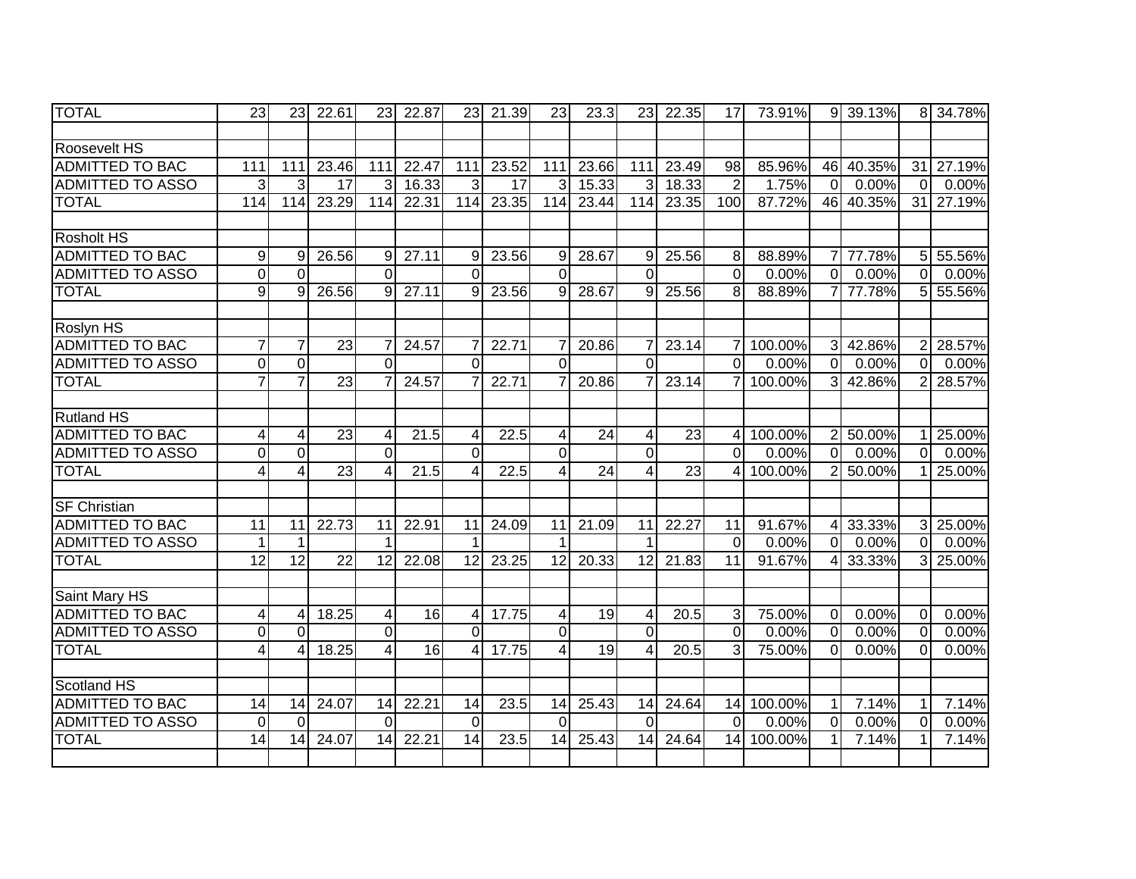| <b>TOTAL</b>            | 23                      | 23              | 22.61           | 23              | 22.87              | 23              | 21.39           | 23               | 23.3  | 23              | 22.35 | 17             | 73.91%  |                | 9 39.13%               |                | 8 34.78%  |
|-------------------------|-------------------------|-----------------|-----------------|-----------------|--------------------|-----------------|-----------------|------------------|-------|-----------------|-------|----------------|---------|----------------|------------------------|----------------|-----------|
|                         |                         |                 |                 |                 |                    |                 |                 |                  |       |                 |       |                |         |                |                        |                |           |
| Roosevelt HS            |                         |                 |                 |                 |                    |                 |                 |                  |       |                 |       |                |         |                |                        |                |           |
| <b>ADMITTED TO BAC</b>  | 111                     | 111             | 23.46           | 111             | 22.47              | 111             | 23.52           | 111              | 23.66 | 111             | 23.49 | 98             | 85.96%  |                | 46 40.35%              |                | 31 27.19% |
| <b>ADMITTED TO ASSO</b> | 3                       | 3               | 17              | 3               | 16.33              | 3               | $\overline{17}$ | 3                | 15.33 | 3               | 18.33 | $\overline{2}$ | 1.75%   | $\overline{0}$ | 0.00%                  | $\overline{0}$ | 0.00%     |
| <b>TOTAL</b>            | 114                     | 114             | 23.29           | 114             | 22.31              | 114             | 23.35           | 114              | 23.44 | 114             | 23.35 | 100            | 87.72%  |                | 46 40.35%              | 31             | 27.19%    |
| <b>Rosholt HS</b>       |                         |                 |                 |                 |                    |                 |                 |                  |       |                 |       |                |         |                |                        |                |           |
| <b>ADMITTED TO BAC</b>  | $9\,$                   | 9               | 26.56           | 9               | 27.11              | 9               | 23.56           | 9                | 28.67 | 9               | 25.56 | 8              | 88.89%  | 7 <sup>1</sup> | 77.78%                 | 5 <sub>l</sub> | 55.56%    |
| <b>ADMITTED TO ASSO</b> | $\mathbf 0$             | $\Omega$        |                 | $\mathbf 0$     |                    | $\overline{0}$  |                 | $\overline{0}$   |       | $\overline{0}$  |       | $\overline{0}$ | 0.00%   | $\overline{0}$ | 0.00%                  | $\overline{0}$ | 0.00%     |
| <b>TOTAL</b>            | $\boldsymbol{9}$        | 9               | 26.56           | 9               | 27.11              | 9               | 23.56           | $\boldsymbol{9}$ | 28.67 | 9               | 25.56 | 8              | 88.89%  | 7 <sup>1</sup> | 77.78%                 | 5              | 55.56%    |
| Roslyn HS               |                         |                 |                 |                 |                    |                 |                 |                  |       |                 |       |                |         |                |                        |                |           |
| <b>ADMITTED TO BAC</b>  | $\overline{7}$          | 7               | 23              | $\overline{7}$  | 24.57              | 7               | 22.71           | $\overline{7}$   | 20.86 | 7               | 23.14 | $\overline{7}$ | 100.00% |                | 3 42.86%               | 2              | 28.57%    |
| <b>ADMITTED TO ASSO</b> | $\pmb{0}$               | $\mathbf 0$     |                 | $\Omega$        |                    | $\Omega$        |                 | $\overline{0}$   |       | $\Omega$        |       | $\overline{0}$ | 0.00%   | $\Omega$       | 0.00%                  | $\Omega$       | 0.00%     |
| <b>TOTAL</b>            | $\overline{7}$          | $\overline{7}$  | $\overline{23}$ | $\overline{7}$  | 24.57              |                 | 22.71           | $\overline{7}$   | 20.86 | 7               | 23.14 | $\overline{7}$ | 100.00% |                | 3 42.86%               | $\overline{2}$ | 28.57%    |
|                         |                         |                 |                 |                 |                    |                 |                 |                  |       |                 |       |                |         |                |                        |                |           |
| <b>Rutland HS</b>       |                         |                 |                 |                 |                    |                 |                 |                  |       |                 |       |                |         |                |                        |                |           |
| <b>ADMITTED TO BAC</b>  | 4                       | 4               | $\overline{23}$ | $\overline{4}$  | 21.5               | 4               | 22.5            | $\overline{4}$   | 24    | $\overline{4}$  | 23    | $\overline{4}$ | 100.00% | 2 <sup>1</sup> | 50.00%                 | 11             | 25.00%    |
| <b>ADMITTED TO ASSO</b> | 0                       | $\mathbf 0$     |                 | $\Omega$        |                    | $\Omega$        |                 | $\overline{0}$   |       | $\overline{0}$  |       | ΩI             | 0.00%   | $\Omega$       | 0.00%                  | 0              | 0.00%     |
| <b>TOTAL</b>            | $\overline{\mathbf{4}}$ | 4               | 23              | $\overline{4}$  | 21.5               | 4               | 22.5            | 4                | 24    | $\overline{4}$  | 23    | 4              | 100.00% | 2 <sup>1</sup> | 50.00%                 | 1              | 25.00%    |
|                         |                         |                 |                 |                 |                    |                 |                 |                  |       |                 |       |                |         |                |                        |                |           |
| <b>SF Christian</b>     |                         |                 |                 |                 |                    |                 |                 |                  |       |                 |       |                |         |                |                        |                |           |
| <b>ADMITTED TO BAC</b>  | $\overline{11}$         | 11              | 22.73           | $\overline{11}$ | 22.91              | 11              | 24.09           | $\overline{11}$  | 21.09 | 11              | 22.27 | 11             | 91.67%  |                | $4\overline{)33.33\%}$ |                | 3 25.00%  |
| <b>ADMITTED TO ASSO</b> | $\mathbf{1}$            |                 |                 | 1               |                    |                 |                 | $\mathbf 1$      |       |                 |       | $\overline{0}$ | 0.00%   | $\overline{0}$ | 0.00%                  | $\overline{0}$ | 0.00%     |
| <b>TOTAL</b>            | $\overline{12}$         | $\overline{12}$ | $\overline{22}$ | $\overline{12}$ | 22.08              | $\overline{12}$ | 23.25           | $\overline{12}$  | 20.33 | $\overline{12}$ | 21.83 | 11             | 91.67%  | 4 <sup>1</sup> | 33.33%                 | 31             | 25.00%    |
| Saint Mary HS           |                         |                 |                 |                 |                    |                 |                 |                  |       |                 |       |                |         |                |                        |                |           |
| <b>ADMITTED TO BAC</b>  | 4                       | 4               | 18.25           | $\overline{4}$  | $\overline{16}$    | $\overline{4}$  | 17.75           | 4                | 19    | 4               | 20.5  | $\mathbf{3}$   | 75.00%  | $\overline{0}$ | 0.00%                  | $\overline{0}$ | 0.00%     |
| <b>ADMITTED TO ASSO</b> | $\mathbf 0$             | $\overline{0}$  |                 | $\overline{O}$  |                    | $\overline{0}$  |                 | $\overline{0}$   |       | $\overline{0}$  |       | $\overline{0}$ | 0.00%   | $\overline{0}$ | 0.00%                  | $\mathbf 0$    | 0.00%     |
| <b>TOTAL</b>            | $\overline{4}$          | Δ               | 18.25           | 4               | $\overline{16}$    | Δ               | 17.75           | 4                | 19    | 4               | 20.5  | 3              | 75.00%  | $\overline{0}$ | 0.00%                  | $\mathbf 0$    | 0.00%     |
|                         |                         |                 |                 |                 |                    |                 |                 |                  |       |                 |       |                |         |                |                        |                |           |
| Scotland HS             |                         |                 |                 |                 |                    |                 |                 |                  |       |                 |       |                |         |                |                        |                |           |
| <b>ADMITTED TO BAC</b>  | 14                      | 14              | 24.07           | 14              | $\overline{22.21}$ | 14              | 23.5            | 14               | 25.43 | 14              | 24.64 | 14             | 100.00% | 11             | 7.14%                  | 1              | 7.14%     |
| <b>ADMITTED TO ASSO</b> | $\mathbf 0$             | $\Omega$        |                 | $\Omega$        |                    | $\Omega$        |                 | $\overline{0}$   |       | $\Omega$        |       | $\mathbf 0$    | 0.00%   | $\overline{0}$ | 0.00%                  | $\overline{0}$ | 0.00%     |
| <b>TOTAL</b>            | 14                      | 14              | 24.07           | 14              | 22.21              | 14              | 23.5            | 14               | 25.43 | 14              | 24.64 | 14             | 100.00% | 1 <sup>1</sup> | 7.14%                  |                | 7.14%     |
|                         |                         |                 |                 |                 |                    |                 |                 |                  |       |                 |       |                |         |                |                        |                |           |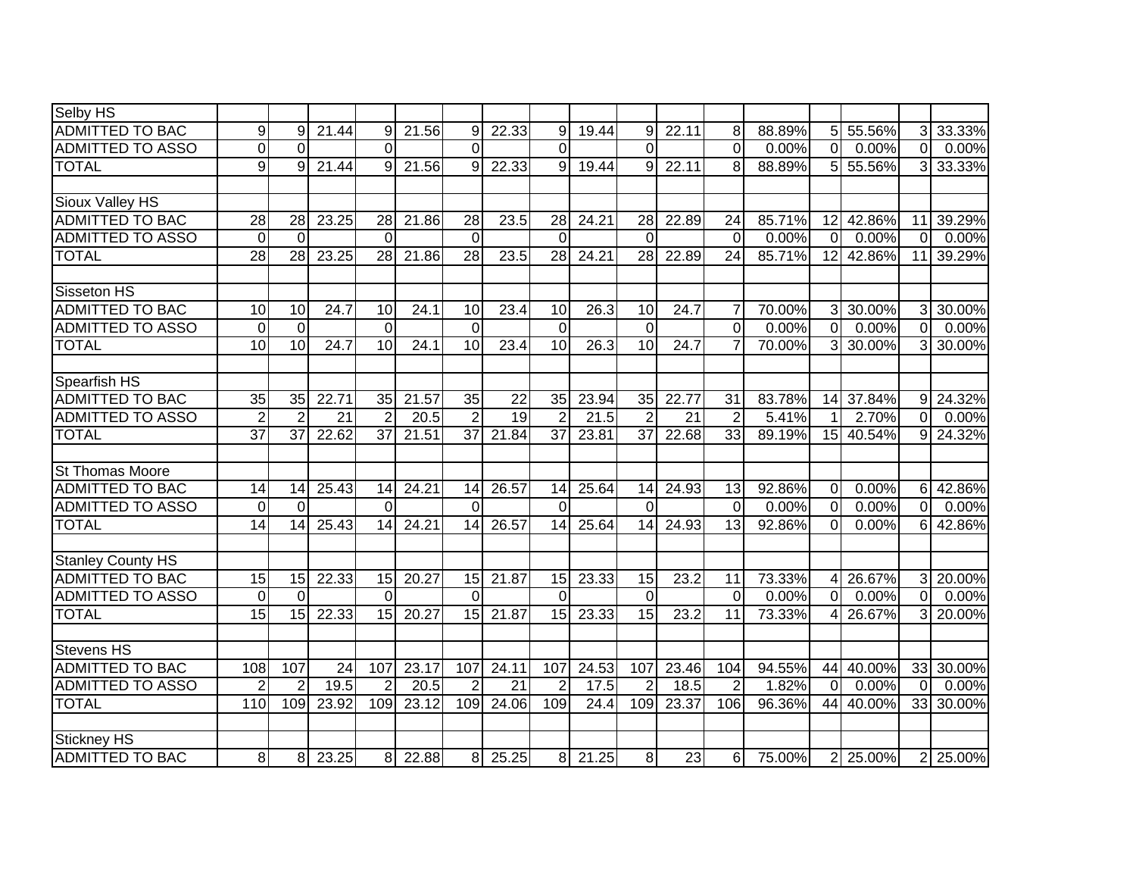| Selby HS                |                 |                |                 |                |       |                 |                 |                 |       |                 |       |                |        |                 |           |                |           |
|-------------------------|-----------------|----------------|-----------------|----------------|-------|-----------------|-----------------|-----------------|-------|-----------------|-------|----------------|--------|-----------------|-----------|----------------|-----------|
| <b>ADMITTED TO BAC</b>  | 9               | 9              | 21.44           | 9              | 21.56 | 9               | 22.33           | 9               | 19.44 | 9               | 22.11 | 8              | 88.89% | 5 <sup>1</sup>  | 55.56%    | 3              | 33.33%    |
| <b>ADMITTED TO ASSO</b> | $\mathbf 0$     | $\Omega$       |                 | $\Omega$       |       | $\Omega$        |                 | $\overline{0}$  |       | $\overline{0}$  |       | $\overline{0}$ | 0.00%  | $\overline{0}$  | 0.00%     | $\Omega$       | 0.00%     |
| <b>TOTAL</b>            | 9               | 9              | 21.44           | 9              | 21.56 | 9               | 22.33           | 9               | 19.44 | 9               | 22.11 | 8              | 88.89% |                 | 5 55.56%  | 3              | 33.33%    |
|                         |                 |                |                 |                |       |                 |                 |                 |       |                 |       |                |        |                 |           |                |           |
| Sioux Valley HS         |                 |                |                 |                |       |                 |                 |                 |       |                 |       |                |        |                 |           |                |           |
| <b>ADMITTED TO BAC</b>  | 28              | 28             | 23.25           | 28             | 21.86 | 28              | 23.5            | 28              | 24.21 | 28              | 22.89 | 24             | 85.71% | 12 <sub>l</sub> | 42.86%    | 11             | 39.29%    |
| <b>ADMITTED TO ASSO</b> | $\mathbf 0$     | $\Omega$       |                 | $\Omega$       |       | $\Omega$        |                 | $\Omega$        |       | $\Omega$        |       | $\Omega$       | 0.00%  | $\Omega$        | 0.00%     | $\Omega$       | 0.00%     |
| <b>TOTAL</b>            | 28              | 28             | 23.25           | 28             | 21.86 | $\overline{28}$ | 23.5            | 28              | 24.21 | $\overline{28}$ | 22.89 | 24             | 85.71% | 12              | 42.86%    | 11             | 39.29%    |
|                         |                 |                |                 |                |       |                 |                 |                 |       |                 |       |                |        |                 |           |                |           |
| <b>Sisseton HS</b>      |                 |                |                 |                |       |                 |                 |                 |       |                 |       |                |        |                 |           |                |           |
| <b>ADMITTED TO BAC</b>  | 10              | 10             | 24.7            | 10             | 24.1  | 10              | 23.4            | 10              | 26.3  | 10              | 24.7  | 7              | 70.00% | 3I              | 30.00%    | 31             | 30.00%    |
| <b>ADMITTED TO ASSO</b> | $\mathbf 0$     | $\Omega$       |                 | $\mathbf{0}$   |       | $\Omega$        |                 | $\mathbf 0$     |       | $\Omega$        |       | $\Omega$       | 0.00%  | $\overline{0}$  | 0.00%     | $\Omega$       | 0.00%     |
| <b>TOTAL</b>            | 10              | 10             | 24.7            | 10             | 24.1  | 10              | 23.4            | 10              | 26.3  | 10              | 24.7  | $\overline{7}$ | 70.00% | 3 <sup>1</sup>  | 30.00%    | 31             | 30.00%    |
|                         |                 |                |                 |                |       |                 |                 |                 |       |                 |       |                |        |                 |           |                |           |
| Spearfish HS            |                 |                |                 |                |       |                 |                 |                 |       |                 |       |                |        |                 |           |                |           |
| <b>ADMITTED TO BAC</b>  | 35              | 35             | 22.71           | 35             | 21.57 | 35              | 22              | 35              | 23.94 | 35              | 22.77 | 31             | 83.78% | 14              | 37.84%    | 9 <sub>l</sub> | 24.32%    |
| <b>ADMITTED TO ASSO</b> | $\overline{2}$  | $\overline{2}$ | $\overline{21}$ | 2              | 20.5  | $\overline{2}$  | $\overline{19}$ | $\overline{2}$  | 21.5  | $\overline{2}$  | 21    | $\overline{2}$ | 5.41%  | 11              | 2.70%     | $\Omega$       | 0.00%     |
| <b>TOTAL</b>            | $\overline{37}$ | 37             | 22.62           | 37             | 21.51 | 37              | 21.84           | $\overline{37}$ | 23.81 | $\overline{37}$ | 22.68 | 33             | 89.19% |                 | 15 40.54% | 9 <sup>1</sup> | $24.32\%$ |
|                         |                 |                |                 |                |       |                 |                 |                 |       |                 |       |                |        |                 |           |                |           |
| St Thomas Moore         |                 |                |                 |                |       |                 |                 |                 |       |                 |       |                |        |                 |           |                |           |
| <b>ADMITTED TO BAC</b>  | 14              | 14             | 25.43           | 14             | 24.21 | 14              | 26.57           | 14              | 25.64 | 14              | 24.93 | 13             | 92.86% | $\overline{0}$  | 0.00%     | $6 \mid$       | 42.86%    |
| <b>ADMITTED TO ASSO</b> | $\mathbf 0$     | $\Omega$       |                 | $\Omega$       |       | $\Omega$        |                 | $\Omega$        |       | $\Omega$        |       | $\mathbf 0$    | 0.00%  | $\Omega$        | 0.00%     | $\overline{0}$ | 0.00%     |
| <b>TOTAL</b>            | 14              | 14             | 25.43           | 14             | 24.21 | 14              | 26.57           | 14              | 25.64 | 14              | 24.93 | 13             | 92.86% | $\Omega$        | 0.00%     | 61             | 42.86%    |
| Stanley County HS       |                 |                |                 |                |       |                 |                 |                 |       |                 |       |                |        |                 |           |                |           |
| <b>ADMITTED TO BAC</b>  | 15              | 15             | 22.33           | 15             | 20.27 | 15              | 21.87           | 15              | 23.33 | 15              | 23.2  | 11             | 73.33% | 4 <sup>1</sup>  | 26.67%    | $\mathbf{3}$   | 20.00%    |
| <b>ADMITTED TO ASSO</b> | $\mathbf 0$     | $\Omega$       |                 | $\Omega$       |       | $\Omega$        |                 | 0               |       | $\overline{0}$  |       | $\mathbf 0$    | 0.00%  | $\overline{0}$  | 0.00%     | $\overline{0}$ | 0.00%     |
| <b>TOTAL</b>            | 15              | 15             | 22.33           | 15             | 20.27 | 15              | 21.87           | 15              | 23.33 | 15              | 23.2  | 11             | 73.33% | 41              | 26.67%    | 3              | 20.00%    |
|                         |                 |                |                 |                |       |                 |                 |                 |       |                 |       |                |        |                 |           |                |           |
| <b>Stevens HS</b>       |                 |                |                 |                |       |                 |                 |                 |       |                 |       |                |        |                 |           |                |           |
| <b>ADMITTED TO BAC</b>  | 108             | 107            | 24              | 107            | 23.17 | 107             | 24.11           | 107             | 24.53 | 107             | 23.46 | 104            | 94.55% | 44              | 40.00%    | 33             | 30.00%    |
| <b>ADMITTED TO ASSO</b> | $\overline{2}$  | $\overline{2}$ | 19.5            | $\overline{2}$ | 20.5  | $\overline{2}$  | $\overline{21}$ | $\overline{2}$  | 17.5  | $\overline{2}$  | 18.5  | $\overline{2}$ | 1.82%  | $\overline{0}$  | 0.00%     | $\Omega$       | 0.00%     |
| <b>TOTAL</b>            | 110             | 109            | 23.92           | 109            | 23.12 | 109             | 24.06           | 109             | 24.4  | 109             | 23.37 | 106            | 96.36% | 44              | 40.00%    | 33             | 30.00%    |
|                         |                 |                |                 |                |       |                 |                 |                 |       |                 |       |                |        |                 |           |                |           |
| <b>Stickney HS</b>      |                 |                |                 |                |       |                 |                 |                 |       |                 |       |                |        |                 |           |                |           |
| <b>ADMITTED TO BAC</b>  | 8               | 8              | 23.25           | 8 <sup>1</sup> | 22.88 | 8               | 25.25           | 8 <sup>1</sup>  | 21.25 | 8               | 23    | 6              | 75.00% | 2 <sup>1</sup>  | 25.00%    | $\overline{2}$ | 25.00%    |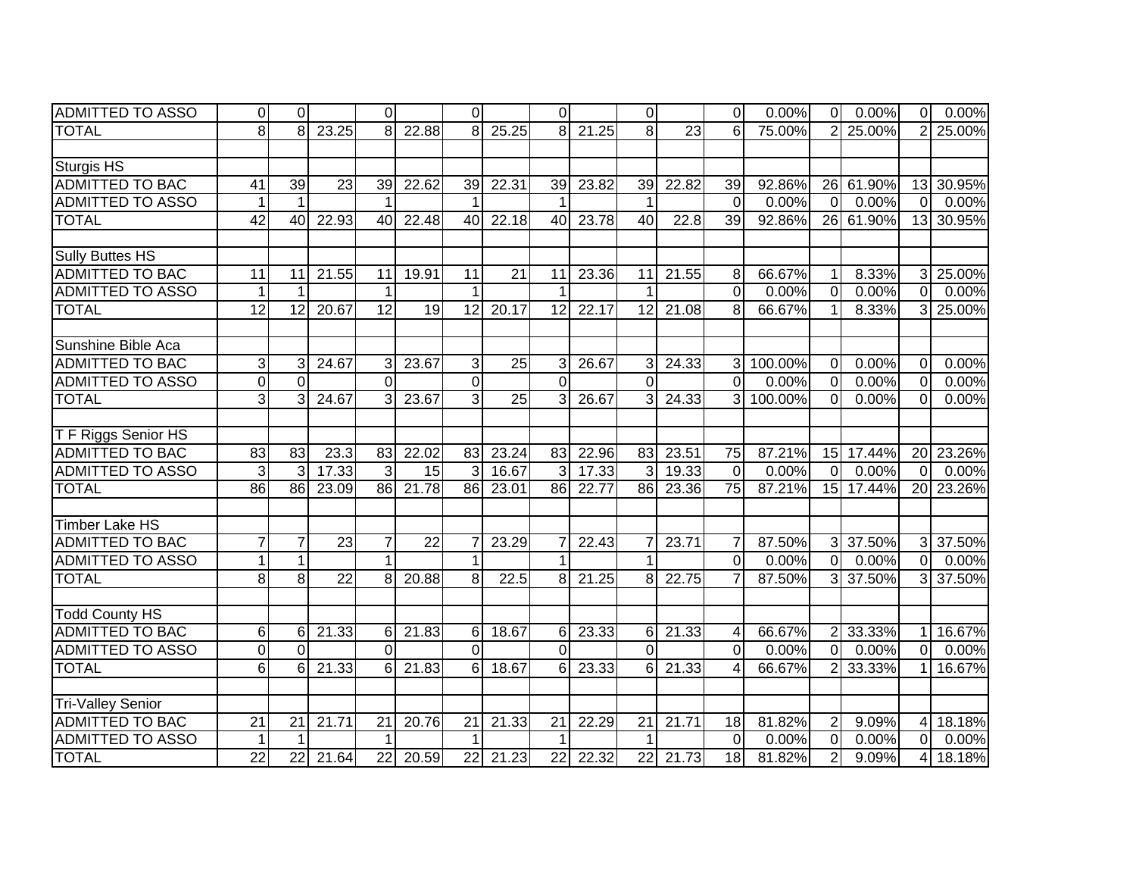| <b>ADMITTED TO ASSO</b>  | $\Omega$        | $\Omega$        |                 | $\Omega$        |          | $\Omega$        |       | $\Omega$        |       | $\Omega$        |                 | $\Omega$        | 0.00%   | $\overline{0}$ | 0.00%                   | $\overline{0}$ | 0.00%     |
|--------------------------|-----------------|-----------------|-----------------|-----------------|----------|-----------------|-------|-----------------|-------|-----------------|-----------------|-----------------|---------|----------------|-------------------------|----------------|-----------|
| <b>TOTAL</b>             | 8               | 8               | 23.25           | 8               | 22.88    | 8               | 25.25 | 8               | 21.25 | 8               | $\overline{23}$ | 6               | 75.00%  | $\overline{2}$ | 25.00%                  | $\overline{2}$ | 25.00%    |
|                          |                 |                 |                 |                 |          |                 |       |                 |       |                 |                 |                 |         |                |                         |                |           |
| <b>Sturgis HS</b>        |                 |                 |                 |                 |          |                 |       |                 |       |                 |                 |                 |         |                |                         |                |           |
| <b>ADMITTED TO BAC</b>   | 41              | $\overline{39}$ | $\overline{23}$ | 39              | 22.62    | 39              | 22.31 | 39              | 23.82 | 39              | 22.82           | 39              | 92.86%  |                | 26 61.90%               | 13             | 30.95%    |
| <b>ADMITTED TO ASSO</b>  | $\mathbf{1}$    |                 |                 |                 |          |                 |       |                 |       | 1               |                 | $\mathbf 0$     | 0.00%   | $\overline{0}$ | 0.00%                   | $\mathbf{0}$   | 0.00%     |
| <b>TOTAL</b>             | $\overline{42}$ | 40              | 22.93           | 40              | 22.48    | 40              | 22.18 | 40              | 23.78 | 40              | 22.8            | 39              | 92.86%  |                | 26 61.90%               | 13             | 30.95%    |
|                          |                 |                 |                 |                 |          |                 |       |                 |       |                 |                 |                 |         |                |                         |                |           |
| <b>Sully Buttes HS</b>   |                 |                 |                 |                 |          |                 |       |                 |       |                 |                 |                 |         |                |                         |                |           |
| <b>ADMITTED TO BAC</b>   | 11              | 11              | 21.55           | 11              | 19.91    | 11              | 21    | 11              | 23.36 | 11              | 21.55           | 8               | 66.67%  | 1              | 8.33%                   | 3              | 25.00%    |
| <b>ADMITTED TO ASSO</b>  | $\mathbf{1}$    |                 |                 | 1               |          | $\mathbf 1$     |       | 1               |       | 1               |                 | $\overline{0}$  | 0.00%   | $\mathbf 0$    | 0.00%                   | $\mathbf 0$    | 0.00%     |
| <b>TOTAL</b>             | $\overline{12}$ | 12              | 20.67           | $\overline{12}$ | 19       | $\overline{12}$ | 20.17 | 12              | 22.17 | $\overline{12}$ | 21.08           | 8               | 66.67%  | $\mathbf 1$    | 8.33%                   | 3              | 25.00%    |
|                          |                 |                 |                 |                 |          |                 |       |                 |       |                 |                 |                 |         |                |                         |                |           |
| Sunshine Bible Aca       |                 |                 |                 |                 |          |                 |       |                 |       |                 |                 |                 |         |                |                         |                |           |
| ADMITTED TO BAC          | 3               | 3               | 24.67           | $\overline{3}$  | 23.67    | $\overline{3}$  | 25    | 3               | 26.67 | 3               | 24.33           | $\overline{3}$  | 100.00% | $\Omega$       | 0.00%                   | $\Omega$       | 0.00%     |
| <b>ADMITTED TO ASSO</b>  | 0               | $\Omega$        |                 | $\Omega$        |          | $\Omega$        |       | $\overline{0}$  |       | $\Omega$        |                 | 0               | 0.00%   | $\Omega$       | 0.00%                   | 0              | 0.00%     |
| <b>TOTAL</b>             | 3               | 3               | 24.67           | $\mathcal{E}$   | 23.67    | $\overline{3}$  | 25    | 3               | 26.67 | 3               | 24.33           | 3               | 100.00% | $\Omega$       | 0.00%                   | $\Omega$       | 0.00%     |
|                          |                 |                 |                 |                 |          |                 |       |                 |       |                 |                 |                 |         |                |                         |                |           |
| T F Riggs Senior HS      |                 |                 |                 |                 |          |                 |       |                 |       |                 |                 |                 |         |                |                         |                |           |
| <b>ADMITTED TO BAC</b>   | 83              | 83              | 23.3            | 83              | 22.02    | 83              | 23.24 | 83              | 22.96 | 83              | 23.51           | 75              | 87.21%  |                | 15 17.44%               | 20             | 23.26%    |
| <b>ADMITTED TO ASSO</b>  | 3               | 3               | 17.33           | 3               | 15       |                 | 16.67 | 3               | 17.33 | 3               | 19.33           | $\Omega$        | 0.00%   | $\overline{0}$ | 0.00%                   | $\Omega$       | 0.00%     |
| <b>TOTAL</b>             | 86              | 86              | 23.09           |                 | 86 21.78 | 86              | 23.01 | 86              | 22.77 | 86              | 23.36           | $\overline{75}$ | 87.21%  |                | 15 17.44%               |                | 20 23.26% |
|                          |                 |                 |                 |                 |          |                 |       |                 |       |                 |                 |                 |         |                |                         |                |           |
| <b>Timber Lake HS</b>    |                 |                 |                 |                 |          |                 |       |                 |       |                 |                 |                 |         |                |                         |                |           |
| <b>ADMITTED TO BAC</b>   | $\overline{7}$  | $\overline{7}$  | $\overline{23}$ | $\overline{7}$  | 22       |                 | 23.29 | 7               | 22.43 | $\overline{7}$  | 23.71           | $\overline{7}$  | 87.50%  |                | 3 37.50%                | 3 <sup>l</sup> | 37.50%    |
| <b>ADMITTED TO ASSO</b>  | $\mathbf{1}$    | $\mathbf{1}$    |                 | $\mathbf 1$     |          | $\mathbf 1$     |       | $\overline{1}$  |       | $\mathbf 1$     |                 | $\overline{0}$  | 0.00%   | $\overline{0}$ | 0.00%                   | $\mathbf 0$    | 0.00%     |
| <b>TOTAL</b>             | 8               | 8 <sup>1</sup>  | $\overline{22}$ | 8 <sup>1</sup>  | 20.88    | 8               | 22.5  | 8               | 21.25 | 8               | 22.75           | $\overline{7}$  | 87.50%  |                | 3 37.50%                | 3              | 37.50%    |
|                          |                 |                 |                 |                 |          |                 |       |                 |       |                 |                 |                 |         |                |                         |                |           |
| <b>Todd County HS</b>    |                 |                 |                 |                 |          |                 |       |                 |       |                 |                 |                 |         |                |                         |                |           |
| <b>ADMITTED TO BAC</b>   | 6               | 6               | 21.33           | $6 \mid$        | 21.83    | 6               | 18.67 | 6               | 23.33 | 6               | 21.33           | 4               | 66.67%  |                | $2 \overline{)33.33\%}$ | 1              | 16.67%    |
| <b>ADMITTED TO ASSO</b>  | $\mathbf 0$     | $\Omega$        |                 | $\overline{0}$  |          | $\Omega$        |       | $\overline{0}$  |       | $\overline{0}$  |                 | $\overline{0}$  | 0.00%   | $\overline{0}$ | 0.00%                   | $\mathbf 0$    | 0.00%     |
| <b>TOTAL</b>             | 6               | 6               | 21.33           | $6 \mid$        | 21.83    | 6               | 18.67 | 6               | 23.33 | 6               | 21.33           | 4               | 66.67%  | $\overline{2}$ | 33.33%                  |                | 16.67%    |
|                          |                 |                 |                 |                 |          |                 |       |                 |       |                 |                 |                 |         |                |                         |                |           |
| <b>Tri-Valley Senior</b> |                 |                 |                 |                 |          |                 |       |                 |       |                 |                 |                 |         |                |                         |                |           |
| <b>ADMITTED TO BAC</b>   | $\overline{21}$ | 21              | 21.71           | 21              | 20.76    | 21              | 21.33 | $\overline{21}$ | 22.29 | 21              | 21.71           | 18              | 81.82%  | $\overline{2}$ | 9.09%                   | 4              | 18.18%    |
| <b>ADMITTED TO ASSO</b>  | $\mathbf 1$     |                 |                 |                 |          | $\mathbf 1$     |       | $\mathbf 1$     |       | 1               |                 | $\mathbf 0$     | 0.00%   | $\mathbf 0$    | 0.00%                   | $\Omega$       | 0.00%     |
| <b>TOTAL</b>             | 22              | 22              | 21.64           | 22              | 20.59    | 22              | 21.23 | 22              | 22.32 | 22              | 21.73           | 18              | 81.82%  | $\overline{2}$ | 9.09%                   | 4              | 18.18%    |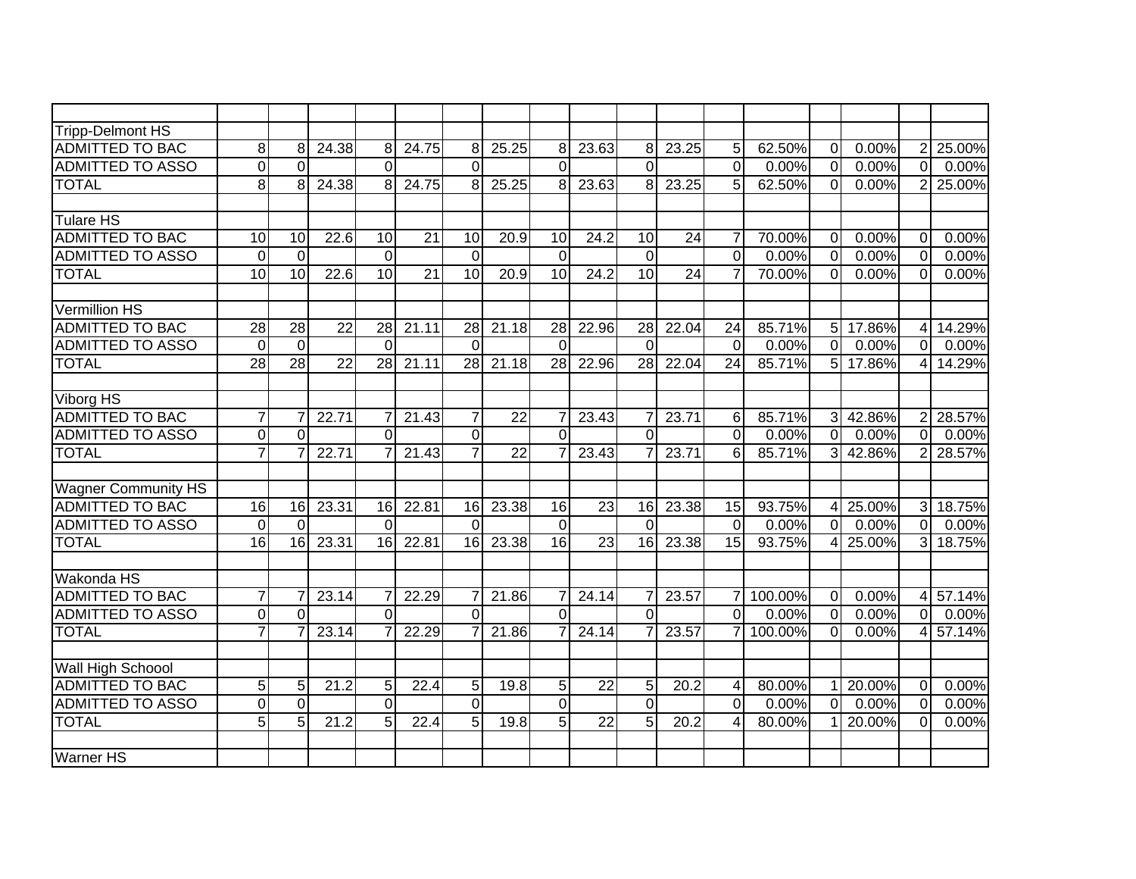| <b>Tripp-Delmont HS</b>    |                 |                 |                 |                 |                 |                 |                 |                 |                 |                 |                 |                |         |                |            |                |        |
|----------------------------|-----------------|-----------------|-----------------|-----------------|-----------------|-----------------|-----------------|-----------------|-----------------|-----------------|-----------------|----------------|---------|----------------|------------|----------------|--------|
| <b>ADMITTED TO BAC</b>     | 8               | 8               | 24.38           | 8               | 24.75           | 8               | 25.25           | 8               | 23.63           | 8               | 23.25           | 5              | 62.50%  | $\overline{0}$ | 0.00%      | $\overline{2}$ | 25.00% |
| <b>ADMITTED TO ASSO</b>    | $\overline{0}$  | $\Omega$        |                 | $\Omega$        |                 | $\Omega$        |                 | $\overline{0}$  |                 | $\Omega$        |                 | $\overline{0}$ | 0.00%   | $\overline{0}$ | 0.00%      | $\Omega$       | 0.00%  |
| <b>TOTAL</b>               | 8               | 8               | 24.38           | 8               | 24.75           | 8               | 25.25           | 8               | 23.63           | 8               | 23.25           | 5              | 62.50%  | $\overline{0}$ | 0.00%      | $\overline{2}$ | 25.00% |
|                            |                 |                 |                 |                 |                 |                 |                 |                 |                 |                 |                 |                |         |                |            |                |        |
| Tulare HS                  |                 |                 |                 |                 |                 |                 |                 |                 |                 |                 |                 |                |         |                |            |                |        |
| <b>ADMITTED TO BAC</b>     | 10              | 10              | 22.6            | 10              | 21              | 10              | 20.9            | 10              | 24.2            | 10              | 24              | $\overline{7}$ | 70.00%  | $\overline{0}$ | 0.00%      | $\Omega$       | 0.00%  |
| <b>ADMITTED TO ASSO</b>    | $\mathbf 0$     | $\Omega$        |                 | $\Omega$        |                 | $\Omega$        |                 | $\Omega$        |                 | $\overline{0}$  |                 | $\overline{0}$ | 0.00%   | $\overline{0}$ | 0.00%      | $\Omega$       | 0.00%  |
| <b>TOTAL</b>               | $\overline{10}$ | $\overline{10}$ | 22.6            | 10              | $\overline{21}$ | $\overline{10}$ | 20.9            | $\overline{10}$ | 24.2            | 10              | $\overline{24}$ | $\overline{7}$ | 70.00%  | $\overline{0}$ | 0.00%      | $\Omega$       | 0.00%  |
|                            |                 |                 |                 |                 |                 |                 |                 |                 |                 |                 |                 |                |         |                |            |                |        |
| <b>Vermillion HS</b>       |                 |                 |                 |                 |                 |                 |                 |                 |                 |                 |                 |                |         |                |            |                |        |
| <b>ADMITTED TO BAC</b>     | $\overline{28}$ | 28              | 22              | 28              | 21.11           | 28              | 21.18           | 28              | 22.96           | 28              | 22.04           | 24             | 85.71%  | 5 <sup>1</sup> | 17.86%     | 4              | 14.29% |
| <b>ADMITTED TO ASSO</b>    | $\mathbf 0$     | $\mathbf 0$     |                 | $\Omega$        |                 | $\Omega$        |                 | $\Omega$        |                 | $\Omega$        |                 | $\Omega$       | 0.00%   | $\Omega$       | 0.00%      | $\Omega$       | 0.00%  |
| <b>TOTAL</b>               | $\overline{28}$ | 28              | $\overline{22}$ | $\overline{28}$ | 21.11           | $\overline{28}$ | 21.18           | $\overline{28}$ | 22.96           | $\overline{28}$ | 22.04           | 24             | 85.71%  | $\overline{5}$ | 17.86%     | $\overline{4}$ | 14.29% |
|                            |                 |                 |                 |                 |                 |                 |                 |                 |                 |                 |                 |                |         |                |            |                |        |
| <b>Viborg HS</b>           |                 |                 |                 |                 |                 |                 |                 |                 |                 |                 |                 |                |         |                |            |                |        |
| <b>ADMITTED TO BAC</b>     | $\overline{7}$  |                 | 22.71           | $\overline{7}$  | 21.43           | $\overline{7}$  | $\overline{22}$ | $\overline{7}$  | 23.43           | 7               | 23.71           | $\,6$          | 85.71%  |                | 3 42.86%   | $\overline{2}$ | 28.57% |
| <b>ADMITTED TO ASSO</b>    | $\pmb{0}$       | $\Omega$        |                 | $\Omega$        |                 | $\overline{0}$  |                 | $\overline{0}$  |                 | $\Omega$        |                 | $\overline{0}$ | 0.00%   | $\overline{0}$ | 0.00%      | $\overline{0}$ | 0.00%  |
| <b>TOTAL</b>               | $\overline{7}$  |                 | 22.71           | $\overline{7}$  | 21.43           | $\overline{7}$  | $\overline{22}$ | $\overline{7}$  | 23.43           | $\overline{7}$  | 23.71           | 6              | 85.71%  |                | $3$ 42.86% | $\overline{2}$ | 28.57% |
|                            |                 |                 |                 |                 |                 |                 |                 |                 |                 |                 |                 |                |         |                |            |                |        |
| <b>Wagner Community HS</b> |                 |                 |                 |                 |                 |                 |                 |                 |                 |                 |                 |                |         |                |            |                |        |
| <b>ADMITTED TO BAC</b>     | 16              | 16              | 23.31           | 16              | 22.81           | 16              | 23.38           | 16              | 23              | 16              | 23.38           | 15             | 93.75%  | 4 <sup>1</sup> | 25.00%     | $\mathbf{3}$   | 18.75% |
| <b>ADMITTED TO ASSO</b>    | $\mathbf 0$     | $\Omega$        |                 | $\Omega$        |                 | $\Omega$        |                 | $\overline{0}$  |                 | $\Omega$        |                 | $\mathbf 0$    | 0.00%   | $\overline{0}$ | 0.00%      | $\overline{0}$ | 0.00%  |
| <b>TOTAL</b>               | 16              | 16              | 23.31           | 16              | 22.81           | 16              | 23.38           | 16              | 23              | 16              | 23.38           | 15             | 93.75%  | 4 <sup>1</sup> | 25.00%     | 3              | 18.75% |
|                            |                 |                 |                 |                 |                 |                 |                 |                 |                 |                 |                 |                |         |                |            |                |        |
| Wakonda HS                 |                 |                 |                 |                 |                 |                 |                 |                 |                 |                 |                 |                |         |                |            |                |        |
| <b>ADMITTED TO BAC</b>     | $\overline{7}$  |                 | 23.14           | $\overline{7}$  | 22.29           | 7               | 21.86           | $\overline{7}$  | 24.14           | $\overline{7}$  | 23.57           | $\overline{7}$ | 100.00% | $\overline{0}$ | 0.00%      | 4              | 57.14% |
| <b>ADMITTED TO ASSO</b>    | $\mathbf 0$     | $\Omega$        |                 | $\mathbf 0$     |                 | $\Omega$        |                 | $\mathbf 0$     |                 | $\overline{0}$  |                 | $\overline{0}$ | 0.00%   | $\overline{0}$ | 0.00%      | $\overline{0}$ | 0.00%  |
| <b>TOTAL</b>               | $\overline{7}$  |                 | 23.14           | $\overline{7}$  | 22.29           |                 | 21.86           | $\overline{7}$  | 24.14           | $\overline{7}$  | 23.57           | $\overline{7}$ | 100.00% | $\overline{0}$ | 0.00%      | 4              | 57.14% |
| Wall High Schoool          |                 |                 |                 |                 |                 |                 |                 |                 |                 |                 |                 |                |         |                |            |                |        |
| <b>ADMITTED TO BAC</b>     | $\overline{5}$  | 5               | 21.2            | 5 <sub>1</sub>  | 22.4            | 5               | 19.8            | $\overline{5}$  | $\overline{22}$ | 5               | 20.2            | $\overline{4}$ | 80.00%  | 11             | 20.00%     | $\overline{0}$ | 0.00%  |
| <b>ADMITTED TO ASSO</b>    | 0               | $\mathbf 0$     |                 | $\mathbf 0$     |                 | $\Omega$        |                 | $\overline{0}$  |                 | $\overline{0}$  |                 | $\mathbf 0$    | 0.00%   | $\overline{0}$ | 0.00%      | $\mathbf 0$    | 0.00%  |
| <b>TOTAL</b>               | 5               | 5               | 21.2            | $\overline{5}$  | 22.4            | 5               | 19.8            | $\overline{5}$  | $\overline{22}$ | 5               | 20.2            | 4              | 80.00%  |                | 20.00%     | $\mathbf 0$    | 0.00%  |
|                            |                 |                 |                 |                 |                 |                 |                 |                 |                 |                 |                 |                |         |                |            |                |        |
| <b>Warner HS</b>           |                 |                 |                 |                 |                 |                 |                 |                 |                 |                 |                 |                |         |                |            |                |        |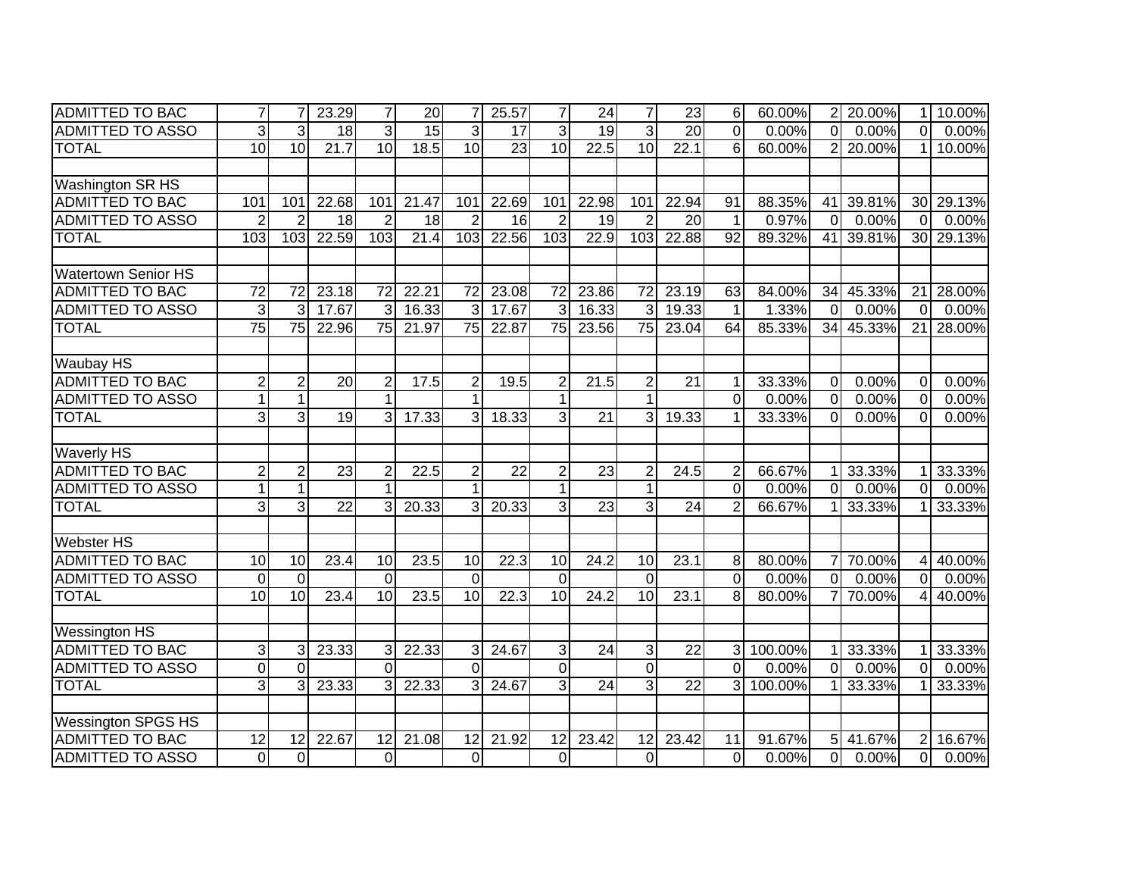| <b>ADMITTED TO BAC</b>     | $\overline{7}$ |                         | 23.29           | $\overline{7}$ | 20    | 7              | 25.57           | 7              | 24                | 7               | 23              | 6               | 60.00%  |                | 2 20.00% | 1              | 10.00% |
|----------------------------|----------------|-------------------------|-----------------|----------------|-------|----------------|-----------------|----------------|-------------------|-----------------|-----------------|-----------------|---------|----------------|----------|----------------|--------|
| <b>ADMITTED TO ASSO</b>    | دى             | 3                       | 18              | 3              | 15    | 3              | 17              | 3              | $\overline{19}$   | $\overline{3}$  | 20              | $\overline{0}$  | 0.00%   | $\overline{0}$ | 0.00%    | $\overline{0}$ | 0.00%  |
| <b>TOTAL</b>               | 10             | 10                      | 21.7            | 10             | 18.5  | 10             | $\overline{23}$ | 10             | 22.5              | 10              | 22.1            | $\overline{6}$  | 60.00%  | $\overline{2}$ | 20.00%   | 1              | 10.00% |
|                            |                |                         |                 |                |       |                |                 |                |                   |                 |                 |                 |         |                |          |                |        |
| Washington SR HS           |                |                         |                 |                |       |                |                 |                |                   |                 |                 |                 |         |                |          |                |        |
| <b>ADMITTED TO BAC</b>     | 101            | 101                     | 22.68           | 101            | 21.47 | 101            | 22.69           | 101            | 22.98             | 101             | 22.94           | 91              | 88.35%  | 41             | 39.81%   | 30             | 29.13% |
| <b>ADMITTED TO ASSO</b>    | $\overline{2}$ | $\overline{2}$          | 18              | $\overline{2}$ | 18    | $\overline{2}$ | 16              | $\overline{2}$ | 19                | $\overline{2}$  | 20              | $\mathbf{1}$    | 0.97%   | $\overline{0}$ | 0.00%    | $\Omega$       | 0.00%  |
| <b>TOTAL</b>               | 103            | 103                     | 22.59           | 103            | 21.4  | 103            | 22.56           | 103            | 22.9              | 103             | 22.88           | $\overline{92}$ | 89.32%  | 41             | 39.81%   | 30             | 29.13% |
|                            |                |                         |                 |                |       |                |                 |                |                   |                 |                 |                 |         |                |          |                |        |
| <b>Watertown Senior HS</b> |                |                         |                 |                |       |                |                 |                |                   |                 |                 |                 |         |                |          |                |        |
| <b>ADMITTED TO BAC</b>     | 72             | 72                      | 23.18           | 72             | 22.21 | 72             | 23.08           | 72             | 23.86             | 72              | 23.19           | 63              | 84.00%  | 34             | 45.33%   | 21             | 28.00% |
| <b>ADMITTED TO ASSO</b>    | 3              | 3                       | 17.67           | 3              | 16.33 | 3              | 17.67           | 3              | 16.33             | 3               | 19.33           | 1               | 1.33%   | $\Omega$       | 0.00%    | $\Omega$       | 0.00%  |
| <b>TOTAL</b>               | 75             | $\overline{75}$         | 22.96           | 75             | 21.97 | 75             | 22.87           | 75             | 23.56             | 75              | 23.04           | 64              | 85.33%  | 34             | 45.33%   | 21             | 28.00% |
|                            |                |                         |                 |                |       |                |                 |                |                   |                 |                 |                 |         |                |          |                |        |
| Waubay HS                  |                |                         |                 |                |       |                |                 |                |                   |                 |                 |                 |         |                |          |                |        |
| <b>ADMITTED TO BAC</b>     | $\overline{2}$ | $\overline{c}$          | $\overline{20}$ | 2              | 17.5  | $\overline{2}$ | 19.5            | $\overline{2}$ | 21.5              | $\overline{2}$  | 21              | 1               | 33.33%  | $\mathbf 0$    | 0.00%    | $\mathbf 0$    | 0.00%  |
| <b>ADMITTED TO ASSO</b>    | $\mathbf{1}$   | $\mathbf{1}$            |                 |                |       | 1              |                 | $\mathbf 1$    |                   | $\mathbf{1}$    |                 | 0               | 0.00%   | $\mathbf 0$    | 0.00%    | $\Omega$       | 0.00%  |
| <b>TOTAL</b>               | دی             | دی                      | $\overline{19}$ | $\overline{3}$ | 17.33 | $\overline{3}$ | 18.33           | 3              | $\overline{21}$   | 3               | 19.33           | 1               | 33.33%  | $\overline{0}$ | 0.00%    | $\Omega$       | 0.00%  |
|                            |                |                         |                 |                |       |                |                 |                |                   |                 |                 |                 |         |                |          |                |        |
| <b>Waverly HS</b>          |                |                         |                 |                |       |                |                 |                |                   |                 |                 |                 |         |                |          |                |        |
| <b>ADMITTED TO BAC</b>     | $\overline{2}$ | $\overline{c}$          | 23              | $\overline{2}$ | 22.5  | $\overline{2}$ | $\overline{22}$ | $\overline{2}$ | 23                | $\overline{2}$  | 24.5            | $\overline{c}$  | 66.67%  |                | 33.33%   |                | 33.33% |
| <b>ADMITTED TO ASSO</b>    | $\mathbf{1}$   | 1                       |                 |                |       | 1              |                 | 1              |                   | 1               |                 | $\overline{0}$  | 0.00%   | $\Omega$       | 0.00%    | $\Omega$       | 0.00%  |
| <b>TOTAL</b>               | دی             | دی                      | $\overline{22}$ | 3              | 20.33 | 3              | 20.33           | 3              | $\overline{23}$   | 3               | 24              | $\overline{2}$  | 66.67%  |                | 33.33%   |                | 33.33% |
|                            |                |                         |                 |                |       |                |                 |                |                   |                 |                 |                 |         |                |          |                |        |
| <b>Webster HS</b>          |                |                         |                 |                |       |                |                 |                |                   |                 |                 |                 |         |                |          |                |        |
| <b>ADMITTED TO BAC</b>     | 10             | 10                      | 23.4            | 10             | 23.5  | 10             | 22.3            | 10             | 24.2              | 10              | 23.1            | 8               | 80.00%  | 7 <sup>1</sup> | 70.00%   | 4              | 40.00% |
| <b>ADMITTED TO ASSO</b>    | $\overline{0}$ | $\overline{\mathsf{o}}$ |                 | $\overline{0}$ |       | $\Omega$       |                 | $\overline{0}$ |                   | $\overline{0}$  |                 | $\mathbf 0$     | 0.00%   | $\overline{0}$ | 0.00%    | $\overline{0}$ | 0.00%  |
| <b>TOTAL</b>               | 10             | 10                      | 23.4            | 10             | 23.5  | 10             | 22.3            | 10             | $\overline{24.2}$ | $\overline{10}$ | 23.1            | 8               | 80.00%  | 7 <sup>1</sup> | 70.00%   | 4              | 40.00% |
|                            |                |                         |                 |                |       |                |                 |                |                   |                 |                 |                 |         |                |          |                |        |
| <b>Wessington HS</b>       |                |                         |                 |                |       |                |                 |                |                   |                 |                 |                 |         |                |          |                |        |
| <b>ADMITTED TO BAC</b>     | 3              | 3                       | 23.33           |                | 22.33 | 3              | 24.67           | 3              | $\overline{24}$   | 3               | $\overline{22}$ | 3               | 100.00% |                | 33.33%   |                | 33.33% |
| <b>ADMITTED TO ASSO</b>    | $\mathbf 0$    | $\overline{0}$          |                 | $\Omega$       |       | $\Omega$       |                 | $\overline{0}$ |                   | $\overline{0}$  |                 | $\mathbf 0$     | 0.00%   | $\overline{0}$ | 0.00%    | $\Omega$       | 0.00%  |
| <b>TOTAL</b>               | $\overline{3}$ | 3                       | 23.33           |                | 22.33 | 3              | 24.67           | دى             | $\overline{24}$   | دی              | $\overline{22}$ | 3               | 100.00% |                | 33.33%   |                | 33.33% |
|                            |                |                         |                 |                |       |                |                 |                |                   |                 |                 |                 |         |                |          |                |        |
| <b>Wessington SPGS HS</b>  |                |                         |                 |                |       |                |                 |                |                   |                 |                 |                 |         |                |          |                |        |
| <b>ADMITTED TO BAC</b>     | 12             | 12                      | 22.67           | 12             | 21.08 | 12             | 21.92           | 12             | 23.42             | 12              | 23.42           | 11              | 91.67%  | 5 <sub>l</sub> | 41.67%   | $\overline{2}$ | 16.67% |
| <b>ADMITTED TO ASSO</b>    | $\overline{0}$ | $\mathbf 0$             |                 | $\Omega$       |       | $\overline{0}$ |                 | $\mathbf 0$    |                   | $\overline{0}$  |                 | $\mathbf 0$     | 0.00%   | $\overline{0}$ | 0.00%    | $\mathbf 0$    | 0.00%  |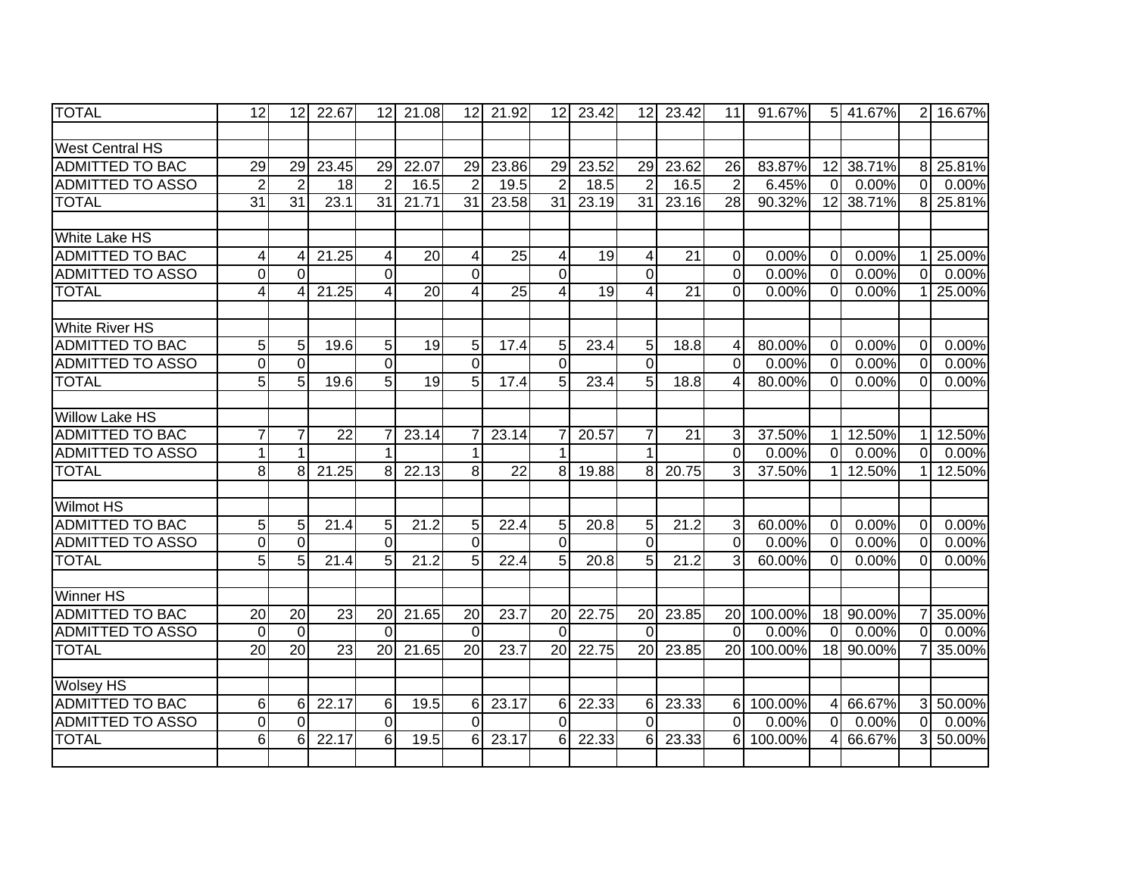| <b>TOTAL</b>            | 12               | 12              | 22.67             | 12 <sup>1</sup> | 21.08 | 12              | 21.92           | 12                      | 23.42 | 12 <sub>l</sub> | 23.42 | 11              | 91.67%  |                | 5 41.67%  | $\overline{2}$ | 16.67% |
|-------------------------|------------------|-----------------|-------------------|-----------------|-------|-----------------|-----------------|-------------------------|-------|-----------------|-------|-----------------|---------|----------------|-----------|----------------|--------|
|                         |                  |                 |                   |                 |       |                 |                 |                         |       |                 |       |                 |         |                |           |                |        |
| <b>West Central HS</b>  |                  |                 |                   |                 |       |                 |                 |                         |       |                 |       |                 |         |                |           |                |        |
| <b>ADMITTED TO BAC</b>  | $\overline{29}$  | 29              | 23.45             | 29              | 22.07 | 29              | 23.86           | 29                      | 23.52 | 29              | 23.62 | 26              | 83.87%  |                | 12 38.71% | 8 <sup>1</sup> | 25.81% |
| <b>ADMITTED TO ASSO</b> | $\overline{2}$   | $\overline{2}$  | 18                | $\overline{2}$  | 16.5  | $\overline{2}$  | 19.5            | $\overline{2}$          | 18.5  | $\overline{2}$  | 16.5  | $\overline{2}$  | 6.45%   | $\overline{0}$ | 0.00%     | $\overline{0}$ | 0.00%  |
| <b>TOTAL</b>            | $\overline{31}$  | $\overline{31}$ | 23.1              | $\overline{31}$ | 21.71 | $\overline{31}$ | 23.58           | $\overline{31}$         | 23.19 | $\overline{31}$ | 23.16 | $\overline{28}$ | 90.32%  |                | 12 38.71% | 8 <sup>1</sup> | 25.81% |
|                         |                  |                 |                   |                 |       |                 |                 |                         |       |                 |       |                 |         |                |           |                |        |
| <b>White Lake HS</b>    |                  |                 |                   |                 |       |                 |                 |                         |       |                 |       |                 |         |                |           |                |        |
| <b>ADMITTED TO BAC</b>  | 4                |                 | 21.25             | $\vert 4 \vert$ | 20    | 4               | 25              | 4                       | 19    | 4               | 21    | $\mathbf 0$     | 0.00%   | $\overline{0}$ | 0.00%     |                | 25.00% |
| <b>ADMITTED TO ASSO</b> | $\boldsymbol{0}$ | $\Omega$        |                   | $\Omega$        |       | $\Omega$        |                 | $\Omega$                |       | $\overline{0}$  |       | $\mathbf 0$     | 0.00%   | $\overline{0}$ | 0.00%     | $\overline{0}$ | 0.00%  |
| <b>TOTAL</b>            | $\overline{4}$   |                 | 21.25             | 4               | 20    | 4               | 25              | 4                       | 19    | 4               | 21    | $\Omega$        | 0.00%   | $\Omega$       | 0.00%     |                | 25.00% |
|                         |                  |                 |                   |                 |       |                 |                 |                         |       |                 |       |                 |         |                |           |                |        |
| <b>White River HS</b>   |                  |                 |                   |                 |       |                 |                 |                         |       |                 |       |                 |         |                |           |                |        |
| <b>ADMITTED TO BAC</b>  | 5                | 5               | 19.6              | 5 <sup>1</sup>  | 19    | 5               | 17.4            | $5\phantom{.0}$         | 23.4  | 5               | 18.8  | 4               | 80.00%  | $\Omega$       | 0.00%     | $\Omega$       | 0.00%  |
| <b>ADMITTED TO ASSO</b> | $\overline{0}$   | $\Omega$        |                   | $\Omega$        |       | $\overline{0}$  |                 | $\overline{0}$          |       | $\overline{0}$  |       | $\Omega$        | 0.00%   | $\overline{0}$ | 0.00%     | $\Omega$       | 0.00%  |
| <b>TOTAL</b>            | $\overline{5}$   | 5               | 19.6              | $\overline{5}$  | 19    | 5               | 17.4            | 5                       | 23.4  | 5               | 18.8  | $\overline{4}$  | 80.00%  | $\overline{0}$ | 0.00%     | $\Omega$       | 0.00%  |
|                         |                  |                 |                   |                 |       |                 |                 |                         |       |                 |       |                 |         |                |           |                |        |
| <b>Willow Lake HS</b>   |                  |                 |                   |                 |       |                 |                 |                         |       |                 |       |                 |         |                |           |                |        |
| <b>ADMITTED TO BAC</b>  | $\overline{7}$   |                 | 22                | 7               | 23.14 |                 | 23.14           | 7                       | 20.57 | 7               | 21    | 3               | 37.50%  | 11             | 12.50%    | 11             | 12.50% |
| <b>ADMITTED TO ASSO</b> | 1                |                 |                   | 1               |       |                 |                 | 1                       |       | 1               |       | $\overline{0}$  | 0.00%   | $\overline{0}$ | 0.00%     | $\Omega$       | 0.00%  |
| <b>TOTAL</b>            | 8                | 8               | 21.25             | 8 <sup>1</sup>  | 22.13 | 8               | $\overline{22}$ | 8 <sup>1</sup>          | 19.88 | 8               | 20.75 | 3               | 37.50%  | 11             | 12.50%    | 1              | 12.50% |
|                         |                  |                 |                   |                 |       |                 |                 |                         |       |                 |       |                 |         |                |           |                |        |
| <b>Wilmot HS</b>        |                  |                 |                   |                 |       |                 |                 |                         |       |                 |       |                 |         |                |           |                |        |
| <b>ADMITTED TO BAC</b>  | 5                | 5               | 21.4              | 5 <sub>l</sub>  | 21.2  | 5               | 22.4            | 5                       | 20.8  | 5               | 21.2  | $\mathbf{3}$    | 60.00%  | $\overline{0}$ | 0.00%     | $\overline{0}$ | 0.00%  |
| <b>ADMITTED TO ASSO</b> | $\mathbf 0$      | $\Omega$        |                   | $\Omega$        |       | $\Omega$        |                 | $\Omega$                |       | $\overline{0}$  |       | $\overline{0}$  | 0.00%   | $\overline{0}$ | 0.00%     | $\mathbf 0$    | 0.00%  |
| <b>TOTAL</b>            | $\overline{5}$   | 5 <sup>1</sup>  | $\overline{21.4}$ | $\overline{5}$  | 21.2  | 5               | 22.4            | 5 <sup>1</sup>          | 20.8  | 5               | 21.2  | 3               | 60.00%  | $\overline{0}$ | 0.00%     | $\Omega$       | 0.00%  |
|                         |                  |                 |                   |                 |       |                 |                 |                         |       |                 |       |                 |         |                |           |                |        |
| <b>Winner HS</b>        |                  |                 |                   |                 |       |                 |                 |                         |       |                 |       |                 |         |                |           |                |        |
| <b>ADMITTED TO BAC</b>  | $\overline{20}$  | $\overline{20}$ | 23                | 20              | 21.65 | 20              | 23.7            | 20                      | 22.75 | 20              | 23.85 | 20              | 100.00% |                | 18 90.00% | 7              | 35.00% |
| <b>ADMITTED TO ASSO</b> | $\mathbf 0$      | $\mathbf 0$     |                   | $\Omega$        |       | $\overline{0}$  |                 | $\mathbf 0$             |       | $\Omega$        |       | $\mathbf 0$     | 0.00%   | $\overline{0}$ | 0.00%     | $\overline{O}$ | 0.00%  |
| <b>TOTAL</b>            | $\overline{20}$  | $\overline{20}$ | $\overline{23}$   | 20              | 21.65 | $\overline{20}$ | 23.7            | 20                      | 22.75 | $\overline{20}$ | 23.85 | 20              | 100.00% |                | 18 90.00% |                | 35.00% |
|                         |                  |                 |                   |                 |       |                 |                 |                         |       |                 |       |                 |         |                |           |                |        |
| <b>Wolsey HS</b>        |                  |                 |                   |                 |       |                 |                 |                         |       |                 |       |                 |         |                |           |                |        |
| <b>ADMITTED TO BAC</b>  | 6                | 6               | 22.17             | $6 \mid$        | 19.5  | 6               | 23.17           | 6                       | 22.33 | 6               | 23.33 | 6               | 100.00% |                | 4 66.67%  | $\mathbf{3}$   | 50.00% |
| <b>ADMITTED TO ASSO</b> | $\overline{0}$   | $\Omega$        |                   | $\overline{0}$  |       | $\Omega$        |                 | $\overline{\mathsf{o}}$ |       | $\overline{0}$  |       | $\overline{0}$  | 0.00%   | $\overline{0}$ | 0.00%     | $\overline{0}$ | 0.00%  |
| <b>TOTAL</b>            | 6                | 6               | 22.17             | 6               | 19.5  | 6               | 23.17           | 6                       | 22.33 | 6               | 23.33 | 6               | 100.00% | $\overline{4}$ | 66.67%    | 3              | 50.00% |
|                         |                  |                 |                   |                 |       |                 |                 |                         |       |                 |       |                 |         |                |           |                |        |